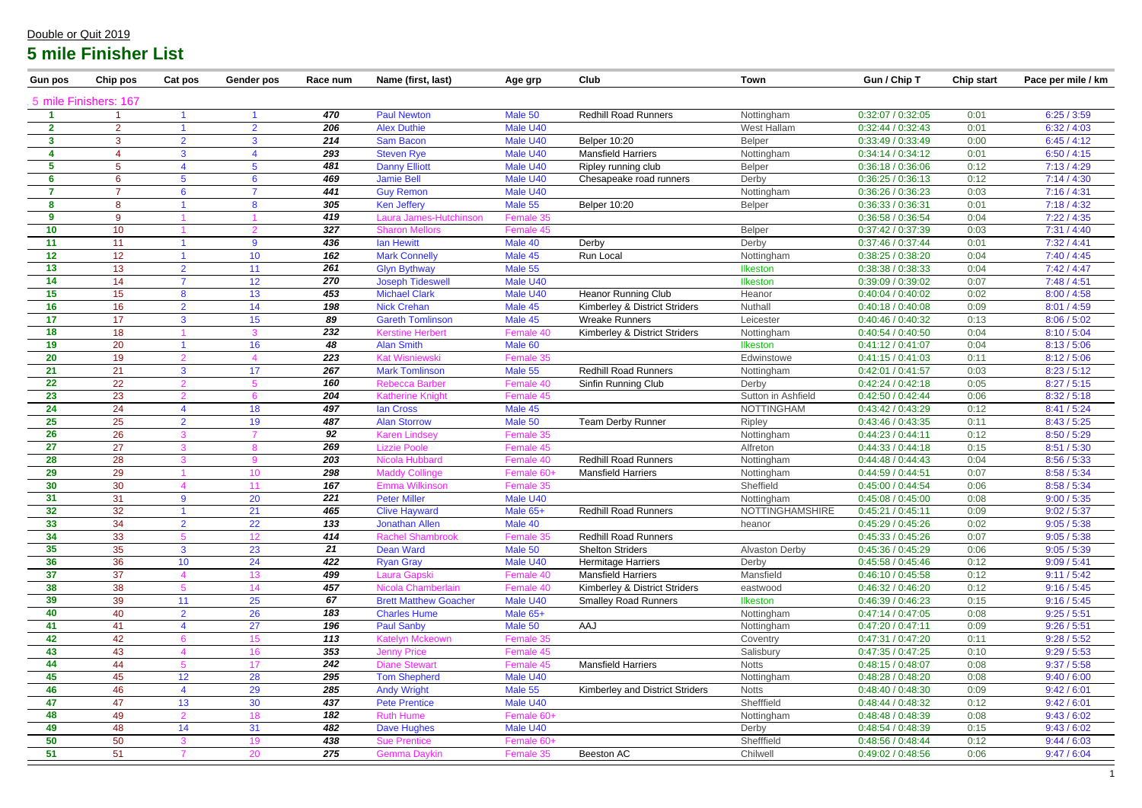| <b>Gun pos</b> | Chip pos              | Cat pos         | <b>Gender pos</b> | Race num | Name (first, last)           | Age grp    | Club                                   | <b>Town</b>           | Gun / Chip T      | <b>Chip start</b> | Pace per mile / km |
|----------------|-----------------------|-----------------|-------------------|----------|------------------------------|------------|----------------------------------------|-----------------------|-------------------|-------------------|--------------------|
|                | 5 mile Finishers: 167 |                 |                   |          |                              |            |                                        |                       |                   |                   |                    |
|                |                       |                 |                   | 470      | <b>Paul Newton</b>           | Male 50    | <b>Redhill Road Runners</b>            | Nottingham            | 0:32:07/0:32:05   | 0:01              | 6:25/3:59          |
| $\mathbf{2}$   | $\overline{2}$        |                 | $\mathcal{P}$     | 206      | <b>Alex Duthie</b>           | Male U40   |                                        | West Hallam           | 0:32:44 / 0:32:43 | 0:01              | 6:32 / 4:03        |
| -3             | 3                     | $\mathcal{P}$   | 3                 | 214      | <b>Sam Bacon</b>             | Male U40   | <b>Belper 10:20</b>                    | Belper                | 0:33:49/0:33:49   | 0:00              | 6:45/4:12          |
| A              |                       | 3               |                   | 293      | <b>Steven Rye</b>            | Male U40   | <b>Mansfield Harriers</b>              | Nottingham            | 0:34:14 / 0:34:12 | 0:01              | 6:50 / 4:15        |
| 5              | 5                     |                 |                   | 481      | <b>Danny Elliott</b>         | Male U40   | Ripley running club                    | Belper                | 0:36:18 / 0:36:06 | 0:12              | 7:13/4:29          |
| 6              | $6^{\circ}$           |                 | 6                 | 469      | <b>Jamie Bell</b>            | Male U40   | Chesapeake road runners                | Derby                 | 0:36:25 / 0:36:13 | 0:12              | 7:14/4:30          |
|                | $\overline{7}$        | 6               |                   | 441      | <b>Guy Remon</b>             | Male U40   |                                        | Nottingham            | 0:36:26 / 0:36:23 | 0:03              | 7:16 / 4:31        |
| -8             | 8                     |                 | 8                 | 305      | <b>Ken Jeffery</b>           | Male 55    | <b>Belper 10:20</b>                    | <b>Belper</b>         | 0:36:33 / 0:36:31 | 0:01              | 7:18/4:32          |
| 9              | 9                     |                 |                   | 419      | Laura James-Hutchinson       | Female 35  |                                        |                       | 0:36:58 / 0:36:54 | 0:04              | 7:22/4:35          |
| 10             | 10 <sup>°</sup>       |                 |                   | 327      | <b>Sharon Mellors</b>        | Female 45  |                                        | Belper                | 0:37:42 / 0:37:39 | 0:03              | 7:31 / 4:40        |
| 11             | 11                    |                 | 9                 | 436      | <b>lan Hewitt</b>            | Male 40    | Derby                                  | Derby                 | 0:37:46 / 0:37:44 | 0:01              | 7:32 / 4:41        |
| 12             | 12                    |                 | 10                | 162      | <b>Mark Connelly</b>         | Male 45    | Run Local                              | Nottingham            | 0:38:25 / 0:38:20 | 0:04              | 7:40/4:45          |
| 13             | 13                    | 2               | 11                | 261      | <b>Glyn Bythway</b>          | Male 55    |                                        | <b>Ilkeston</b>       | 0:38:38 / 0:38:33 | 0:04              | 7:42/4:47          |
| 14             | 14                    |                 | 12                | 270      | <b>Joseph Tideswell</b>      | Male U40   |                                        | Ilkeston              | 0:39:09 / 0:39:02 | 0:07              | 7:48 / 4:51        |
| 15             | 15                    | 8               | 13                | 453      | <b>Michael Clark</b>         | Male U40   | <b>Heanor Running Club</b>             | Heanor                | 0:40:04 / 0:40:02 | 0:02              | 8:00 / 4:58        |
| 16             | 16                    | $\overline{2}$  | 14                | 198      | <b>Nick Crehan</b>           | Male 45    | Kimberley & District Striders          | Nuthall               | 0:40:18 / 0:40:08 | 0:09              | 8:01 / 4:59        |
| 17             | 17                    | 3               | 15                | 89       | <b>Gareth Tomlinson</b>      | Male 45    | <b>Wreake Runners</b>                  | Leicester             | 0:40:46 / 0:40:32 | 0:13              | 8:06 / 5:02        |
| 18             | 18                    |                 |                   | 232      | <b>Kerstine Herbert</b>      | Female 40  | Kimberley & District Striders          | Nottingham            | 0:40:54 / 0:40:50 | 0:04              | 8:10/5:04          |
| 19             | 20                    |                 | 16                | 48       | <b>Alan Smith</b>            | Male 60    |                                        | Ilkeston              | 0:41:12 / 0:41:07 | 0:04              | 8:13/5:06          |
| 20             | 19                    |                 |                   | 223      | <b>Kat Wisniewski</b>        | Female 35  |                                        | Edwinstowe            | 0:41:15/0:41:03   | 0:11              | 8:12 / 5:06        |
| 21             | 21                    | 3               | 17                | 267      | <b>Mark Tomlinson</b>        | Male 55    | <b>Redhill Road Runners</b>            | Nottingham            | 0:42:01 / 0:41:57 | 0:03              | 8:23 / 5:12        |
| 22             | 22                    |                 |                   | 160      | <b>Rebecca Barber</b>        | Female 40  | Sinfin Running Club                    | Derby                 | 0:42:24 / 0:42:18 | 0:05              | 8:27 / 5:15        |
| 23             | 23                    |                 |                   | 204      | <b>Katherine Knight</b>      | Female 45  |                                        | Sutton in Ashfield    | 0:42:50 / 0:42:44 | 0:06              | 8:32 / 5:18        |
| 24             | 24                    |                 | 18                | 497      | lan Cross                    | Male 45    |                                        | <b>NOTTINGHAM</b>     | 0:43:42 / 0:43:29 | 0:12              | 8:41 / 5:24        |
| 25             | 25                    | $\overline{2}$  | 19                | 487      | <b>Alan Storrow</b>          | Male 50    | Team Derby Runner                      | <b>Ripley</b>         | 0:43:46 / 0:43:35 | 0:11              | 8:43/5:25          |
| 26             | 26                    |                 |                   | 92       | <b>Karen Lindsey</b>         | Female 35  |                                        | Nottingham            | 0:44:23/0:44:11   | 0:12              | 8:50 / 5:29        |
| 27             | 27                    |                 |                   | 269      | <b>Lizzie Poole</b>          | Female 45  |                                        | Alfreton              | 0:44:33 / 0:44:18 | 0:15              | 8:51 / 5:30        |
| 28             | 28                    |                 |                   | 203      | Nicola Hubbard               | Female 40  | <b>Redhill Road Runners</b>            | Nottingham            | 0:44:48 / 0:44:43 | 0:04              | 8:56 / 5:33        |
| 29             | 29                    |                 | 10 <sup>1</sup>   | 298      | <b>Maddy Collinge</b>        | Female 60+ | <b>Mansfield Harriers</b>              | Nottingham            | 0:44:59 / 0:44:51 | 0:07              | 8:58 / 5:34        |
| 30             | 30                    |                 |                   | 167      | <b>Emma Wilkinson</b>        | Female 35  |                                        | Sheffield             | 0:45:00 / 0:44:54 | 0:06              | 8:58 / 5:34        |
| 31             | 31                    | 9               | 20                | 221      | <b>Peter Miller</b>          | Male U40   |                                        | Nottingham            | 0:45:08 / 0:45:00 | 0:08              | 9:00 / 5:35        |
| 32             | 32                    |                 | 21                | 465      | <b>Clive Hayward</b>         | Male 65+   | <b>Redhill Road Runners</b>            | NOTTINGHAMSHIRE       | 0:45:21 / 0:45:11 | 0:09              | 9:02 / 5:37        |
| 33             | 34                    | $\overline{2}$  | 22                | 133      | <b>Jonathan Allen</b>        | Male 40    |                                        | heanor                | 0:45:29/0:45:26   | 0:02              | 9:05 / 5:38        |
| 34             | 33                    |                 | 12                | 414      | <b>Rachel Shambrook</b>      | Female 35  | <b>Redhill Road Runners</b>            |                       | 0:45:33 / 0:45:26 | 0:07              | 9:05 / 5:38        |
| 35             | 35                    | 3               | 23                | 21       | Dean Ward                    | Male 50    | <b>Shelton Striders</b>                | <b>Alvaston Derby</b> | 0:45:36 / 0:45:29 | 0:06              | 9:05 / 5:39        |
| 36             | 36                    | 10 <sup>°</sup> | 24                | 422      | <b>Ryan Gray</b>             | Male U40   | <b>Hermitage Harriers</b>              | Derby                 | 0:45:58 / 0:45:46 | 0:12              | 9:09 / 5:41        |
| 37             | 37                    |                 | 13                | 499      | Laura Gapski                 | Female 40  | <b>Mansfield Harriers</b>              | Mansfield             | 0:46:10 / 0:45:58 | 0:12              | 9:11 / 5:42        |
| 38             | 38                    |                 | 14                | 457      | Nicola Chamberlain           | Female 40  | Kimberley & District Striders          | eastwood              | 0:46:32 / 0:46:20 | 0:12              | 9:16 / 5:45        |
| 39             | 39                    | 11              | 25                | 67       | <b>Brett Matthew Goacher</b> | Male U40   | <b>Smalley Road Runners</b>            | <b>Ilkeston</b>       | 0:46:39 / 0:46:23 | 0:15              | 9:16 / 5:45        |
| 40             | 40                    | $\overline{2}$  | 26                | 183      | <b>Charles Hume</b>          | Male $65+$ |                                        | Nottingham            | 0:47:14/0:47:05   | 0:08              | 9:25 / 5:51        |
| 41             | 41                    |                 | 27                | 196      | <b>Paul Sanby</b>            | Male 50    | AAJ                                    | Nottingham            | 0:47:20 / 0:47:11 | 0:09              | 9:26 / 5:51        |
| 42             | 42                    |                 | 15                | 113      | <b>Katelyn Mckeown</b>       | Female 35  |                                        | Coventry              | 0:47:31 / 0:47:20 | 0:11              | 9:28 / 5:52        |
| 43             | 43                    |                 | 16                | 353      | <b>Jenny Price</b>           | Female 45  |                                        | Salisbury             | 0:47:35 / 0:47:25 | 0:10              | 9:29 / 5:53        |
| 44             | 44                    |                 | 17                | 242      | <b>Diane Stewart</b>         | Female 45  | <b>Mansfield Harriers</b>              | <b>Notts</b>          | 0:48:15/0:48:07   | 0:08              | 9:37 / 5:58        |
| 45             | 45                    | 12              | 28                | 295      | <b>Tom Shepherd</b>          | Male U40   |                                        | Nottingham            | 0:48:28 / 0:48:20 | 0:08              | 9:40 / 6:00        |
| 46             | 46                    |                 | 29                | 285      | <b>Andy Wright</b>           | Male 55    | <b>Kimberley and District Striders</b> | <b>Notts</b>          | 0:48:40 / 0:48:30 | 0:09              | 9:42 / 6:01        |
| 47             | 47                    | 13              | 30                | 437      | <b>Pete Prentice</b>         | Male U40   |                                        | Shefffield            | 0:48:44 / 0:48:32 | 0:12              | 9:42 / 6:01        |
| 48             | 49                    |                 | 18                | 182      | <b>Ruth Hume</b>             | Female 60+ |                                        | Nottingham            | 0:48:48 / 0:48:39 | 0:08              | 9:43/6:02          |
| 49             | 48                    | 14              | 31                | 482      | <b>Dave Hughes</b>           | Male U40   |                                        | Derby                 | 0:48:54 / 0:48:39 | 0:15              | 9:43 / 6:02        |
| 50             | 50                    |                 | 19                | 438      | <b>Sue Prentice</b>          | Female 60+ |                                        | Shefffield            | 0:48:56 / 0:48:44 | 0:12              | 9:44 / 6:03        |
| 51             | 51                    |                 | 20                | 275      | Gemma Daykin                 | Female 35  | Beeston AC                             | Chilwell              | 0:49:02 / 0:48:56 | 0:06              | 9:47 / 6:04        |

| Gun / Chip T | <b>Chip start</b> | Pace per mile / km |
|--------------|-------------------|--------------------|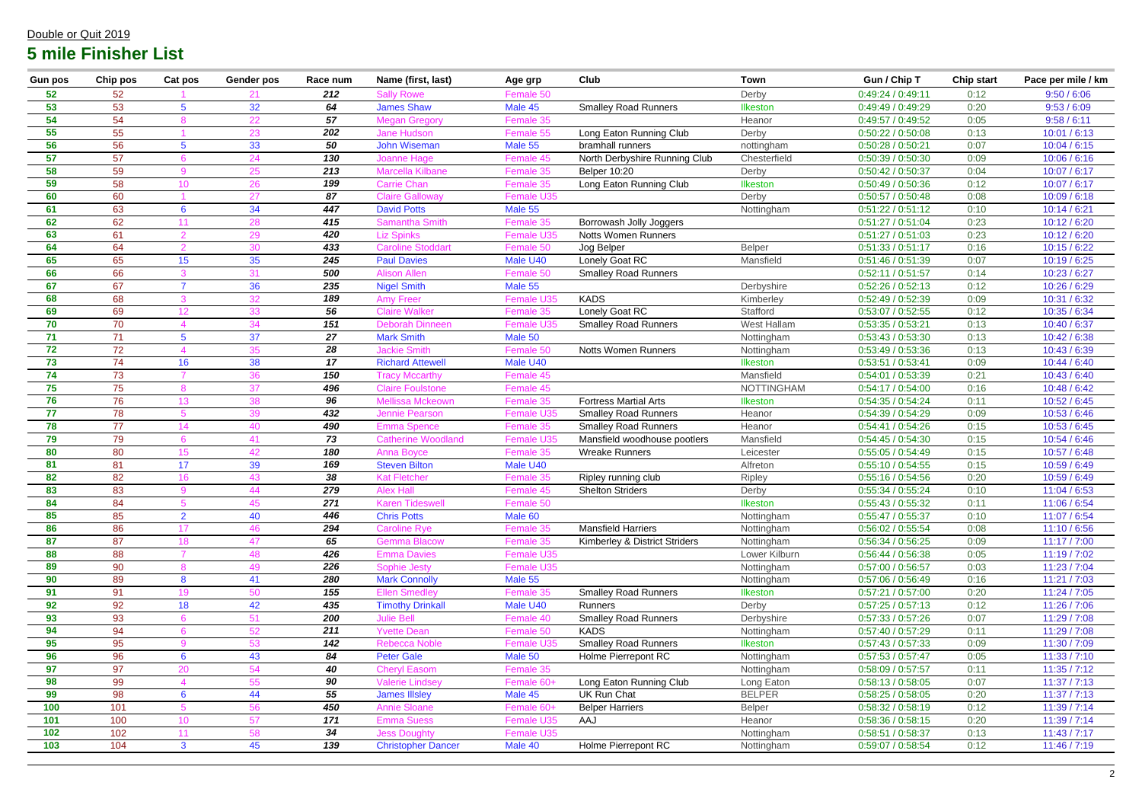| <b>Gun pos</b> | <b>Chip pos</b> | Cat pos         | Gender pos | Race num         | Name (first, last)                           | Age grp              | Club                                          | <b>Town</b>                   | Gun / Chip T                           | <b>Chip start</b> | Pace per mile / km           |
|----------------|-----------------|-----------------|------------|------------------|----------------------------------------------|----------------------|-----------------------------------------------|-------------------------------|----------------------------------------|-------------------|------------------------------|
| 52             | 52              |                 | 21         | 212              | <b>Sally Rowe</b>                            | Female 50            |                                               | Derby                         | 0:49:24 / 0:49:11                      | 0:12              | 9:50 / 6:06                  |
| 53             | 53              | 5               | 32         | 64               | <b>James Shaw</b>                            | Male 45              | <b>Smalley Road Runners</b>                   | <b>Ilkeston</b>               | 0:49:49 / 0:49:29                      | 0:20              | 9:53 / 6:09                  |
| 54             | 54              |                 | 22         | 57               | <b>Megan Gregory</b>                         | Female 35            |                                               | Heanor                        | 0:49:57 / 0:49:52                      | 0:05              | 9:58 / 6:11                  |
| 55             | 55              |                 | 23         | 202              | <b>Jane Hudson</b>                           | Female 55            | Long Eaton Running Club                       | Derby                         | 0:50:22 / 0:50:08                      | 0:13              | 10:01 / 6:13                 |
| 56             | 56              | 5               | 33         | 50               | <b>John Wiseman</b>                          | Male 55              | bramhall runners                              | nottingham                    | 0:50:28 / 0:50:21                      | 0:07              | 10:04 / 6:15                 |
| 57             | 57              |                 | 24         | 130              | <b>Joanne Hage</b>                           | Female 45            | North Derbyshire Running Club                 | Chesterfield                  | 0:50:39 / 0:50:30                      | 0:09              | 10:06 / 6:16                 |
| 58             | 59              | $\Omega$        | 25         | 213              | <b>Marcella Kilbane</b>                      | Female 35            | <b>Belper 10:20</b>                           | Derby                         | 0:50:42 / 0:50:37                      | 0:04              | 10:07 / 6:17                 |
| 59             | 58              | 10              | 26         | 199              | <b>Carrie Chan</b>                           | Female 35            | Long Eaton Running Club                       | Ilkeston                      | 0:50:49 / 0:50:36                      | 0:12              | 10:07 / 6:17                 |
| 60             | 60              |                 | 27         | 87               | <b>Claire Galloway</b>                       | Female U35           |                                               | Derby                         | 0:50:57 / 0:50:48                      | 0:08              | 10:09 / 6:18                 |
| 61             | 63              | 6               | 34         | 447              | <b>David Potts</b>                           | Male 55              |                                               | Nottingham                    | 0:51:22 / 0:51:12                      | 0:10              | 10:14 / 6:21                 |
| 62             | 62              | 11              | 28         | 415              | <b>Samantha Smith</b>                        | Female 35            | Borrowash Jolly Joggers                       |                               | 0:51:27 / 0:51:04                      | 0:23              | 10:12 / 6:20                 |
| 63             | 61              |                 | 29         | 420              | <b>Liz Spinks</b>                            | Female U35           | <b>Notts Women Runners</b>                    |                               | 0:51:27 / 0:51:03                      | 0:23              | 10:12 / 6:20                 |
| 64             | 64              |                 | 30         | 433              | <b>Caroline Stoddart</b>                     | Female 50            | Jog Belper                                    | Belper                        | 0:51:33 / 0:51:17                      | 0:16              | 10:15 / 6:22                 |
| 65             | 65              | 15              | 35         | 245              | <b>Paul Davies</b>                           | Male U40             | Lonely Goat RC                                | Mansfield                     | 0:51:46 / 0:51:39                      | 0:07              | 10:19 / 6:25                 |
| 66             | 66              |                 | 31         | 500              | <b>Alison Allen</b>                          | Female 50            | <b>Smalley Road Runners</b>                   |                               | 0:52:11 / 0:51:57                      | 0:14              | 10:23 / 6:27                 |
| 67             | 67              |                 | 36         | 235              | <b>Nigel Smith</b>                           | Male 55              |                                               | Derbyshire                    | 0:52:26 / 0:52:13                      | 0:12              | 10:26 / 6:29                 |
| 68             | 68              |                 | 32         | 189              | <b>Amy Freer</b>                             | Female U35           | <b>KADS</b>                                   | Kimberley                     | 0:52:49/0:52:39                        | 0:09              | 10:31 / 6:32                 |
| 69             | 69              | 12 <sup>°</sup> | 33         | 56               | <b>Claire Walker</b>                         | Female 35            | Lonely Goat RC                                | Stafford                      | 0:53:07/0:52:55                        | 0:12              | 10:35 / 6:34                 |
| 70             | 70              |                 | 34         | 151              | <b>Deborah Dinneen</b>                       | Female U35           | <b>Smalley Road Runners</b>                   | West Hallam                   | 0:53:35 / 0:53:21                      | 0:13              | 10:40 / 6:37                 |
| 71             | 71              | 5               | 37         | 27               | <b>Mark Smith</b>                            | Male 50              |                                               | Nottingham                    | 0:53:43 / 0:53:30                      | 0:13              | 10:42 / 6:38                 |
| 72             | 72              |                 | 35         | 28               | <b>Jackie Smith</b>                          | Female 50            | <b>Notts Women Runners</b>                    | Nottingham                    | 0:53:49/0:53:36                        | 0:13              | 10:43 / 6:39                 |
| 73             | 74              | 16              | 38         | 17               | <b>Richard Attewell</b>                      | Male U40             |                                               | Ilkeston                      | 0:53:51 / 0:53:41                      | 0:09              | 10:44 / 6:40                 |
| 74             | 73              |                 | 36         | 150              | <b>Tracy Mccarthy</b>                        | Female 45            |                                               | Mansfield                     | 0:54:01 / 0:53:39                      | 0:21              | 10:43 / 6:40                 |
| 75             | 75              |                 | 37         | 496              | <b>Claire Foulstone</b>                      | Female 45            |                                               | <b>NOTTINGHAM</b>             | 0:54:17 / 0:54:00                      | 0:16              | 10:48 / 6:42                 |
| 76             | 76              | 13              | 38         | 96               | Mellissa Mckeown                             | Female 35            | <b>Fortress Martial Arts</b>                  | Ilkeston                      | 0:54:35 / 0:54:24                      | 0:11              | 10:52 / 6:45                 |
| 77             | 78              | 5               | 39         | 432              | Jennie Pearson                               | Female U35           | <b>Smalley Road Runners</b>                   | Heanor                        | 0:54:39 / 0:54:29                      | 0:09              | 10:53 / 6:46                 |
| 78             | 77              | 14              | 40         | 490              | <b>Emma Spence</b>                           | Female 35            | <b>Smalley Road Runners</b>                   | Heanor                        | 0:54:41 / 0:54:26                      | 0:15              | 10:53 / 6:45                 |
| 79             | 79              |                 | 41         | 73               | <b>Catherine Woodland</b>                    | Female U35           | Mansfield woodhouse pootlers                  | Mansfield                     | 0:54:45 / 0:54:30                      | 0:15              | 10:54 / 6:46                 |
| 80             | 80              | 15              | 42         | 180              | <b>Anna Boyce</b>                            | Female 35            | <b>Wreake Runners</b>                         | Leicester                     | 0:55:05/0:54:49                        | 0:15              | 10:57 / 6:48                 |
| 81             | 81              | 17              | 39         | 169              | <b>Steven Bilton</b>                         | Male U40             |                                               | Alfreton                      | 0:55:10/0:54:55                        | 0:15              | 10:59 / 6:49                 |
| 82             | 82              | 16              | 43         | 38               | <b>Kat Fletcher</b>                          | Female 35            | Ripley running club                           | Ripley                        | 0:55:16 / 0:54:56                      | 0:20              | 10:59 / 6:49                 |
| 83             | 83              |                 | 44         | 279              | <b>Alex Hall</b>                             | Female 45            | <b>Shelton Striders</b>                       | Derby                         | 0:55:34 / 0:55:24                      | 0:10              | 11:04 / 6:53                 |
| 84             | 84              |                 | 45.        | $\overline{271}$ | Karen Tideswell                              | <b>Female 50</b>     |                                               | Ilkeston                      | 0:55:43 / 0:55:32                      | 0:11              | 11:06 / 6:54                 |
| 85             | 85              | $\overline{2}$  | 40         | 446              | <b>Chris Potts</b>                           | Male 60              |                                               | Nottingham                    | 0:55:47/0:55:37                        | 0:10              | 11:07 / 6:54                 |
| 86             | 86              | 17              | 46         | 294              | <b>Caroline Rye</b>                          | Female 35            | <b>Mansfield Harriers</b>                     | Nottingham                    | 0:56:02 / 0:55:54                      | 0:08              | 11:10/6:56                   |
| 87             | 87              | 18              | 47         | 65               | <b>Gemma Blacow</b>                          | Female 35            | Kimberley & District Striders                 | Nottingham                    | 0:56:34 / 0:56:25                      | 0:09              | 11:17/7:00                   |
| 88             | 88              |                 | 48         | 426              | <b>Emma Davies</b>                           | Female U35           |                                               | Lower Kilburn                 | 0:56:44 / 0:56:38                      | 0:05              | 11:19 / 7:02                 |
| 89<br>90       | 90<br>89        | 8               | 49         | 226<br>280       | <b>Sophie Jesty</b>                          | Female U35           |                                               | Nottingham                    | 0:57:00 / 0:56:57                      | 0:03              | 11:23 / 7:04                 |
| 91             | 91              | 19              | 41<br>50   | 155              | <b>Mark Connolly</b><br><b>Ellen Smedley</b> | Male 55<br>Female 35 | <b>Smalley Road Runners</b>                   | Nottingham<br>Ilkeston        | 0:57:06 / 0:56:49<br>0:57:21 / 0:57:00 | 0:16<br>0:20      | 11:21 / 7:03<br>11:24 / 7:05 |
| 92             | 92              | 18              | 42         | 435              | <b>Timothy Drinkall</b>                      | Male U40             | Runners                                       | Derby                         | 0:57:25/0:57:13                        | 0:12              | 11:26 / 7:06                 |
| 93             | 93              |                 | 51         | 200              | <b>Julie Bell</b>                            | Female 40            | <b>Smalley Road Runners</b>                   | Derbyshire                    | 0:57:33 / 0:57:26                      | 0:07              | 11:29 / 7:08                 |
| 94             | 94              |                 | 52         | 211              | <b>Yvette Dean</b>                           | Female 50            | <b>KADS</b>                                   |                               |                                        | 0:11              | 11:29 / 7:08                 |
| 95             | 95              | $\Omega$        | 53         | 142              | Rebecca Noble                                | Female U35           | <b>Smalley Road Runners</b>                   | Nottingham<br><b>Ilkeston</b> | 0:57:40/0:57:29<br>0:57:43 / 0:57:33   | 0:09              | 11:30 / 7:09                 |
| 96             | 96              | 6               |            | 84               | <b>Peter Gale</b>                            |                      | Holme Pierrepont RC                           |                               |                                        |                   | 11:33 / 7:10                 |
| 97             | 97              | <b>20</b>       | 43<br>54   | 40               | <b>Cheryl Easom</b>                          | Male 50<br>Female 35 |                                               | Nottingham<br>Nottingham      | 0:57:53 / 0:57:47<br>0:58:09 / 0:57:57 | 0:05<br>0:11      | 11:35 / 7:12                 |
| 98             | 99              |                 | 55         | 90               | <b>Valerie Lindsey</b>                       | Female 60+           |                                               |                               | 0:58:13 / 0:58:05                      | 0:07              | 11:37 / 7:13                 |
| 99             | 98              | 6               | 44         | 55               | <b>James Illsley</b>                         | Male 45              | Long Eaton Running Club<br><b>UK Run Chat</b> | Long Eaton<br><b>BELPER</b>   | 0:58:25 / 0:58:05                      | 0:20              | 11:37 / 7:13                 |
| 100            | 101             |                 | 56         | 450              | <b>Annie Sloane</b>                          | Female 60+           | <b>Belper Harriers</b>                        | Belper                        | 0:58:32 / 0:58:19                      | 0:12              | 11:39 / 7:14                 |
| 101            | 100             | 10 <sup>°</sup> | 57         | 171              | <b>Emma Suess</b>                            | Female U35           | AAJ                                           | Heanor                        | 0:58:36 / 0:58:15                      | 0:20              | 11:39 / 7:14                 |
| 102            | 102             | 11              |            | 34               |                                              |                      |                                               |                               |                                        |                   |                              |
|                |                 |                 | 58         |                  | <b>Jess Doughty</b>                          | Female U35           |                                               | Nottingham                    | 0:58:51 / 0:58:37                      | 0:13              | 11:43 / 7:17                 |
| 103            | 104             | 3               | 45         | 139              | <b>Christopher Dancer</b>                    | Male 40              | Holme Pierrepont RC                           | Nottingham                    | 0:59:07 / 0:58:54                      | 0:12              | 11:46 / 7:19                 |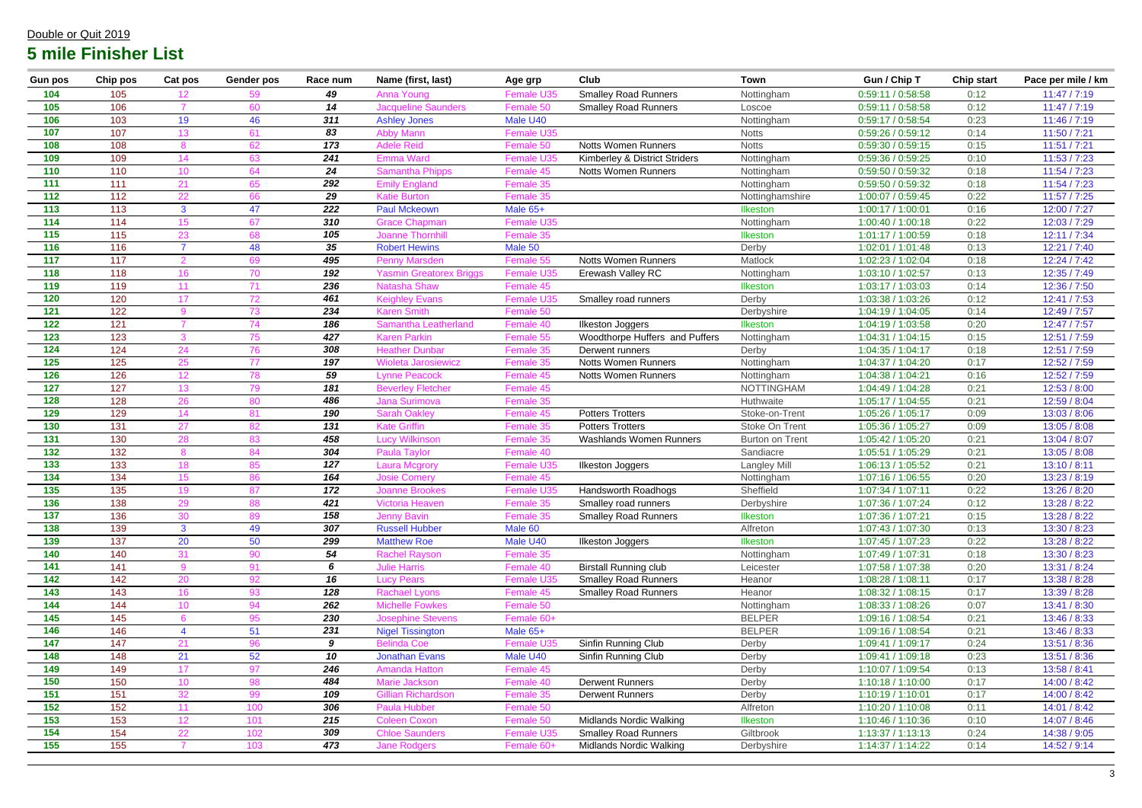| 104<br><b>Smalley Road Runners</b><br>49<br>105<br>Female U35<br>Nottingham<br>0:59:11 / 0:58:58<br>0:12<br>11:47 / 7:19<br>Anna Young<br>106<br>105<br>14<br>0:12<br>11:47 / 7:19<br><b>Jacqueline Saunders</b><br><b>Smalley Road Runners</b><br>0:59:11 / 0:58:58<br>60<br>Female 50<br>Loscoe<br>106<br>311<br>103<br>19<br>46<br>Male U40<br>0:23<br>11:46 / 7:19<br><b>Ashley Jones</b><br>Nottingham<br>0:59:17 / 0:58:54<br>107<br>107<br>83<br>11:50 / 7:21<br>13 <sup>°</sup><br>Female U35<br>0:59:26 / 0:59:12<br>0:14<br>61<br><b>Abby Mann</b><br><b>Notts</b><br>108<br>108<br>173<br><b>Adele Reid</b><br><b>Notts Women Runners</b><br>11:51 / 7:21<br>62<br><b>Notts</b><br>0:59:30 / 0:59:15<br>0:15<br>Female 50<br>109<br>109<br>241<br>11:53 / 7:23<br>Kimberley & District Striders<br>0:59:36 / 0:59:25<br>0:10<br>14<br>63<br><b>Female U35</b><br>Nottingham<br><b>Emma Ward</b><br>110<br>24<br>110<br>11:54 / 7:23<br><b>Samantha Phipps</b><br><b>Notts Women Runners</b><br>0:59:50 / 0:59:32<br>0:18<br>10<br>64<br>Female 45<br>Nottingham<br>11:54 / 7:23<br>111<br>111<br>292<br>Female 35<br>21<br><b>Emily England</b><br>Nottingham<br>0:59:50 / 0:59:32<br>0:18<br>65<br>112<br>112<br>29<br>0:22<br>11:57 / 7:25<br>22<br><b>Katie Burton</b><br>Female 35<br>1:00:07 / 0:59:45<br>66<br>Nottinghamshire<br>113<br>113<br>47<br>222<br>Male 65+<br>0:16<br>12:00 / 7:27<br>3<br><b>Paul Mckeown</b><br>Ilkeston<br>1:00:17 / 1:00:01<br>114<br>114<br>310<br>0:22<br>12:03 / 7:29<br>15 <sub>1</sub><br>1:00:40 / 1:00:18<br>67<br>Nottingham<br><b>Grace Chapman</b><br><b>Female U35</b><br>115<br>115<br>105<br>1:01:17 / 1:00:59<br>0:18<br>12:11 / 7:34<br>23<br>68<br><b>Joanne Thornhill</b><br>Female 35<br>Ilkeston<br>116<br>$35\,$<br>116<br>48<br><b>Robert Hewins</b><br>Male 50<br>12:21 / 7:40<br>Derby<br>1:02:01 / 1:01:48<br>0:13<br>117<br>117<br>495<br>1:02:23 / 1:02:04<br>0:18<br>12:24 / 7:42<br>69<br><b>Penny Marsden</b><br><b>Notts Women Runners</b><br>Matlock<br>Female 55<br>118<br>192<br>118<br>12:35 / 7:49<br>16<br>Erewash Valley RC<br>1:03:10 / 1:02:57<br>0:13<br>70<br>Yasmin Greatorex Briggs<br>Female U35<br>Nottingham<br>119<br>119<br>12:36 / 7:50<br>236<br><b>Natasha Shaw</b><br>1:03:17 / 1:03:03<br>0:14<br>11<br>Female 45<br><b>Ilkeston</b><br>120<br>120<br>461<br>12:41 / 7:53<br>72<br><b>Keighley Evans</b><br><b>Female U35</b><br>Derby<br>1:03:38 / 1:03:26<br>0:12<br>17<br>Smalley road runners<br>122<br>12:49 / 7:57<br>121<br>234<br>0:14<br>73<br><b>Karen Smith</b><br>Female 50<br>Derbyshire<br>1:04:19 / 1:04:05<br>122<br>121<br>186<br>0:20<br>12:47 / 7:57<br>74<br>1:04:19 / 1:03:58<br><b>Ilkeston Joggers</b><br>Ilkeston<br>Samantha Leatherland<br>Female 40<br>123<br>123<br>427<br>75<br><b>Karen Parkin</b><br>Woodthorpe Huffers and Puffers<br>1:04:31 / 1:04:15<br>0:15<br>12:51 / 7:59<br>Female 55<br>Nottingham<br>124<br>124<br>308<br>1:04:35 / 1:04:17<br>0:18<br>12:51 / 7:59<br>24<br>76<br><b>Heather Dunbar</b><br>Female 35<br>Derby<br>Derwent runners<br>125<br>12:52 / 7:59<br>125<br>25<br>77<br>197<br>1:04:37 / 1:04:20<br>0:17<br><b>Wioleta Jarosiewicz</b><br>Female 35<br><b>Notts Women Runners</b><br>Nottingham<br>126<br>126<br>59<br>12:52 / 7:59<br>12 <sub>2</sub><br>78<br><b>Lynne Peacock</b><br>1:04:38 / 1:04:21<br>0:16<br><b>Notts Women Runners</b><br>Female 45<br>Nottingham<br>127<br>127<br>13 <sup>°</sup><br>79<br>181<br><b>NOTTINGHAM</b><br>0:21<br>12:53 / 8:00<br><b>Beverley Fletcher</b><br>Female 45<br>1:04:49 / 1:04:28<br>128<br>128<br>26<br>486<br>0:21<br>12:59 / 8:04<br>80<br><b>Jana Surimova</b><br>Female 35<br>Huthwaite<br>1:05:17 / 1:04:55<br>129<br>129<br>13:03 / 8:06<br>14<br>190<br><b>Potters Trotters</b><br>Stoke-on-Trent<br>1:05:26 / 1:05:17<br>0:09<br>81<br><b>Sarah Oakley</b><br>Female 45<br>130<br>131<br>131<br>27<br>82<br><b>Kate Griffin</b><br>Stoke On Trent<br>0:09<br>13:05 / 8:08<br>Female 35<br><b>Potters Trotters</b><br>1:05:36 / 1:05:27<br>131<br>130<br>28<br>458<br>1:05:42 / 1:05:20<br>0:21<br>13:04 / 8:07<br>83<br><b>Washlands Women Runners</b><br><b>Burton on Trent</b><br><b>Lucy Wilkinson</b><br>Female 35<br>132<br>304<br>132<br>0:21<br>84<br>Female 40<br>Sandiacre<br>1:05:51 / 1:05:29<br>13:05 / 8:08<br><b>Paula Taylor</b><br>133<br>133<br>127<br>0:21<br>13:10 / 8:11<br>18<br><b>Langley Mill</b><br>1:06:13 / 1:05:52<br>85<br><b>Laura Mcgrory</b><br><b>Female U35</b><br><b>Ilkeston Joggers</b><br>164<br>134<br>134<br><b>Josie Comery</b><br>Female 45<br>0:20<br>13:23 / 8:19<br>15 <sup>1</sup><br>86<br>1:07:16 / 1:06:55<br>Nottingham<br>135<br>135<br>19<br>87<br>172<br>Handsworth Roadhogs<br>1:07:34 / 1:07:11<br>0:22<br>13:26 / 8:20<br><b>Joanne Brookes</b><br>Sheffield<br>Female U35<br>136<br>421<br>1:07:36 / 1:07:24<br>138<br>0:12<br>13:28 / 8:22<br>Smalley road runners<br>Derbyshire<br>/ictoria Heaven<br><b>Female 35</b><br>ԾԾ<br>137<br>136<br>158<br>13:28 / 8:22<br>30<br>89<br><b>Jenny Bavin</b><br><b>Smalley Road Runners</b><br>Ilkeston<br>1:07:36 / 1:07:21<br>0:15<br>Female 35<br>138<br>139<br>307<br><b>Russell Hubber</b><br>$\mathbf{3}$<br>49<br>Male 60<br>Alfreton<br>1:07:43 / 1:07:30<br>13:30 / 8:23<br>0:13<br>139<br>137<br>20<br>50<br>Male U40<br>13:28 / 8:22<br>299<br><b>Matthew Roe</b><br>Ilkeston<br>1:07:45 / 1:07:23<br>0:22<br>Ilkeston Joggers<br>54<br>140<br>140<br><b>Rachel Rayson</b><br>31<br>90<br>Female 35<br>Nottingham<br>1:07:49 / 1:07:31<br>0:18<br>13:30 / 8:23<br>141<br>141<br>0:20<br>91<br>6<br><b>Julie Harris</b><br><b>Birstall Running club</b><br>1:07:58 / 1:07:38<br>13:31 / 8:24<br>Female 40<br>Leicester<br>142<br>16<br>142<br><b>Lucy Pears</b><br>13:38 / 8:28<br>20<br>92<br>Female U35<br><b>Smalley Road Runners</b><br>1:08:28 / 1:08:11<br>0:17<br>Heanor<br>143<br>143<br>16 <sup>°</sup><br>128<br><b>Rachael Lyons</b><br><b>Smalley Road Runners</b><br>13:39 / 8:28<br>93<br>Female 45<br>Heanor<br>1:08:32 / 1:08:15<br>0:17<br>144<br>262<br>144<br><b>Michelle Fowkes</b><br>Female 50<br>1:08:33 / 1:08:26<br>0:07<br>13:41 / 8:30<br>10<br>94<br>Nottingham<br><b>BELPER</b><br>145<br>145<br>230<br>0:21<br>95<br><b>Josephine Stevens</b><br>Female 60+<br>1:09:16 / 1:08:54<br>13:46 / 8:33<br>146<br>146<br>231<br>51<br><b>Nigel Tissington</b><br>Male 65+<br><b>BELPER</b><br>0:21<br>13:46 / 8:33<br>1:09:16 / 1:08:54<br>147<br>Sinfin Running Club<br>147<br><b>Belinda Coe</b><br>13:51 / 8:36<br>21<br>96<br>9<br>Female U35<br>Derby<br>1:09:41 / 1:09:17<br>0:24<br>148<br>21<br>10<br>52<br>Male U40<br>Sinfin Running Club<br>148<br><b>Jonathan Evans</b><br>1:09:41 / 1:09:18<br>0:23<br>13:51 / 8:36<br>Derby<br>149<br>149<br>13:58 / 8:41<br>17<br>97<br>246<br><b>Amanda Hatton</b><br>Female 45<br>Derby<br>1:10:07 / 1:09:54<br>0:13<br>150<br>150<br>484<br>10 <sup>°</sup><br>98<br>Marie Jackson<br><b>Derwent Runners</b><br>Derby<br>0:17<br>14:00 / 8:42<br>Female 40<br>1:10:18 / 1:10:00<br>151<br>151<br>14:00 / 8:42<br>109<br><b>Gillian Richardson</b><br>1:10:19 / 1:10:01<br>0:17<br>32<br>99<br>Female 35<br><b>Derwent Runners</b><br>Derby<br>152<br>152<br>306<br><b>Paula Hubber</b><br>Female 50<br>1:10:20 / 1:10:08<br>14:01 / 8:42<br>11<br>100<br>Alfreton<br>0:11<br>153<br>153<br>12 <sub>2</sub><br><b>Midlands Nordic Walking</b><br>14:07 / 8:46<br>101<br>215<br>Ilkeston<br>1:10:46 / 1:10:36<br>0:10<br><b>Coleen Coxon</b><br>Female 50<br>154<br>154<br>22<br>102<br>309<br><b>Smalley Road Runners</b><br>0:24<br>14:38 / 9:05<br><b>Chloe Saunders</b><br>Giltbrook<br>1:13:37 / 1:13:13<br><b>Female U35</b><br>155<br>155<br>473<br><b>Midlands Nordic Walking</b><br>103<br><b>Jane Rodgers</b><br>Female 60+<br>1:14:37 / 1:14:22<br>0:14<br>14:52 / 9:14<br>Derbyshire | <b>Gun pos</b> | Chip pos | Cat pos | Gender pos | Race num | Name (first, last) | Age grp | <b>Club</b> | <b>Town</b> | Gun / Chip T | <b>Chip start</b> | Pace per mile / km |
|---------------------------------------------------------------------------------------------------------------------------------------------------------------------------------------------------------------------------------------------------------------------------------------------------------------------------------------------------------------------------------------------------------------------------------------------------------------------------------------------------------------------------------------------------------------------------------------------------------------------------------------------------------------------------------------------------------------------------------------------------------------------------------------------------------------------------------------------------------------------------------------------------------------------------------------------------------------------------------------------------------------------------------------------------------------------------------------------------------------------------------------------------------------------------------------------------------------------------------------------------------------------------------------------------------------------------------------------------------------------------------------------------------------------------------------------------------------------------------------------------------------------------------------------------------------------------------------------------------------------------------------------------------------------------------------------------------------------------------------------------------------------------------------------------------------------------------------------------------------------------------------------------------------------------------------------------------------------------------------------------------------------------------------------------------------------------------------------------------------------------------------------------------------------------------------------------------------------------------------------------------------------------------------------------------------------------------------------------------------------------------------------------------------------------------------------------------------------------------------------------------------------------------------------------------------------------------------------------------------------------------------------------------------------------------------------------------------------------------------------------------------------------------------------------------------------------------------------------------------------------------------------------------------------------------------------------------------------------------------------------------------------------------------------------------------------------------------------------------------------------------------------------------------------------------------------------------------------------------------------------------------------------------------------------------------------------------------------------------------------------------------------------------------------------------------------------------------------------------------------------------------------------------------------------------------------------------------------------------------------------------------------------------------------------------------------------------------------------------------------------------------------------------------------------------------------------------------------------------------------------------------------------------------------------------------------------------------------------------------------------------------------------------------------------------------------------------------------------------------------------------------------------------------------------------------------------------------------------------------------------------------------------------------------------------------------------------------------------------------------------------------------------------------------------------------------------------------------------------------------------------------------------------------------------------------------------------------------------------------------------------------------------------------------------------------------------------------------------------------------------------------------------------------------------------------------------------------------------------------------------------------------------------------------------------------------------------------------------------------------------------------------------------------------------------------------------------------------------------------------------------------------------------------------------------------------------------------------------------------------------------------------------------------------------------------------------------------------------------------------------------------------------------------------------------------------------------------------------------------------------------------------------------------------------------------------------------------------------------------------------------------------------------------------------------------------------------------------------------------------------------------------------------------------------------------------------------------------------------------------------------------------------------------------------------------------------------------------------------------------------------------------------------------------------------------------------------------------------------------------------------------------------------------------------------------------------------------------------------------------------------------------------------------------------------------------------------------------------------------------------------------------------------------------------------------------------------------------------------------------------------------------------------------------------------------------------------------------------------------------------------------------------------------------------------------------------------------------------------------------------------------------------------------------------------------------------------------------------------------------------------------------------------------------------------------------------------------------------------------------------------------------------------------------------------------------------------------------------------------------------------------------------------------------------------------------------------------------------------------------------------------------------------------------------------------------------------------------------------------------------------------------------------------------------------------------------------------------------------------------------------------------------------------------------------------------------------------------------------------------------------------------------------------------------------------------------------------------------------------------------------------------------------------------------------------------------------------------------------------------------------------------------------------------|----------------|----------|---------|------------|----------|--------------------|---------|-------------|-------------|--------------|-------------------|--------------------|
|                                                                                                                                                                                                                                                                                                                                                                                                                                                                                                                                                                                                                                                                                                                                                                                                                                                                                                                                                                                                                                                                                                                                                                                                                                                                                                                                                                                                                                                                                                                                                                                                                                                                                                                                                                                                                                                                                                                                                                                                                                                                                                                                                                                                                                                                                                                                                                                                                                                                                                                                                                                                                                                                                                                                                                                                                                                                                                                                                                                                                                                                                                                                                                                                                                                                                                                                                                                                                                                                                                                                                                                                                                                                                                                                                                                                                                                                                                                                                                                                                                                                                                                                                                                                                                                                                                                                                                                                                                                                                                                                                                                                                                                                                                                                                                                                                                                                                                                                                                                                                                                                                                                                                                                                                                                                                                                                                                                                                                                                                                                                                                                                                                                                                                                                                                                                                                                                                                                                                                                                                                                                                                                                                                                                                                                                                                                                                                                                                                                                                                                                                                                                                                                                                                                                                                                                                                                                                                                                                                                                                                                                                                                                                                                                                                                                                                                                                                                                                                                                                                                                                                                                                                                                                                                                                                                                                                                                                                                     |                |          |         |            |          |                    |         |             |             |              |                   |                    |
|                                                                                                                                                                                                                                                                                                                                                                                                                                                                                                                                                                                                                                                                                                                                                                                                                                                                                                                                                                                                                                                                                                                                                                                                                                                                                                                                                                                                                                                                                                                                                                                                                                                                                                                                                                                                                                                                                                                                                                                                                                                                                                                                                                                                                                                                                                                                                                                                                                                                                                                                                                                                                                                                                                                                                                                                                                                                                                                                                                                                                                                                                                                                                                                                                                                                                                                                                                                                                                                                                                                                                                                                                                                                                                                                                                                                                                                                                                                                                                                                                                                                                                                                                                                                                                                                                                                                                                                                                                                                                                                                                                                                                                                                                                                                                                                                                                                                                                                                                                                                                                                                                                                                                                                                                                                                                                                                                                                                                                                                                                                                                                                                                                                                                                                                                                                                                                                                                                                                                                                                                                                                                                                                                                                                                                                                                                                                                                                                                                                                                                                                                                                                                                                                                                                                                                                                                                                                                                                                                                                                                                                                                                                                                                                                                                                                                                                                                                                                                                                                                                                                                                                                                                                                                                                                                                                                                                                                                                                     |                |          |         |            |          |                    |         |             |             |              |                   |                    |
|                                                                                                                                                                                                                                                                                                                                                                                                                                                                                                                                                                                                                                                                                                                                                                                                                                                                                                                                                                                                                                                                                                                                                                                                                                                                                                                                                                                                                                                                                                                                                                                                                                                                                                                                                                                                                                                                                                                                                                                                                                                                                                                                                                                                                                                                                                                                                                                                                                                                                                                                                                                                                                                                                                                                                                                                                                                                                                                                                                                                                                                                                                                                                                                                                                                                                                                                                                                                                                                                                                                                                                                                                                                                                                                                                                                                                                                                                                                                                                                                                                                                                                                                                                                                                                                                                                                                                                                                                                                                                                                                                                                                                                                                                                                                                                                                                                                                                                                                                                                                                                                                                                                                                                                                                                                                                                                                                                                                                                                                                                                                                                                                                                                                                                                                                                                                                                                                                                                                                                                                                                                                                                                                                                                                                                                                                                                                                                                                                                                                                                                                                                                                                                                                                                                                                                                                                                                                                                                                                                                                                                                                                                                                                                                                                                                                                                                                                                                                                                                                                                                                                                                                                                                                                                                                                                                                                                                                                                                     |                |          |         |            |          |                    |         |             |             |              |                   |                    |
|                                                                                                                                                                                                                                                                                                                                                                                                                                                                                                                                                                                                                                                                                                                                                                                                                                                                                                                                                                                                                                                                                                                                                                                                                                                                                                                                                                                                                                                                                                                                                                                                                                                                                                                                                                                                                                                                                                                                                                                                                                                                                                                                                                                                                                                                                                                                                                                                                                                                                                                                                                                                                                                                                                                                                                                                                                                                                                                                                                                                                                                                                                                                                                                                                                                                                                                                                                                                                                                                                                                                                                                                                                                                                                                                                                                                                                                                                                                                                                                                                                                                                                                                                                                                                                                                                                                                                                                                                                                                                                                                                                                                                                                                                                                                                                                                                                                                                                                                                                                                                                                                                                                                                                                                                                                                                                                                                                                                                                                                                                                                                                                                                                                                                                                                                                                                                                                                                                                                                                                                                                                                                                                                                                                                                                                                                                                                                                                                                                                                                                                                                                                                                                                                                                                                                                                                                                                                                                                                                                                                                                                                                                                                                                                                                                                                                                                                                                                                                                                                                                                                                                                                                                                                                                                                                                                                                                                                                                                     |                |          |         |            |          |                    |         |             |             |              |                   |                    |
|                                                                                                                                                                                                                                                                                                                                                                                                                                                                                                                                                                                                                                                                                                                                                                                                                                                                                                                                                                                                                                                                                                                                                                                                                                                                                                                                                                                                                                                                                                                                                                                                                                                                                                                                                                                                                                                                                                                                                                                                                                                                                                                                                                                                                                                                                                                                                                                                                                                                                                                                                                                                                                                                                                                                                                                                                                                                                                                                                                                                                                                                                                                                                                                                                                                                                                                                                                                                                                                                                                                                                                                                                                                                                                                                                                                                                                                                                                                                                                                                                                                                                                                                                                                                                                                                                                                                                                                                                                                                                                                                                                                                                                                                                                                                                                                                                                                                                                                                                                                                                                                                                                                                                                                                                                                                                                                                                                                                                                                                                                                                                                                                                                                                                                                                                                                                                                                                                                                                                                                                                                                                                                                                                                                                                                                                                                                                                                                                                                                                                                                                                                                                                                                                                                                                                                                                                                                                                                                                                                                                                                                                                                                                                                                                                                                                                                                                                                                                                                                                                                                                                                                                                                                                                                                                                                                                                                                                                                                     |                |          |         |            |          |                    |         |             |             |              |                   |                    |
|                                                                                                                                                                                                                                                                                                                                                                                                                                                                                                                                                                                                                                                                                                                                                                                                                                                                                                                                                                                                                                                                                                                                                                                                                                                                                                                                                                                                                                                                                                                                                                                                                                                                                                                                                                                                                                                                                                                                                                                                                                                                                                                                                                                                                                                                                                                                                                                                                                                                                                                                                                                                                                                                                                                                                                                                                                                                                                                                                                                                                                                                                                                                                                                                                                                                                                                                                                                                                                                                                                                                                                                                                                                                                                                                                                                                                                                                                                                                                                                                                                                                                                                                                                                                                                                                                                                                                                                                                                                                                                                                                                                                                                                                                                                                                                                                                                                                                                                                                                                                                                                                                                                                                                                                                                                                                                                                                                                                                                                                                                                                                                                                                                                                                                                                                                                                                                                                                                                                                                                                                                                                                                                                                                                                                                                                                                                                                                                                                                                                                                                                                                                                                                                                                                                                                                                                                                                                                                                                                                                                                                                                                                                                                                                                                                                                                                                                                                                                                                                                                                                                                                                                                                                                                                                                                                                                                                                                                                                     |                |          |         |            |          |                    |         |             |             |              |                   |                    |
|                                                                                                                                                                                                                                                                                                                                                                                                                                                                                                                                                                                                                                                                                                                                                                                                                                                                                                                                                                                                                                                                                                                                                                                                                                                                                                                                                                                                                                                                                                                                                                                                                                                                                                                                                                                                                                                                                                                                                                                                                                                                                                                                                                                                                                                                                                                                                                                                                                                                                                                                                                                                                                                                                                                                                                                                                                                                                                                                                                                                                                                                                                                                                                                                                                                                                                                                                                                                                                                                                                                                                                                                                                                                                                                                                                                                                                                                                                                                                                                                                                                                                                                                                                                                                                                                                                                                                                                                                                                                                                                                                                                                                                                                                                                                                                                                                                                                                                                                                                                                                                                                                                                                                                                                                                                                                                                                                                                                                                                                                                                                                                                                                                                                                                                                                                                                                                                                                                                                                                                                                                                                                                                                                                                                                                                                                                                                                                                                                                                                                                                                                                                                                                                                                                                                                                                                                                                                                                                                                                                                                                                                                                                                                                                                                                                                                                                                                                                                                                                                                                                                                                                                                                                                                                                                                                                                                                                                                                                     |                |          |         |            |          |                    |         |             |             |              |                   |                    |
|                                                                                                                                                                                                                                                                                                                                                                                                                                                                                                                                                                                                                                                                                                                                                                                                                                                                                                                                                                                                                                                                                                                                                                                                                                                                                                                                                                                                                                                                                                                                                                                                                                                                                                                                                                                                                                                                                                                                                                                                                                                                                                                                                                                                                                                                                                                                                                                                                                                                                                                                                                                                                                                                                                                                                                                                                                                                                                                                                                                                                                                                                                                                                                                                                                                                                                                                                                                                                                                                                                                                                                                                                                                                                                                                                                                                                                                                                                                                                                                                                                                                                                                                                                                                                                                                                                                                                                                                                                                                                                                                                                                                                                                                                                                                                                                                                                                                                                                                                                                                                                                                                                                                                                                                                                                                                                                                                                                                                                                                                                                                                                                                                                                                                                                                                                                                                                                                                                                                                                                                                                                                                                                                                                                                                                                                                                                                                                                                                                                                                                                                                                                                                                                                                                                                                                                                                                                                                                                                                                                                                                                                                                                                                                                                                                                                                                                                                                                                                                                                                                                                                                                                                                                                                                                                                                                                                                                                                                                     |                |          |         |            |          |                    |         |             |             |              |                   |                    |
|                                                                                                                                                                                                                                                                                                                                                                                                                                                                                                                                                                                                                                                                                                                                                                                                                                                                                                                                                                                                                                                                                                                                                                                                                                                                                                                                                                                                                                                                                                                                                                                                                                                                                                                                                                                                                                                                                                                                                                                                                                                                                                                                                                                                                                                                                                                                                                                                                                                                                                                                                                                                                                                                                                                                                                                                                                                                                                                                                                                                                                                                                                                                                                                                                                                                                                                                                                                                                                                                                                                                                                                                                                                                                                                                                                                                                                                                                                                                                                                                                                                                                                                                                                                                                                                                                                                                                                                                                                                                                                                                                                                                                                                                                                                                                                                                                                                                                                                                                                                                                                                                                                                                                                                                                                                                                                                                                                                                                                                                                                                                                                                                                                                                                                                                                                                                                                                                                                                                                                                                                                                                                                                                                                                                                                                                                                                                                                                                                                                                                                                                                                                                                                                                                                                                                                                                                                                                                                                                                                                                                                                                                                                                                                                                                                                                                                                                                                                                                                                                                                                                                                                                                                                                                                                                                                                                                                                                                                                     |                |          |         |            |          |                    |         |             |             |              |                   |                    |
|                                                                                                                                                                                                                                                                                                                                                                                                                                                                                                                                                                                                                                                                                                                                                                                                                                                                                                                                                                                                                                                                                                                                                                                                                                                                                                                                                                                                                                                                                                                                                                                                                                                                                                                                                                                                                                                                                                                                                                                                                                                                                                                                                                                                                                                                                                                                                                                                                                                                                                                                                                                                                                                                                                                                                                                                                                                                                                                                                                                                                                                                                                                                                                                                                                                                                                                                                                                                                                                                                                                                                                                                                                                                                                                                                                                                                                                                                                                                                                                                                                                                                                                                                                                                                                                                                                                                                                                                                                                                                                                                                                                                                                                                                                                                                                                                                                                                                                                                                                                                                                                                                                                                                                                                                                                                                                                                                                                                                                                                                                                                                                                                                                                                                                                                                                                                                                                                                                                                                                                                                                                                                                                                                                                                                                                                                                                                                                                                                                                                                                                                                                                                                                                                                                                                                                                                                                                                                                                                                                                                                                                                                                                                                                                                                                                                                                                                                                                                                                                                                                                                                                                                                                                                                                                                                                                                                                                                                                                     |                |          |         |            |          |                    |         |             |             |              |                   |                    |
|                                                                                                                                                                                                                                                                                                                                                                                                                                                                                                                                                                                                                                                                                                                                                                                                                                                                                                                                                                                                                                                                                                                                                                                                                                                                                                                                                                                                                                                                                                                                                                                                                                                                                                                                                                                                                                                                                                                                                                                                                                                                                                                                                                                                                                                                                                                                                                                                                                                                                                                                                                                                                                                                                                                                                                                                                                                                                                                                                                                                                                                                                                                                                                                                                                                                                                                                                                                                                                                                                                                                                                                                                                                                                                                                                                                                                                                                                                                                                                                                                                                                                                                                                                                                                                                                                                                                                                                                                                                                                                                                                                                                                                                                                                                                                                                                                                                                                                                                                                                                                                                                                                                                                                                                                                                                                                                                                                                                                                                                                                                                                                                                                                                                                                                                                                                                                                                                                                                                                                                                                                                                                                                                                                                                                                                                                                                                                                                                                                                                                                                                                                                                                                                                                                                                                                                                                                                                                                                                                                                                                                                                                                                                                                                                                                                                                                                                                                                                                                                                                                                                                                                                                                                                                                                                                                                                                                                                                                                     |                |          |         |            |          |                    |         |             |             |              |                   |                    |
|                                                                                                                                                                                                                                                                                                                                                                                                                                                                                                                                                                                                                                                                                                                                                                                                                                                                                                                                                                                                                                                                                                                                                                                                                                                                                                                                                                                                                                                                                                                                                                                                                                                                                                                                                                                                                                                                                                                                                                                                                                                                                                                                                                                                                                                                                                                                                                                                                                                                                                                                                                                                                                                                                                                                                                                                                                                                                                                                                                                                                                                                                                                                                                                                                                                                                                                                                                                                                                                                                                                                                                                                                                                                                                                                                                                                                                                                                                                                                                                                                                                                                                                                                                                                                                                                                                                                                                                                                                                                                                                                                                                                                                                                                                                                                                                                                                                                                                                                                                                                                                                                                                                                                                                                                                                                                                                                                                                                                                                                                                                                                                                                                                                                                                                                                                                                                                                                                                                                                                                                                                                                                                                                                                                                                                                                                                                                                                                                                                                                                                                                                                                                                                                                                                                                                                                                                                                                                                                                                                                                                                                                                                                                                                                                                                                                                                                                                                                                                                                                                                                                                                                                                                                                                                                                                                                                                                                                                                                     |                |          |         |            |          |                    |         |             |             |              |                   |                    |
|                                                                                                                                                                                                                                                                                                                                                                                                                                                                                                                                                                                                                                                                                                                                                                                                                                                                                                                                                                                                                                                                                                                                                                                                                                                                                                                                                                                                                                                                                                                                                                                                                                                                                                                                                                                                                                                                                                                                                                                                                                                                                                                                                                                                                                                                                                                                                                                                                                                                                                                                                                                                                                                                                                                                                                                                                                                                                                                                                                                                                                                                                                                                                                                                                                                                                                                                                                                                                                                                                                                                                                                                                                                                                                                                                                                                                                                                                                                                                                                                                                                                                                                                                                                                                                                                                                                                                                                                                                                                                                                                                                                                                                                                                                                                                                                                                                                                                                                                                                                                                                                                                                                                                                                                                                                                                                                                                                                                                                                                                                                                                                                                                                                                                                                                                                                                                                                                                                                                                                                                                                                                                                                                                                                                                                                                                                                                                                                                                                                                                                                                                                                                                                                                                                                                                                                                                                                                                                                                                                                                                                                                                                                                                                                                                                                                                                                                                                                                                                                                                                                                                                                                                                                                                                                                                                                                                                                                                                                     |                |          |         |            |          |                    |         |             |             |              |                   |                    |
|                                                                                                                                                                                                                                                                                                                                                                                                                                                                                                                                                                                                                                                                                                                                                                                                                                                                                                                                                                                                                                                                                                                                                                                                                                                                                                                                                                                                                                                                                                                                                                                                                                                                                                                                                                                                                                                                                                                                                                                                                                                                                                                                                                                                                                                                                                                                                                                                                                                                                                                                                                                                                                                                                                                                                                                                                                                                                                                                                                                                                                                                                                                                                                                                                                                                                                                                                                                                                                                                                                                                                                                                                                                                                                                                                                                                                                                                                                                                                                                                                                                                                                                                                                                                                                                                                                                                                                                                                                                                                                                                                                                                                                                                                                                                                                                                                                                                                                                                                                                                                                                                                                                                                                                                                                                                                                                                                                                                                                                                                                                                                                                                                                                                                                                                                                                                                                                                                                                                                                                                                                                                                                                                                                                                                                                                                                                                                                                                                                                                                                                                                                                                                                                                                                                                                                                                                                                                                                                                                                                                                                                                                                                                                                                                                                                                                                                                                                                                                                                                                                                                                                                                                                                                                                                                                                                                                                                                                                                     |                |          |         |            |          |                    |         |             |             |              |                   |                    |
|                                                                                                                                                                                                                                                                                                                                                                                                                                                                                                                                                                                                                                                                                                                                                                                                                                                                                                                                                                                                                                                                                                                                                                                                                                                                                                                                                                                                                                                                                                                                                                                                                                                                                                                                                                                                                                                                                                                                                                                                                                                                                                                                                                                                                                                                                                                                                                                                                                                                                                                                                                                                                                                                                                                                                                                                                                                                                                                                                                                                                                                                                                                                                                                                                                                                                                                                                                                                                                                                                                                                                                                                                                                                                                                                                                                                                                                                                                                                                                                                                                                                                                                                                                                                                                                                                                                                                                                                                                                                                                                                                                                                                                                                                                                                                                                                                                                                                                                                                                                                                                                                                                                                                                                                                                                                                                                                                                                                                                                                                                                                                                                                                                                                                                                                                                                                                                                                                                                                                                                                                                                                                                                                                                                                                                                                                                                                                                                                                                                                                                                                                                                                                                                                                                                                                                                                                                                                                                                                                                                                                                                                                                                                                                                                                                                                                                                                                                                                                                                                                                                                                                                                                                                                                                                                                                                                                                                                                                                     |                |          |         |            |          |                    |         |             |             |              |                   |                    |
|                                                                                                                                                                                                                                                                                                                                                                                                                                                                                                                                                                                                                                                                                                                                                                                                                                                                                                                                                                                                                                                                                                                                                                                                                                                                                                                                                                                                                                                                                                                                                                                                                                                                                                                                                                                                                                                                                                                                                                                                                                                                                                                                                                                                                                                                                                                                                                                                                                                                                                                                                                                                                                                                                                                                                                                                                                                                                                                                                                                                                                                                                                                                                                                                                                                                                                                                                                                                                                                                                                                                                                                                                                                                                                                                                                                                                                                                                                                                                                                                                                                                                                                                                                                                                                                                                                                                                                                                                                                                                                                                                                                                                                                                                                                                                                                                                                                                                                                                                                                                                                                                                                                                                                                                                                                                                                                                                                                                                                                                                                                                                                                                                                                                                                                                                                                                                                                                                                                                                                                                                                                                                                                                                                                                                                                                                                                                                                                                                                                                                                                                                                                                                                                                                                                                                                                                                                                                                                                                                                                                                                                                                                                                                                                                                                                                                                                                                                                                                                                                                                                                                                                                                                                                                                                                                                                                                                                                                                                     |                |          |         |            |          |                    |         |             |             |              |                   |                    |
|                                                                                                                                                                                                                                                                                                                                                                                                                                                                                                                                                                                                                                                                                                                                                                                                                                                                                                                                                                                                                                                                                                                                                                                                                                                                                                                                                                                                                                                                                                                                                                                                                                                                                                                                                                                                                                                                                                                                                                                                                                                                                                                                                                                                                                                                                                                                                                                                                                                                                                                                                                                                                                                                                                                                                                                                                                                                                                                                                                                                                                                                                                                                                                                                                                                                                                                                                                                                                                                                                                                                                                                                                                                                                                                                                                                                                                                                                                                                                                                                                                                                                                                                                                                                                                                                                                                                                                                                                                                                                                                                                                                                                                                                                                                                                                                                                                                                                                                                                                                                                                                                                                                                                                                                                                                                                                                                                                                                                                                                                                                                                                                                                                                                                                                                                                                                                                                                                                                                                                                                                                                                                                                                                                                                                                                                                                                                                                                                                                                                                                                                                                                                                                                                                                                                                                                                                                                                                                                                                                                                                                                                                                                                                                                                                                                                                                                                                                                                                                                                                                                                                                                                                                                                                                                                                                                                                                                                                                                     |                |          |         |            |          |                    |         |             |             |              |                   |                    |
|                                                                                                                                                                                                                                                                                                                                                                                                                                                                                                                                                                                                                                                                                                                                                                                                                                                                                                                                                                                                                                                                                                                                                                                                                                                                                                                                                                                                                                                                                                                                                                                                                                                                                                                                                                                                                                                                                                                                                                                                                                                                                                                                                                                                                                                                                                                                                                                                                                                                                                                                                                                                                                                                                                                                                                                                                                                                                                                                                                                                                                                                                                                                                                                                                                                                                                                                                                                                                                                                                                                                                                                                                                                                                                                                                                                                                                                                                                                                                                                                                                                                                                                                                                                                                                                                                                                                                                                                                                                                                                                                                                                                                                                                                                                                                                                                                                                                                                                                                                                                                                                                                                                                                                                                                                                                                                                                                                                                                                                                                                                                                                                                                                                                                                                                                                                                                                                                                                                                                                                                                                                                                                                                                                                                                                                                                                                                                                                                                                                                                                                                                                                                                                                                                                                                                                                                                                                                                                                                                                                                                                                                                                                                                                                                                                                                                                                                                                                                                                                                                                                                                                                                                                                                                                                                                                                                                                                                                                                     |                |          |         |            |          |                    |         |             |             |              |                   |                    |
|                                                                                                                                                                                                                                                                                                                                                                                                                                                                                                                                                                                                                                                                                                                                                                                                                                                                                                                                                                                                                                                                                                                                                                                                                                                                                                                                                                                                                                                                                                                                                                                                                                                                                                                                                                                                                                                                                                                                                                                                                                                                                                                                                                                                                                                                                                                                                                                                                                                                                                                                                                                                                                                                                                                                                                                                                                                                                                                                                                                                                                                                                                                                                                                                                                                                                                                                                                                                                                                                                                                                                                                                                                                                                                                                                                                                                                                                                                                                                                                                                                                                                                                                                                                                                                                                                                                                                                                                                                                                                                                                                                                                                                                                                                                                                                                                                                                                                                                                                                                                                                                                                                                                                                                                                                                                                                                                                                                                                                                                                                                                                                                                                                                                                                                                                                                                                                                                                                                                                                                                                                                                                                                                                                                                                                                                                                                                                                                                                                                                                                                                                                                                                                                                                                                                                                                                                                                                                                                                                                                                                                                                                                                                                                                                                                                                                                                                                                                                                                                                                                                                                                                                                                                                                                                                                                                                                                                                                                                     |                |          |         |            |          |                    |         |             |             |              |                   |                    |
|                                                                                                                                                                                                                                                                                                                                                                                                                                                                                                                                                                                                                                                                                                                                                                                                                                                                                                                                                                                                                                                                                                                                                                                                                                                                                                                                                                                                                                                                                                                                                                                                                                                                                                                                                                                                                                                                                                                                                                                                                                                                                                                                                                                                                                                                                                                                                                                                                                                                                                                                                                                                                                                                                                                                                                                                                                                                                                                                                                                                                                                                                                                                                                                                                                                                                                                                                                                                                                                                                                                                                                                                                                                                                                                                                                                                                                                                                                                                                                                                                                                                                                                                                                                                                                                                                                                                                                                                                                                                                                                                                                                                                                                                                                                                                                                                                                                                                                                                                                                                                                                                                                                                                                                                                                                                                                                                                                                                                                                                                                                                                                                                                                                                                                                                                                                                                                                                                                                                                                                                                                                                                                                                                                                                                                                                                                                                                                                                                                                                                                                                                                                                                                                                                                                                                                                                                                                                                                                                                                                                                                                                                                                                                                                                                                                                                                                                                                                                                                                                                                                                                                                                                                                                                                                                                                                                                                                                                                                     |                |          |         |            |          |                    |         |             |             |              |                   |                    |
|                                                                                                                                                                                                                                                                                                                                                                                                                                                                                                                                                                                                                                                                                                                                                                                                                                                                                                                                                                                                                                                                                                                                                                                                                                                                                                                                                                                                                                                                                                                                                                                                                                                                                                                                                                                                                                                                                                                                                                                                                                                                                                                                                                                                                                                                                                                                                                                                                                                                                                                                                                                                                                                                                                                                                                                                                                                                                                                                                                                                                                                                                                                                                                                                                                                                                                                                                                                                                                                                                                                                                                                                                                                                                                                                                                                                                                                                                                                                                                                                                                                                                                                                                                                                                                                                                                                                                                                                                                                                                                                                                                                                                                                                                                                                                                                                                                                                                                                                                                                                                                                                                                                                                                                                                                                                                                                                                                                                                                                                                                                                                                                                                                                                                                                                                                                                                                                                                                                                                                                                                                                                                                                                                                                                                                                                                                                                                                                                                                                                                                                                                                                                                                                                                                                                                                                                                                                                                                                                                                                                                                                                                                                                                                                                                                                                                                                                                                                                                                                                                                                                                                                                                                                                                                                                                                                                                                                                                                                     |                |          |         |            |          |                    |         |             |             |              |                   |                    |
|                                                                                                                                                                                                                                                                                                                                                                                                                                                                                                                                                                                                                                                                                                                                                                                                                                                                                                                                                                                                                                                                                                                                                                                                                                                                                                                                                                                                                                                                                                                                                                                                                                                                                                                                                                                                                                                                                                                                                                                                                                                                                                                                                                                                                                                                                                                                                                                                                                                                                                                                                                                                                                                                                                                                                                                                                                                                                                                                                                                                                                                                                                                                                                                                                                                                                                                                                                                                                                                                                                                                                                                                                                                                                                                                                                                                                                                                                                                                                                                                                                                                                                                                                                                                                                                                                                                                                                                                                                                                                                                                                                                                                                                                                                                                                                                                                                                                                                                                                                                                                                                                                                                                                                                                                                                                                                                                                                                                                                                                                                                                                                                                                                                                                                                                                                                                                                                                                                                                                                                                                                                                                                                                                                                                                                                                                                                                                                                                                                                                                                                                                                                                                                                                                                                                                                                                                                                                                                                                                                                                                                                                                                                                                                                                                                                                                                                                                                                                                                                                                                                                                                                                                                                                                                                                                                                                                                                                                                                     |                |          |         |            |          |                    |         |             |             |              |                   |                    |
|                                                                                                                                                                                                                                                                                                                                                                                                                                                                                                                                                                                                                                                                                                                                                                                                                                                                                                                                                                                                                                                                                                                                                                                                                                                                                                                                                                                                                                                                                                                                                                                                                                                                                                                                                                                                                                                                                                                                                                                                                                                                                                                                                                                                                                                                                                                                                                                                                                                                                                                                                                                                                                                                                                                                                                                                                                                                                                                                                                                                                                                                                                                                                                                                                                                                                                                                                                                                                                                                                                                                                                                                                                                                                                                                                                                                                                                                                                                                                                                                                                                                                                                                                                                                                                                                                                                                                                                                                                                                                                                                                                                                                                                                                                                                                                                                                                                                                                                                                                                                                                                                                                                                                                                                                                                                                                                                                                                                                                                                                                                                                                                                                                                                                                                                                                                                                                                                                                                                                                                                                                                                                                                                                                                                                                                                                                                                                                                                                                                                                                                                                                                                                                                                                                                                                                                                                                                                                                                                                                                                                                                                                                                                                                                                                                                                                                                                                                                                                                                                                                                                                                                                                                                                                                                                                                                                                                                                                                                     |                |          |         |            |          |                    |         |             |             |              |                   |                    |
|                                                                                                                                                                                                                                                                                                                                                                                                                                                                                                                                                                                                                                                                                                                                                                                                                                                                                                                                                                                                                                                                                                                                                                                                                                                                                                                                                                                                                                                                                                                                                                                                                                                                                                                                                                                                                                                                                                                                                                                                                                                                                                                                                                                                                                                                                                                                                                                                                                                                                                                                                                                                                                                                                                                                                                                                                                                                                                                                                                                                                                                                                                                                                                                                                                                                                                                                                                                                                                                                                                                                                                                                                                                                                                                                                                                                                                                                                                                                                                                                                                                                                                                                                                                                                                                                                                                                                                                                                                                                                                                                                                                                                                                                                                                                                                                                                                                                                                                                                                                                                                                                                                                                                                                                                                                                                                                                                                                                                                                                                                                                                                                                                                                                                                                                                                                                                                                                                                                                                                                                                                                                                                                                                                                                                                                                                                                                                                                                                                                                                                                                                                                                                                                                                                                                                                                                                                                                                                                                                                                                                                                                                                                                                                                                                                                                                                                                                                                                                                                                                                                                                                                                                                                                                                                                                                                                                                                                                                                     |                |          |         |            |          |                    |         |             |             |              |                   |                    |
|                                                                                                                                                                                                                                                                                                                                                                                                                                                                                                                                                                                                                                                                                                                                                                                                                                                                                                                                                                                                                                                                                                                                                                                                                                                                                                                                                                                                                                                                                                                                                                                                                                                                                                                                                                                                                                                                                                                                                                                                                                                                                                                                                                                                                                                                                                                                                                                                                                                                                                                                                                                                                                                                                                                                                                                                                                                                                                                                                                                                                                                                                                                                                                                                                                                                                                                                                                                                                                                                                                                                                                                                                                                                                                                                                                                                                                                                                                                                                                                                                                                                                                                                                                                                                                                                                                                                                                                                                                                                                                                                                                                                                                                                                                                                                                                                                                                                                                                                                                                                                                                                                                                                                                                                                                                                                                                                                                                                                                                                                                                                                                                                                                                                                                                                                                                                                                                                                                                                                                                                                                                                                                                                                                                                                                                                                                                                                                                                                                                                                                                                                                                                                                                                                                                                                                                                                                                                                                                                                                                                                                                                                                                                                                                                                                                                                                                                                                                                                                                                                                                                                                                                                                                                                                                                                                                                                                                                                                                     |                |          |         |            |          |                    |         |             |             |              |                   |                    |
|                                                                                                                                                                                                                                                                                                                                                                                                                                                                                                                                                                                                                                                                                                                                                                                                                                                                                                                                                                                                                                                                                                                                                                                                                                                                                                                                                                                                                                                                                                                                                                                                                                                                                                                                                                                                                                                                                                                                                                                                                                                                                                                                                                                                                                                                                                                                                                                                                                                                                                                                                                                                                                                                                                                                                                                                                                                                                                                                                                                                                                                                                                                                                                                                                                                                                                                                                                                                                                                                                                                                                                                                                                                                                                                                                                                                                                                                                                                                                                                                                                                                                                                                                                                                                                                                                                                                                                                                                                                                                                                                                                                                                                                                                                                                                                                                                                                                                                                                                                                                                                                                                                                                                                                                                                                                                                                                                                                                                                                                                                                                                                                                                                                                                                                                                                                                                                                                                                                                                                                                                                                                                                                                                                                                                                                                                                                                                                                                                                                                                                                                                                                                                                                                                                                                                                                                                                                                                                                                                                                                                                                                                                                                                                                                                                                                                                                                                                                                                                                                                                                                                                                                                                                                                                                                                                                                                                                                                                                     |                |          |         |            |          |                    |         |             |             |              |                   |                    |
|                                                                                                                                                                                                                                                                                                                                                                                                                                                                                                                                                                                                                                                                                                                                                                                                                                                                                                                                                                                                                                                                                                                                                                                                                                                                                                                                                                                                                                                                                                                                                                                                                                                                                                                                                                                                                                                                                                                                                                                                                                                                                                                                                                                                                                                                                                                                                                                                                                                                                                                                                                                                                                                                                                                                                                                                                                                                                                                                                                                                                                                                                                                                                                                                                                                                                                                                                                                                                                                                                                                                                                                                                                                                                                                                                                                                                                                                                                                                                                                                                                                                                                                                                                                                                                                                                                                                                                                                                                                                                                                                                                                                                                                                                                                                                                                                                                                                                                                                                                                                                                                                                                                                                                                                                                                                                                                                                                                                                                                                                                                                                                                                                                                                                                                                                                                                                                                                                                                                                                                                                                                                                                                                                                                                                                                                                                                                                                                                                                                                                                                                                                                                                                                                                                                                                                                                                                                                                                                                                                                                                                                                                                                                                                                                                                                                                                                                                                                                                                                                                                                                                                                                                                                                                                                                                                                                                                                                                                                     |                |          |         |            |          |                    |         |             |             |              |                   |                    |
|                                                                                                                                                                                                                                                                                                                                                                                                                                                                                                                                                                                                                                                                                                                                                                                                                                                                                                                                                                                                                                                                                                                                                                                                                                                                                                                                                                                                                                                                                                                                                                                                                                                                                                                                                                                                                                                                                                                                                                                                                                                                                                                                                                                                                                                                                                                                                                                                                                                                                                                                                                                                                                                                                                                                                                                                                                                                                                                                                                                                                                                                                                                                                                                                                                                                                                                                                                                                                                                                                                                                                                                                                                                                                                                                                                                                                                                                                                                                                                                                                                                                                                                                                                                                                                                                                                                                                                                                                                                                                                                                                                                                                                                                                                                                                                                                                                                                                                                                                                                                                                                                                                                                                                                                                                                                                                                                                                                                                                                                                                                                                                                                                                                                                                                                                                                                                                                                                                                                                                                                                                                                                                                                                                                                                                                                                                                                                                                                                                                                                                                                                                                                                                                                                                                                                                                                                                                                                                                                                                                                                                                                                                                                                                                                                                                                                                                                                                                                                                                                                                                                                                                                                                                                                                                                                                                                                                                                                                                     |                |          |         |            |          |                    |         |             |             |              |                   |                    |
|                                                                                                                                                                                                                                                                                                                                                                                                                                                                                                                                                                                                                                                                                                                                                                                                                                                                                                                                                                                                                                                                                                                                                                                                                                                                                                                                                                                                                                                                                                                                                                                                                                                                                                                                                                                                                                                                                                                                                                                                                                                                                                                                                                                                                                                                                                                                                                                                                                                                                                                                                                                                                                                                                                                                                                                                                                                                                                                                                                                                                                                                                                                                                                                                                                                                                                                                                                                                                                                                                                                                                                                                                                                                                                                                                                                                                                                                                                                                                                                                                                                                                                                                                                                                                                                                                                                                                                                                                                                                                                                                                                                                                                                                                                                                                                                                                                                                                                                                                                                                                                                                                                                                                                                                                                                                                                                                                                                                                                                                                                                                                                                                                                                                                                                                                                                                                                                                                                                                                                                                                                                                                                                                                                                                                                                                                                                                                                                                                                                                                                                                                                                                                                                                                                                                                                                                                                                                                                                                                                                                                                                                                                                                                                                                                                                                                                                                                                                                                                                                                                                                                                                                                                                                                                                                                                                                                                                                                                                     |                |          |         |            |          |                    |         |             |             |              |                   |                    |
|                                                                                                                                                                                                                                                                                                                                                                                                                                                                                                                                                                                                                                                                                                                                                                                                                                                                                                                                                                                                                                                                                                                                                                                                                                                                                                                                                                                                                                                                                                                                                                                                                                                                                                                                                                                                                                                                                                                                                                                                                                                                                                                                                                                                                                                                                                                                                                                                                                                                                                                                                                                                                                                                                                                                                                                                                                                                                                                                                                                                                                                                                                                                                                                                                                                                                                                                                                                                                                                                                                                                                                                                                                                                                                                                                                                                                                                                                                                                                                                                                                                                                                                                                                                                                                                                                                                                                                                                                                                                                                                                                                                                                                                                                                                                                                                                                                                                                                                                                                                                                                                                                                                                                                                                                                                                                                                                                                                                                                                                                                                                                                                                                                                                                                                                                                                                                                                                                                                                                                                                                                                                                                                                                                                                                                                                                                                                                                                                                                                                                                                                                                                                                                                                                                                                                                                                                                                                                                                                                                                                                                                                                                                                                                                                                                                                                                                                                                                                                                                                                                                                                                                                                                                                                                                                                                                                                                                                                                                     |                |          |         |            |          |                    |         |             |             |              |                   |                    |
|                                                                                                                                                                                                                                                                                                                                                                                                                                                                                                                                                                                                                                                                                                                                                                                                                                                                                                                                                                                                                                                                                                                                                                                                                                                                                                                                                                                                                                                                                                                                                                                                                                                                                                                                                                                                                                                                                                                                                                                                                                                                                                                                                                                                                                                                                                                                                                                                                                                                                                                                                                                                                                                                                                                                                                                                                                                                                                                                                                                                                                                                                                                                                                                                                                                                                                                                                                                                                                                                                                                                                                                                                                                                                                                                                                                                                                                                                                                                                                                                                                                                                                                                                                                                                                                                                                                                                                                                                                                                                                                                                                                                                                                                                                                                                                                                                                                                                                                                                                                                                                                                                                                                                                                                                                                                                                                                                                                                                                                                                                                                                                                                                                                                                                                                                                                                                                                                                                                                                                                                                                                                                                                                                                                                                                                                                                                                                                                                                                                                                                                                                                                                                                                                                                                                                                                                                                                                                                                                                                                                                                                                                                                                                                                                                                                                                                                                                                                                                                                                                                                                                                                                                                                                                                                                                                                                                                                                                                                     |                |          |         |            |          |                    |         |             |             |              |                   |                    |
|                                                                                                                                                                                                                                                                                                                                                                                                                                                                                                                                                                                                                                                                                                                                                                                                                                                                                                                                                                                                                                                                                                                                                                                                                                                                                                                                                                                                                                                                                                                                                                                                                                                                                                                                                                                                                                                                                                                                                                                                                                                                                                                                                                                                                                                                                                                                                                                                                                                                                                                                                                                                                                                                                                                                                                                                                                                                                                                                                                                                                                                                                                                                                                                                                                                                                                                                                                                                                                                                                                                                                                                                                                                                                                                                                                                                                                                                                                                                                                                                                                                                                                                                                                                                                                                                                                                                                                                                                                                                                                                                                                                                                                                                                                                                                                                                                                                                                                                                                                                                                                                                                                                                                                                                                                                                                                                                                                                                                                                                                                                                                                                                                                                                                                                                                                                                                                                                                                                                                                                                                                                                                                                                                                                                                                                                                                                                                                                                                                                                                                                                                                                                                                                                                                                                                                                                                                                                                                                                                                                                                                                                                                                                                                                                                                                                                                                                                                                                                                                                                                                                                                                                                                                                                                                                                                                                                                                                                                                     |                |          |         |            |          |                    |         |             |             |              |                   |                    |
|                                                                                                                                                                                                                                                                                                                                                                                                                                                                                                                                                                                                                                                                                                                                                                                                                                                                                                                                                                                                                                                                                                                                                                                                                                                                                                                                                                                                                                                                                                                                                                                                                                                                                                                                                                                                                                                                                                                                                                                                                                                                                                                                                                                                                                                                                                                                                                                                                                                                                                                                                                                                                                                                                                                                                                                                                                                                                                                                                                                                                                                                                                                                                                                                                                                                                                                                                                                                                                                                                                                                                                                                                                                                                                                                                                                                                                                                                                                                                                                                                                                                                                                                                                                                                                                                                                                                                                                                                                                                                                                                                                                                                                                                                                                                                                                                                                                                                                                                                                                                                                                                                                                                                                                                                                                                                                                                                                                                                                                                                                                                                                                                                                                                                                                                                                                                                                                                                                                                                                                                                                                                                                                                                                                                                                                                                                                                                                                                                                                                                                                                                                                                                                                                                                                                                                                                                                                                                                                                                                                                                                                                                                                                                                                                                                                                                                                                                                                                                                                                                                                                                                                                                                                                                                                                                                                                                                                                                                                     |                |          |         |            |          |                    |         |             |             |              |                   |                    |
|                                                                                                                                                                                                                                                                                                                                                                                                                                                                                                                                                                                                                                                                                                                                                                                                                                                                                                                                                                                                                                                                                                                                                                                                                                                                                                                                                                                                                                                                                                                                                                                                                                                                                                                                                                                                                                                                                                                                                                                                                                                                                                                                                                                                                                                                                                                                                                                                                                                                                                                                                                                                                                                                                                                                                                                                                                                                                                                                                                                                                                                                                                                                                                                                                                                                                                                                                                                                                                                                                                                                                                                                                                                                                                                                                                                                                                                                                                                                                                                                                                                                                                                                                                                                                                                                                                                                                                                                                                                                                                                                                                                                                                                                                                                                                                                                                                                                                                                                                                                                                                                                                                                                                                                                                                                                                                                                                                                                                                                                                                                                                                                                                                                                                                                                                                                                                                                                                                                                                                                                                                                                                                                                                                                                                                                                                                                                                                                                                                                                                                                                                                                                                                                                                                                                                                                                                                                                                                                                                                                                                                                                                                                                                                                                                                                                                                                                                                                                                                                                                                                                                                                                                                                                                                                                                                                                                                                                                                                     |                |          |         |            |          |                    |         |             |             |              |                   |                    |
|                                                                                                                                                                                                                                                                                                                                                                                                                                                                                                                                                                                                                                                                                                                                                                                                                                                                                                                                                                                                                                                                                                                                                                                                                                                                                                                                                                                                                                                                                                                                                                                                                                                                                                                                                                                                                                                                                                                                                                                                                                                                                                                                                                                                                                                                                                                                                                                                                                                                                                                                                                                                                                                                                                                                                                                                                                                                                                                                                                                                                                                                                                                                                                                                                                                                                                                                                                                                                                                                                                                                                                                                                                                                                                                                                                                                                                                                                                                                                                                                                                                                                                                                                                                                                                                                                                                                                                                                                                                                                                                                                                                                                                                                                                                                                                                                                                                                                                                                                                                                                                                                                                                                                                                                                                                                                                                                                                                                                                                                                                                                                                                                                                                                                                                                                                                                                                                                                                                                                                                                                                                                                                                                                                                                                                                                                                                                                                                                                                                                                                                                                                                                                                                                                                                                                                                                                                                                                                                                                                                                                                                                                                                                                                                                                                                                                                                                                                                                                                                                                                                                                                                                                                                                                                                                                                                                                                                                                                                     |                |          |         |            |          |                    |         |             |             |              |                   |                    |
|                                                                                                                                                                                                                                                                                                                                                                                                                                                                                                                                                                                                                                                                                                                                                                                                                                                                                                                                                                                                                                                                                                                                                                                                                                                                                                                                                                                                                                                                                                                                                                                                                                                                                                                                                                                                                                                                                                                                                                                                                                                                                                                                                                                                                                                                                                                                                                                                                                                                                                                                                                                                                                                                                                                                                                                                                                                                                                                                                                                                                                                                                                                                                                                                                                                                                                                                                                                                                                                                                                                                                                                                                                                                                                                                                                                                                                                                                                                                                                                                                                                                                                                                                                                                                                                                                                                                                                                                                                                                                                                                                                                                                                                                                                                                                                                                                                                                                                                                                                                                                                                                                                                                                                                                                                                                                                                                                                                                                                                                                                                                                                                                                                                                                                                                                                                                                                                                                                                                                                                                                                                                                                                                                                                                                                                                                                                                                                                                                                                                                                                                                                                                                                                                                                                                                                                                                                                                                                                                                                                                                                                                                                                                                                                                                                                                                                                                                                                                                                                                                                                                                                                                                                                                                                                                                                                                                                                                                                                     |                |          |         |            |          |                    |         |             |             |              |                   |                    |
|                                                                                                                                                                                                                                                                                                                                                                                                                                                                                                                                                                                                                                                                                                                                                                                                                                                                                                                                                                                                                                                                                                                                                                                                                                                                                                                                                                                                                                                                                                                                                                                                                                                                                                                                                                                                                                                                                                                                                                                                                                                                                                                                                                                                                                                                                                                                                                                                                                                                                                                                                                                                                                                                                                                                                                                                                                                                                                                                                                                                                                                                                                                                                                                                                                                                                                                                                                                                                                                                                                                                                                                                                                                                                                                                                                                                                                                                                                                                                                                                                                                                                                                                                                                                                                                                                                                                                                                                                                                                                                                                                                                                                                                                                                                                                                                                                                                                                                                                                                                                                                                                                                                                                                                                                                                                                                                                                                                                                                                                                                                                                                                                                                                                                                                                                                                                                                                                                                                                                                                                                                                                                                                                                                                                                                                                                                                                                                                                                                                                                                                                                                                                                                                                                                                                                                                                                                                                                                                                                                                                                                                                                                                                                                                                                                                                                                                                                                                                                                                                                                                                                                                                                                                                                                                                                                                                                                                                                                                     |                |          |         |            |          |                    |         |             |             |              |                   |                    |
|                                                                                                                                                                                                                                                                                                                                                                                                                                                                                                                                                                                                                                                                                                                                                                                                                                                                                                                                                                                                                                                                                                                                                                                                                                                                                                                                                                                                                                                                                                                                                                                                                                                                                                                                                                                                                                                                                                                                                                                                                                                                                                                                                                                                                                                                                                                                                                                                                                                                                                                                                                                                                                                                                                                                                                                                                                                                                                                                                                                                                                                                                                                                                                                                                                                                                                                                                                                                                                                                                                                                                                                                                                                                                                                                                                                                                                                                                                                                                                                                                                                                                                                                                                                                                                                                                                                                                                                                                                                                                                                                                                                                                                                                                                                                                                                                                                                                                                                                                                                                                                                                                                                                                                                                                                                                                                                                                                                                                                                                                                                                                                                                                                                                                                                                                                                                                                                                                                                                                                                                                                                                                                                                                                                                                                                                                                                                                                                                                                                                                                                                                                                                                                                                                                                                                                                                                                                                                                                                                                                                                                                                                                                                                                                                                                                                                                                                                                                                                                                                                                                                                                                                                                                                                                                                                                                                                                                                                                                     |                |          |         |            |          |                    |         |             |             |              |                   |                    |
|                                                                                                                                                                                                                                                                                                                                                                                                                                                                                                                                                                                                                                                                                                                                                                                                                                                                                                                                                                                                                                                                                                                                                                                                                                                                                                                                                                                                                                                                                                                                                                                                                                                                                                                                                                                                                                                                                                                                                                                                                                                                                                                                                                                                                                                                                                                                                                                                                                                                                                                                                                                                                                                                                                                                                                                                                                                                                                                                                                                                                                                                                                                                                                                                                                                                                                                                                                                                                                                                                                                                                                                                                                                                                                                                                                                                                                                                                                                                                                                                                                                                                                                                                                                                                                                                                                                                                                                                                                                                                                                                                                                                                                                                                                                                                                                                                                                                                                                                                                                                                                                                                                                                                                                                                                                                                                                                                                                                                                                                                                                                                                                                                                                                                                                                                                                                                                                                                                                                                                                                                                                                                                                                                                                                                                                                                                                                                                                                                                                                                                                                                                                                                                                                                                                                                                                                                                                                                                                                                                                                                                                                                                                                                                                                                                                                                                                                                                                                                                                                                                                                                                                                                                                                                                                                                                                                                                                                                                                     |                |          |         |            |          |                    |         |             |             |              |                   |                    |
|                                                                                                                                                                                                                                                                                                                                                                                                                                                                                                                                                                                                                                                                                                                                                                                                                                                                                                                                                                                                                                                                                                                                                                                                                                                                                                                                                                                                                                                                                                                                                                                                                                                                                                                                                                                                                                                                                                                                                                                                                                                                                                                                                                                                                                                                                                                                                                                                                                                                                                                                                                                                                                                                                                                                                                                                                                                                                                                                                                                                                                                                                                                                                                                                                                                                                                                                                                                                                                                                                                                                                                                                                                                                                                                                                                                                                                                                                                                                                                                                                                                                                                                                                                                                                                                                                                                                                                                                                                                                                                                                                                                                                                                                                                                                                                                                                                                                                                                                                                                                                                                                                                                                                                                                                                                                                                                                                                                                                                                                                                                                                                                                                                                                                                                                                                                                                                                                                                                                                                                                                                                                                                                                                                                                                                                                                                                                                                                                                                                                                                                                                                                                                                                                                                                                                                                                                                                                                                                                                                                                                                                                                                                                                                                                                                                                                                                                                                                                                                                                                                                                                                                                                                                                                                                                                                                                                                                                                                                     |                |          |         |            |          |                    |         |             |             |              |                   |                    |
|                                                                                                                                                                                                                                                                                                                                                                                                                                                                                                                                                                                                                                                                                                                                                                                                                                                                                                                                                                                                                                                                                                                                                                                                                                                                                                                                                                                                                                                                                                                                                                                                                                                                                                                                                                                                                                                                                                                                                                                                                                                                                                                                                                                                                                                                                                                                                                                                                                                                                                                                                                                                                                                                                                                                                                                                                                                                                                                                                                                                                                                                                                                                                                                                                                                                                                                                                                                                                                                                                                                                                                                                                                                                                                                                                                                                                                                                                                                                                                                                                                                                                                                                                                                                                                                                                                                                                                                                                                                                                                                                                                                                                                                                                                                                                                                                                                                                                                                                                                                                                                                                                                                                                                                                                                                                                                                                                                                                                                                                                                                                                                                                                                                                                                                                                                                                                                                                                                                                                                                                                                                                                                                                                                                                                                                                                                                                                                                                                                                                                                                                                                                                                                                                                                                                                                                                                                                                                                                                                                                                                                                                                                                                                                                                                                                                                                                                                                                                                                                                                                                                                                                                                                                                                                                                                                                                                                                                                                                     |                |          |         |            |          |                    |         |             |             |              |                   |                    |
|                                                                                                                                                                                                                                                                                                                                                                                                                                                                                                                                                                                                                                                                                                                                                                                                                                                                                                                                                                                                                                                                                                                                                                                                                                                                                                                                                                                                                                                                                                                                                                                                                                                                                                                                                                                                                                                                                                                                                                                                                                                                                                                                                                                                                                                                                                                                                                                                                                                                                                                                                                                                                                                                                                                                                                                                                                                                                                                                                                                                                                                                                                                                                                                                                                                                                                                                                                                                                                                                                                                                                                                                                                                                                                                                                                                                                                                                                                                                                                                                                                                                                                                                                                                                                                                                                                                                                                                                                                                                                                                                                                                                                                                                                                                                                                                                                                                                                                                                                                                                                                                                                                                                                                                                                                                                                                                                                                                                                                                                                                                                                                                                                                                                                                                                                                                                                                                                                                                                                                                                                                                                                                                                                                                                                                                                                                                                                                                                                                                                                                                                                                                                                                                                                                                                                                                                                                                                                                                                                                                                                                                                                                                                                                                                                                                                                                                                                                                                                                                                                                                                                                                                                                                                                                                                                                                                                                                                                                                     |                |          |         |            |          |                    |         |             |             |              |                   |                    |
|                                                                                                                                                                                                                                                                                                                                                                                                                                                                                                                                                                                                                                                                                                                                                                                                                                                                                                                                                                                                                                                                                                                                                                                                                                                                                                                                                                                                                                                                                                                                                                                                                                                                                                                                                                                                                                                                                                                                                                                                                                                                                                                                                                                                                                                                                                                                                                                                                                                                                                                                                                                                                                                                                                                                                                                                                                                                                                                                                                                                                                                                                                                                                                                                                                                                                                                                                                                                                                                                                                                                                                                                                                                                                                                                                                                                                                                                                                                                                                                                                                                                                                                                                                                                                                                                                                                                                                                                                                                                                                                                                                                                                                                                                                                                                                                                                                                                                                                                                                                                                                                                                                                                                                                                                                                                                                                                                                                                                                                                                                                                                                                                                                                                                                                                                                                                                                                                                                                                                                                                                                                                                                                                                                                                                                                                                                                                                                                                                                                                                                                                                                                                                                                                                                                                                                                                                                                                                                                                                                                                                                                                                                                                                                                                                                                                                                                                                                                                                                                                                                                                                                                                                                                                                                                                                                                                                                                                                                                     |                |          |         |            |          |                    |         |             |             |              |                   |                    |
|                                                                                                                                                                                                                                                                                                                                                                                                                                                                                                                                                                                                                                                                                                                                                                                                                                                                                                                                                                                                                                                                                                                                                                                                                                                                                                                                                                                                                                                                                                                                                                                                                                                                                                                                                                                                                                                                                                                                                                                                                                                                                                                                                                                                                                                                                                                                                                                                                                                                                                                                                                                                                                                                                                                                                                                                                                                                                                                                                                                                                                                                                                                                                                                                                                                                                                                                                                                                                                                                                                                                                                                                                                                                                                                                                                                                                                                                                                                                                                                                                                                                                                                                                                                                                                                                                                                                                                                                                                                                                                                                                                                                                                                                                                                                                                                                                                                                                                                                                                                                                                                                                                                                                                                                                                                                                                                                                                                                                                                                                                                                                                                                                                                                                                                                                                                                                                                                                                                                                                                                                                                                                                                                                                                                                                                                                                                                                                                                                                                                                                                                                                                                                                                                                                                                                                                                                                                                                                                                                                                                                                                                                                                                                                                                                                                                                                                                                                                                                                                                                                                                                                                                                                                                                                                                                                                                                                                                                                                     |                |          |         |            |          |                    |         |             |             |              |                   |                    |
|                                                                                                                                                                                                                                                                                                                                                                                                                                                                                                                                                                                                                                                                                                                                                                                                                                                                                                                                                                                                                                                                                                                                                                                                                                                                                                                                                                                                                                                                                                                                                                                                                                                                                                                                                                                                                                                                                                                                                                                                                                                                                                                                                                                                                                                                                                                                                                                                                                                                                                                                                                                                                                                                                                                                                                                                                                                                                                                                                                                                                                                                                                                                                                                                                                                                                                                                                                                                                                                                                                                                                                                                                                                                                                                                                                                                                                                                                                                                                                                                                                                                                                                                                                                                                                                                                                                                                                                                                                                                                                                                                                                                                                                                                                                                                                                                                                                                                                                                                                                                                                                                                                                                                                                                                                                                                                                                                                                                                                                                                                                                                                                                                                                                                                                                                                                                                                                                                                                                                                                                                                                                                                                                                                                                                                                                                                                                                                                                                                                                                                                                                                                                                                                                                                                                                                                                                                                                                                                                                                                                                                                                                                                                                                                                                                                                                                                                                                                                                                                                                                                                                                                                                                                                                                                                                                                                                                                                                                                     |                |          |         |            |          |                    |         |             |             |              |                   |                    |
|                                                                                                                                                                                                                                                                                                                                                                                                                                                                                                                                                                                                                                                                                                                                                                                                                                                                                                                                                                                                                                                                                                                                                                                                                                                                                                                                                                                                                                                                                                                                                                                                                                                                                                                                                                                                                                                                                                                                                                                                                                                                                                                                                                                                                                                                                                                                                                                                                                                                                                                                                                                                                                                                                                                                                                                                                                                                                                                                                                                                                                                                                                                                                                                                                                                                                                                                                                                                                                                                                                                                                                                                                                                                                                                                                                                                                                                                                                                                                                                                                                                                                                                                                                                                                                                                                                                                                                                                                                                                                                                                                                                                                                                                                                                                                                                                                                                                                                                                                                                                                                                                                                                                                                                                                                                                                                                                                                                                                                                                                                                                                                                                                                                                                                                                                                                                                                                                                                                                                                                                                                                                                                                                                                                                                                                                                                                                                                                                                                                                                                                                                                                                                                                                                                                                                                                                                                                                                                                                                                                                                                                                                                                                                                                                                                                                                                                                                                                                                                                                                                                                                                                                                                                                                                                                                                                                                                                                                                                     |                |          |         |            |          |                    |         |             |             |              |                   |                    |
|                                                                                                                                                                                                                                                                                                                                                                                                                                                                                                                                                                                                                                                                                                                                                                                                                                                                                                                                                                                                                                                                                                                                                                                                                                                                                                                                                                                                                                                                                                                                                                                                                                                                                                                                                                                                                                                                                                                                                                                                                                                                                                                                                                                                                                                                                                                                                                                                                                                                                                                                                                                                                                                                                                                                                                                                                                                                                                                                                                                                                                                                                                                                                                                                                                                                                                                                                                                                                                                                                                                                                                                                                                                                                                                                                                                                                                                                                                                                                                                                                                                                                                                                                                                                                                                                                                                                                                                                                                                                                                                                                                                                                                                                                                                                                                                                                                                                                                                                                                                                                                                                                                                                                                                                                                                                                                                                                                                                                                                                                                                                                                                                                                                                                                                                                                                                                                                                                                                                                                                                                                                                                                                                                                                                                                                                                                                                                                                                                                                                                                                                                                                                                                                                                                                                                                                                                                                                                                                                                                                                                                                                                                                                                                                                                                                                                                                                                                                                                                                                                                                                                                                                                                                                                                                                                                                                                                                                                                                     |                |          |         |            |          |                    |         |             |             |              |                   |                    |
|                                                                                                                                                                                                                                                                                                                                                                                                                                                                                                                                                                                                                                                                                                                                                                                                                                                                                                                                                                                                                                                                                                                                                                                                                                                                                                                                                                                                                                                                                                                                                                                                                                                                                                                                                                                                                                                                                                                                                                                                                                                                                                                                                                                                                                                                                                                                                                                                                                                                                                                                                                                                                                                                                                                                                                                                                                                                                                                                                                                                                                                                                                                                                                                                                                                                                                                                                                                                                                                                                                                                                                                                                                                                                                                                                                                                                                                                                                                                                                                                                                                                                                                                                                                                                                                                                                                                                                                                                                                                                                                                                                                                                                                                                                                                                                                                                                                                                                                                                                                                                                                                                                                                                                                                                                                                                                                                                                                                                                                                                                                                                                                                                                                                                                                                                                                                                                                                                                                                                                                                                                                                                                                                                                                                                                                                                                                                                                                                                                                                                                                                                                                                                                                                                                                                                                                                                                                                                                                                                                                                                                                                                                                                                                                                                                                                                                                                                                                                                                                                                                                                                                                                                                                                                                                                                                                                                                                                                                                     |                |          |         |            |          |                    |         |             |             |              |                   |                    |
|                                                                                                                                                                                                                                                                                                                                                                                                                                                                                                                                                                                                                                                                                                                                                                                                                                                                                                                                                                                                                                                                                                                                                                                                                                                                                                                                                                                                                                                                                                                                                                                                                                                                                                                                                                                                                                                                                                                                                                                                                                                                                                                                                                                                                                                                                                                                                                                                                                                                                                                                                                                                                                                                                                                                                                                                                                                                                                                                                                                                                                                                                                                                                                                                                                                                                                                                                                                                                                                                                                                                                                                                                                                                                                                                                                                                                                                                                                                                                                                                                                                                                                                                                                                                                                                                                                                                                                                                                                                                                                                                                                                                                                                                                                                                                                                                                                                                                                                                                                                                                                                                                                                                                                                                                                                                                                                                                                                                                                                                                                                                                                                                                                                                                                                                                                                                                                                                                                                                                                                                                                                                                                                                                                                                                                                                                                                                                                                                                                                                                                                                                                                                                                                                                                                                                                                                                                                                                                                                                                                                                                                                                                                                                                                                                                                                                                                                                                                                                                                                                                                                                                                                                                                                                                                                                                                                                                                                                                                     |                |          |         |            |          |                    |         |             |             |              |                   |                    |
|                                                                                                                                                                                                                                                                                                                                                                                                                                                                                                                                                                                                                                                                                                                                                                                                                                                                                                                                                                                                                                                                                                                                                                                                                                                                                                                                                                                                                                                                                                                                                                                                                                                                                                                                                                                                                                                                                                                                                                                                                                                                                                                                                                                                                                                                                                                                                                                                                                                                                                                                                                                                                                                                                                                                                                                                                                                                                                                                                                                                                                                                                                                                                                                                                                                                                                                                                                                                                                                                                                                                                                                                                                                                                                                                                                                                                                                                                                                                                                                                                                                                                                                                                                                                                                                                                                                                                                                                                                                                                                                                                                                                                                                                                                                                                                                                                                                                                                                                                                                                                                                                                                                                                                                                                                                                                                                                                                                                                                                                                                                                                                                                                                                                                                                                                                                                                                                                                                                                                                                                                                                                                                                                                                                                                                                                                                                                                                                                                                                                                                                                                                                                                                                                                                                                                                                                                                                                                                                                                                                                                                                                                                                                                                                                                                                                                                                                                                                                                                                                                                                                                                                                                                                                                                                                                                                                                                                                                                                     |                |          |         |            |          |                    |         |             |             |              |                   |                    |
|                                                                                                                                                                                                                                                                                                                                                                                                                                                                                                                                                                                                                                                                                                                                                                                                                                                                                                                                                                                                                                                                                                                                                                                                                                                                                                                                                                                                                                                                                                                                                                                                                                                                                                                                                                                                                                                                                                                                                                                                                                                                                                                                                                                                                                                                                                                                                                                                                                                                                                                                                                                                                                                                                                                                                                                                                                                                                                                                                                                                                                                                                                                                                                                                                                                                                                                                                                                                                                                                                                                                                                                                                                                                                                                                                                                                                                                                                                                                                                                                                                                                                                                                                                                                                                                                                                                                                                                                                                                                                                                                                                                                                                                                                                                                                                                                                                                                                                                                                                                                                                                                                                                                                                                                                                                                                                                                                                                                                                                                                                                                                                                                                                                                                                                                                                                                                                                                                                                                                                                                                                                                                                                                                                                                                                                                                                                                                                                                                                                                                                                                                                                                                                                                                                                                                                                                                                                                                                                                                                                                                                                                                                                                                                                                                                                                                                                                                                                                                                                                                                                                                                                                                                                                                                                                                                                                                                                                                                                     |                |          |         |            |          |                    |         |             |             |              |                   |                    |
|                                                                                                                                                                                                                                                                                                                                                                                                                                                                                                                                                                                                                                                                                                                                                                                                                                                                                                                                                                                                                                                                                                                                                                                                                                                                                                                                                                                                                                                                                                                                                                                                                                                                                                                                                                                                                                                                                                                                                                                                                                                                                                                                                                                                                                                                                                                                                                                                                                                                                                                                                                                                                                                                                                                                                                                                                                                                                                                                                                                                                                                                                                                                                                                                                                                                                                                                                                                                                                                                                                                                                                                                                                                                                                                                                                                                                                                                                                                                                                                                                                                                                                                                                                                                                                                                                                                                                                                                                                                                                                                                                                                                                                                                                                                                                                                                                                                                                                                                                                                                                                                                                                                                                                                                                                                                                                                                                                                                                                                                                                                                                                                                                                                                                                                                                                                                                                                                                                                                                                                                                                                                                                                                                                                                                                                                                                                                                                                                                                                                                                                                                                                                                                                                                                                                                                                                                                                                                                                                                                                                                                                                                                                                                                                                                                                                                                                                                                                                                                                                                                                                                                                                                                                                                                                                                                                                                                                                                                                     |                |          |         |            |          |                    |         |             |             |              |                   |                    |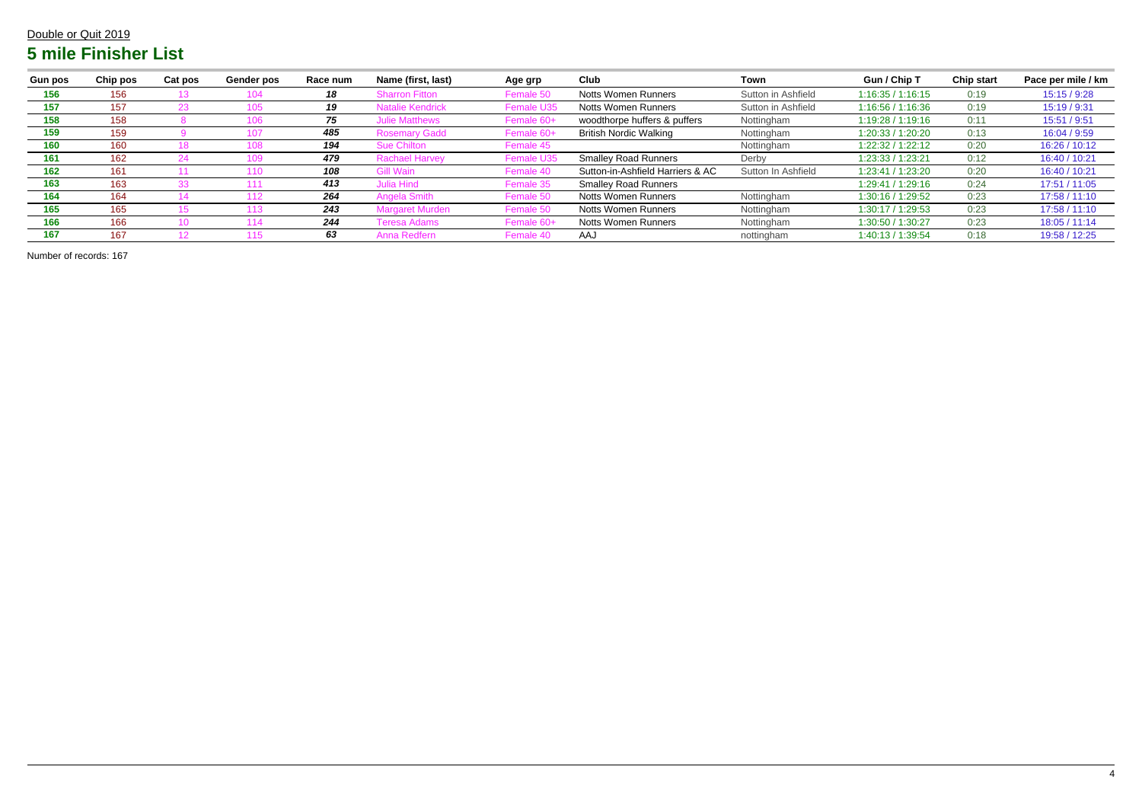| <b>Gun pos</b> | Chip pos | <b>Cat pos</b> | Gender pos | Race num | Name (first, last)    | Age grp           | Club                             | Town               | Gun / Chip T      | <b>Chip start</b> | Pace per mile / km |
|----------------|----------|----------------|------------|----------|-----------------------|-------------------|----------------------------------|--------------------|-------------------|-------------------|--------------------|
| 156            | 156      |                |            | 18       | <b>Sharron Fitton</b> | Female 50         | <b>Notts Women Runners</b>       | Sutton in Ashfield | 1:16:35 / 1:16:15 | 0:19              | 15:15 / 9:28       |
| 157            | 157      |                |            | 19       | e Kendrick            | <b>Female U35</b> | Notts Women Runners              | Sutton in Ashfield | 1:16:56 / 1:16:36 | 0:19              | 15:19 / 9:31       |
| 158            | 158      |                |            | 75       | <b>lulie Matthews</b> | Female 60+        | woodthorpe huffers & puffers     | Nottingham         | 1:19:28 / 1:19:16 | 0:11              | 15:51 / 9:51       |
| 159            | 159      |                |            | 485      | <b>Rosemary Gadd</b>  | Female 60+        | <b>British Nordic Walking</b>    | Nottingham         | 1:20:33 / 1:20:20 | 0:13              | 16:04 / 9:59       |
| 160            | 160      |                |            | 194      | <b>Sue Chilton</b>    | Female 45         |                                  | Nottingham         | 1:22:32 / 1:22:12 | 0:20              | 16:26 / 10:12      |
| 161            | 162      |                |            | 479      | <b>Rachael Harvey</b> | Female U35        | <b>Smalley Road Runners</b>      | Derby              | 1:23:33 / 1:23:21 | 0:12              | 16:40 / 10:21      |
| 162            | 161      |                |            | 108      | Wain                  | Female 40         | Sutton-in-Ashfield Harriers & AC | Sutton In Ashfield | 1:23:41 / 1:23:20 | 0:20              | 16:40 / 10:21      |
| 163            | 163      |                |            | 413      | Julia Hind            | Female 35         | <b>Smalley Road Runners</b>      |                    | 1:29:41 / 1:29:16 | 0:24              | 17:51 / 11:05      |
| 164            | 164      |                |            | 264      | <b>Angela Smith</b>   | Female 50         | Notts Women Runners              | Nottingham         | 1:30:16 / 1:29:52 | 0:23              | 17:58 / 11:10      |
| 165            | 165      |                |            | 243      | Margaret Murden       | Female 50         | <b>Notts Women Runners</b>       | Nottingham         | 1:30:17/1:29:53   | 0:23              | 17:58 / 11:10      |
| 166            | 166      |                |            | 244      | Teresa Adams          | Femal             | <b>Notts Women Runners</b>       | Nottingham         | 1:30:50 / 1:30:27 | 0:23              | 18:05/11:14        |
| 167            | 167      |                |            | 63       | Anna Redfern          | Female 40         | AAJ                              | nottingham         | 1:40:13 / 1:39:54 | 0:18              | 19:58 / 12:25      |

Number of records: 167

#### Double or Quit 2019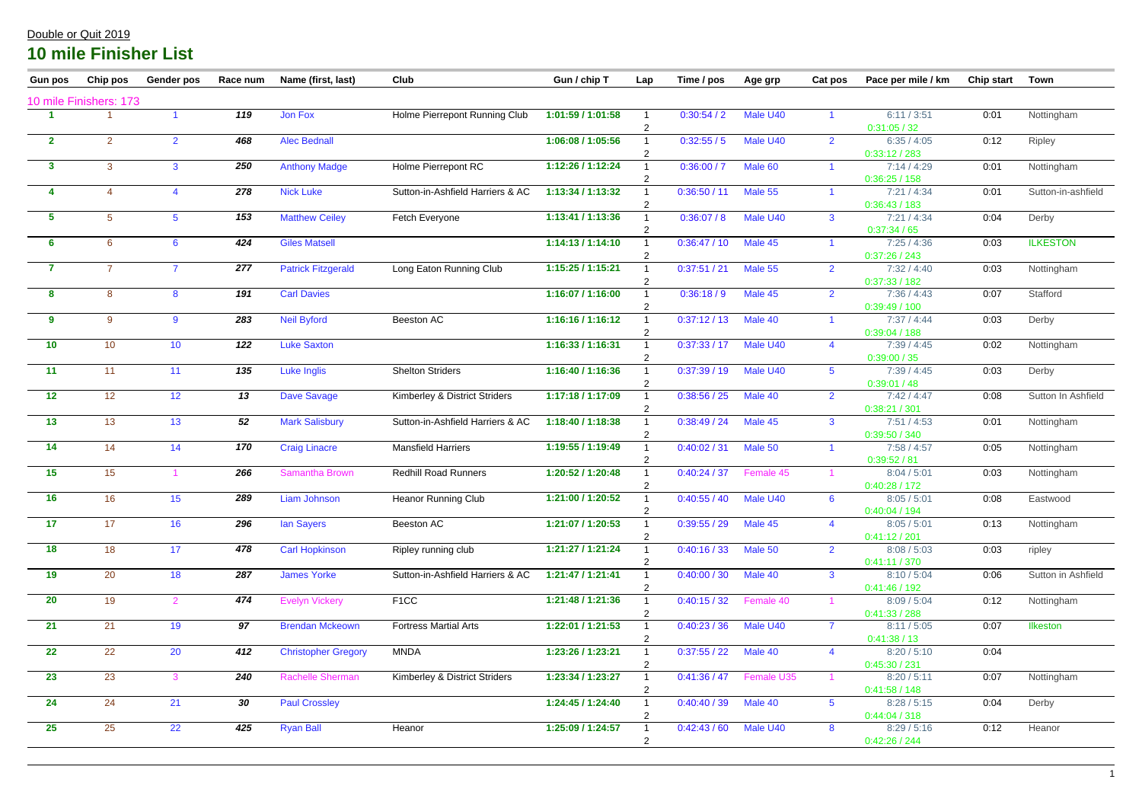| <b>Gun pos</b> | Chip pos               | <b>Gender pos</b>       | Race num | Name (first, last)         | Club                             | Gun / chip T      | Lap            | Time / pos   | Age grp    | Cat pos         | Pace per mile / km           | Chip start | <b>Town</b>        |
|----------------|------------------------|-------------------------|----------|----------------------------|----------------------------------|-------------------|----------------|--------------|------------|-----------------|------------------------------|------------|--------------------|
|                | 10 mile Finishers: 173 |                         |          |                            |                                  |                   |                |              |            |                 |                              |            |                    |
|                |                        |                         | 119      | Jon Fox                    | Holme Pierrepont Running Club    | 1:01:59 / 1:01:58 | 2              | 0:30:54/2    | Male U40   |                 | 6:11/3:51<br>0:31:05/32      | 0:01       | Nottingham         |
| $\mathbf{2}$   | $\overline{2}$         | $\overline{2}$          | 468      | <b>Alec Bednall</b>        |                                  | 1:06:08 / 1:05:56 |                | 0:32:55/5    | Male U40   | $\overline{2}$  | 6:35/4:05<br>0:33:12/283     | 0:12       | Ripley             |
| $\mathbf{3}$   | 3                      | $\mathbf{3}$            | 250      | <b>Anthony Madge</b>       | Holme Pierrepont RC              | 1:12:26 / 1:12:24 | 2              | 0:36:00 / 7  | Male 60    |                 | 7:14/4:29<br>0:36:25/158     | 0:01       | Nottingham         |
| -4             |                        | $\overline{\mathbf{4}}$ | 278      | <b>Nick Luke</b>           | Sutton-in-Ashfield Harriers & AC | 1:13:34 / 1:13:32 | 2              | 0:36:50 / 11 | Male 55    |                 | 7:21/4:34<br>0:36:43/183     | 0:01       | Sutton-in-ashfield |
| 5              | 5                      | $5\overline{)}$         | 153      | <b>Matthew Ceiley</b>      | Fetch Everyone                   | 1:13:41 / 1:13:36 | $\overline{2}$ | 0:36:07/8    | Male U40   | $\mathbf{3}$    | 7:21/4:34<br>0:37:34/65      | 0:04       | Derby              |
| 6              | 6                      | $6\overline{6}$         | 424      | <b>Giles Matsell</b>       |                                  | 1:14:13/1:14:10   | $\overline{2}$ | 0:36:47/10   | Male 45    |                 | 7:25/4:36<br>0:37:26 / 243   | 0:03       | <b>ILKESTON</b>    |
| $\overline{7}$ | $\overline{7}$         | $\overline{7}$          | 277      | <b>Patrick Fitzgerald</b>  | Long Eaton Running Club          | 1:15:25 / 1:15:21 | 2              | 0:37:51 / 21 | Male 55    | $\overline{2}$  | 7:32/4:40<br>0:37:33 / 182   | 0:03       | Nottingham         |
| $\bf{8}$       | 8                      | 8                       | 191      | <b>Carl Davies</b>         |                                  | 1:16:07 / 1:16:00 | $\overline{2}$ | 0:36:18/9    | Male 45    | $\overline{2}$  | 7:36 / 4:43<br>0:39:49/100   | 0:07       | Stafford           |
| 9              | 9                      | $9^{\circ}$             | 283      | <b>Neil Byford</b>         | Beeston AC                       | 1:16:16/1:16:12   |                | 0:37:12/13   | Male 40    |                 | 7:37/4:44<br>0:39:04 / 188   | 0:03       | Derby              |
| 10             | 10                     | 10                      | 122      | <b>Luke Saxton</b>         |                                  | 1:16:33 / 1:16:31 |                | 0:37:33/17   | Male U40   | $\overline{4}$  | 7:39/4:45<br>0:39:00 / 35    | 0:02       | Nottingham         |
| 11             | 11                     | 11                      | 135      | Luke Inglis                | <b>Shelton Striders</b>          | 1:16:40 / 1:16:36 |                | 0:37:39/19   | Male U40   | $5\overline{)}$ | 7:39/4:45<br>0:39:01/48      | 0:03       | Derby              |
| 12             | 12                     | 12 <sub>2</sub>         | 13       | <b>Dave Savage</b>         | Kimberley & District Striders    | 1:17:18 / 1:17:09 | $\overline{2}$ | 0:38:56 / 25 | Male 40    | $\overline{2}$  | 7:42/4:47<br>0:38:21 / 301   | 0:08       | Sutton In Ashfield |
| 13             | 13                     | 13                      | 52       | <b>Mark Salisbury</b>      | Sutton-in-Ashfield Harriers & AC | 1:18:40 / 1:18:38 | 2              | 0:38:49/24   | Male 45    | $\mathbf{3}$    | 7:51/4:53<br>0:39:50 / 340   | 0:01       | Nottingham         |
| 14             | 14                     | 14                      | 170      | <b>Craig Linacre</b>       | <b>Mansfield Harriers</b>        | 1:19:55 / 1:19:49 | 2              | 0:40:02 / 31 | Male 50    | $\overline{1}$  | 7:58 / 4:57<br>0:39:52 / 81  | 0:05       | Nottingham         |
| 15             | 15                     |                         | 266      | Samantha Brown             | <b>Redhill Road Runners</b>      | 1:20:52 / 1:20:48 |                | 0:40:24 / 37 | Female 45  |                 | 8:04 / 5:01<br>0:40:28 / 172 | 0:03       | Nottingham         |
| 16             | 16 <sup>°</sup>        | 15                      | 289      | <b>Liam Johnson</b>        | <b>Heanor Running Club</b>       | 1:21:00 / 1:20:52 | 2              | 0:40:55 / 40 | Male U40   | 6               | 8:05/5:01<br>0:40:04/194     | 0:08       | Eastwood           |
| 17             | 17                     | 16                      | 296      | <b>Ian Sayers</b>          | Beeston AC                       | 1:21:07 / 1:20:53 |                | 0:39:55 / 29 | Male 45    |                 | 8:05 / 5:01<br>0:41:12 / 201 | 0:13       | Nottingham         |
| <b>18</b>      | 18                     | 17                      | 478      | <b>Carl Hopkinson</b>      | Ripley running club              | 1:21:27 / 1:21:24 |                | 0:40:16/33   | Male 50    | $\overline{2}$  | 8:08 / 5:03<br>0:41:11/370   | 0:03       | ripley             |
| 19             | 20                     | 18                      | 287      | <b>James Yorke</b>         | Sutton-in-Ashfield Harriers & AC | 1:21:47/1:21:41   |                | 0:40:00 / 30 | Male 40    | $\mathbf{3}$    | 8:10 / 5:04<br>0:41:46/192   | 0:06       | Sutton in Ashfield |
| <b>20</b>      | 19                     | $\overline{2}$          | 474      | <b>Evelyn Vickery</b>      | F <sub>1</sub> CC                | 1:21:48 / 1:21:36 |                | 0:40:15/32   | Female 40  |                 | 8:09 / 5:04<br>0:41:33 / 288 | 0:12       | Nottingham         |
| 21             | 21                     | 19                      | 97       | <b>Brendan Mckeown</b>     | <b>Fortress Martial Arts</b>     | 1:22:01 / 1:21:53 |                | 0:40:23/36   | Male U40   | $\overline{7}$  | 8:11 / 5:05<br>0:41:38/13    | 0:07       | <b>Ilkeston</b>    |
| 22             | 22                     | 20                      | 412      | <b>Christopher Gregory</b> | <b>MNDA</b>                      | 1:23:26 / 1:23:21 |                | 0:37:55 / 22 | Male 40    | $\overline{4}$  | 8:20 / 5:10<br>0:45:30 / 231 | 0:04       |                    |
| 23             | 23                     | 3                       | 240      | <b>Rachelle Sherman</b>    | Kimberley & District Striders    | 1:23:34 / 1:23:27 |                | 0:41:36/47   | Female U35 |                 | 8:20 / 5:11<br>0:41:58/148   | 0:07       | Nottingham         |
| 24             | 24                     | 21                      | 30       | <b>Paul Crossley</b>       |                                  | 1:24:45 / 1:24:40 |                | 0:40:40 / 39 | Male 40    | 5 <sup>5</sup>  | 8:28 / 5:15<br>0:44:04 / 318 | 0:04       | Derby              |
| 25             | 25                     | 22                      | 425      | <b>Ryan Ball</b>           | Heanor                           | 1:25:09 / 1:24:57 |                | 0:42:43/60   | Male U40   | 8               | 8:29/5:16<br>0:42:26 / 244   | 0:12       | Heanor             |
|                |                        |                         |          |                            |                                  |                   |                |              |            |                 |                              |            |                    |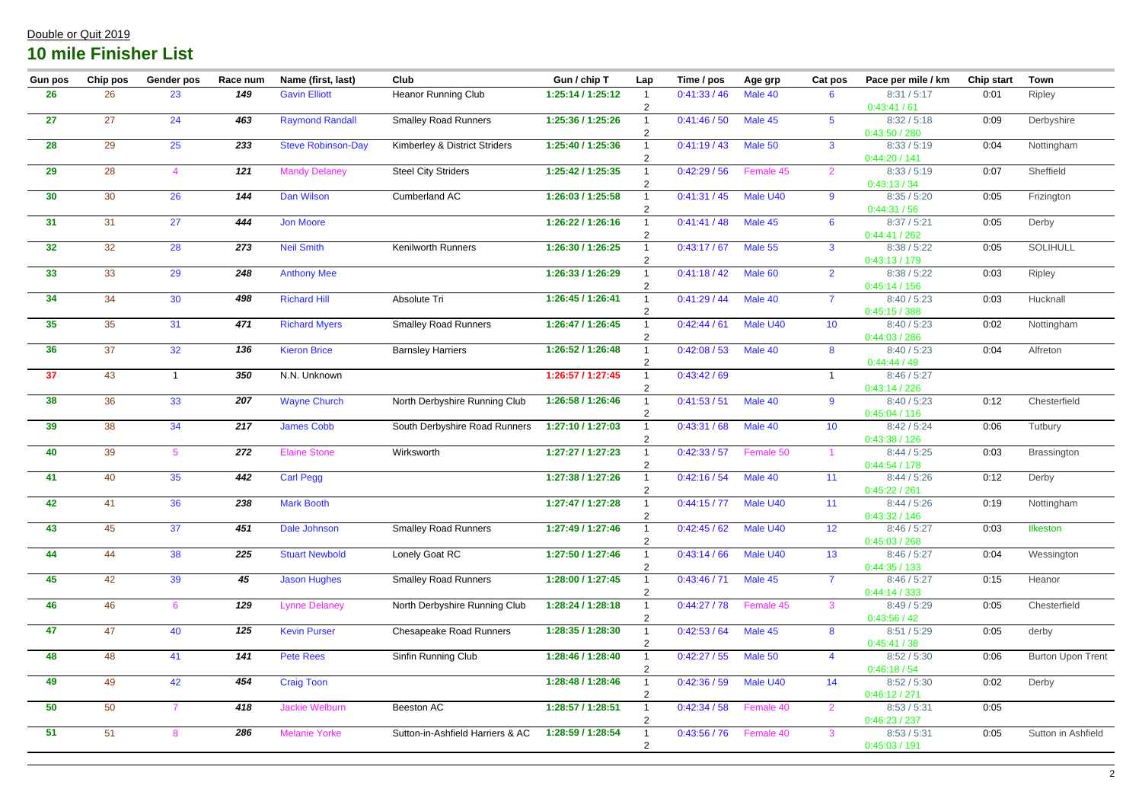| <b>Gun pos</b> | Chip pos | <b>Gender pos</b> | Race num                  | Name (first, last)        | Club                             | Gun / chip T      | Lap | Time / pos            | Age grp   | Cat pos         | Pace per mile / km                            | <b>Chip start</b> | <b>Town</b>              |
|----------------|----------|-------------------|---------------------------|---------------------------|----------------------------------|-------------------|-----|-----------------------|-----------|-----------------|-----------------------------------------------|-------------------|--------------------------|
| <b>26</b>      | 26       | 23                | 149                       | <b>Gavin Elliott</b>      | <b>Heanor Running Club</b>       | 1:25:14/1:25:12   |     | 0:41:33/46            | Male 40   | 6               | 8:31 / 5:17<br>0:43:41/61                     | 0:01              | Ripley                   |
| 27             | 27       | 24                | 463                       | <b>Raymond Randall</b>    | <b>Smalley Road Runners</b>      | 1:25:36 / 1:25:26 |     | 0:41:46/50            | Male 45   | 5 <sup>5</sup>  | 8:32 / 5:18<br>0:43:50 / 280                  | 0:09              | Derbyshire               |
| 28             | 29       | 25                | 233                       | <b>Steve Robinson-Day</b> | Kimberley & District Striders    | 1:25:40 / 1:25:36 |     | 0:41:19/43            | Male 50   | $\mathbf{3}$    | 8:33 / 5:19<br>0:44:20/141                    | 0:04              | Nottingham               |
| 29             | 28       | 4                 | 121                       | <b>Mandy Delaney</b>      | <b>Steel City Striders</b>       | 1:25:42 / 1:25:35 |     | 0:42:29/56            | Female 45 | 2               | 8:33 / 5:19<br>0:43:13/34                     | 0:07              | Sheffield                |
| 30             | 30       | 26                | 144                       | Dan Wilson                | <b>Cumberland AC</b>             | 1:26:03 / 1:25:58 |     | 0:41:31/45            | Male U40  | $9^{\circ}$     | 8:35/5:20<br>0:44:31 / 56                     | 0:05              | Frizington               |
| 31             | 31       | 27                | 444                       | <b>Jon Moore</b>          |                                  | 1:26:22 / 1:26:16 |     | 0:41:41/48            | Male 45   | 6               | 8:37 / 5:21<br>0:44:41/262                    | 0:05              | Derby                    |
| 32             | 32       | 28                | $\frac{273}{ }$           | <b>Neil Smith</b>         | Kenilworth Runners               | 1:26:30 / 1:26:25 |     | 0:43:17/67            | Male 55   | $\mathbf{3}$    | 8:38 / 5:22<br>0:43:13/179                    | 0:05              | <b>SOLIHULL</b>          |
| 33             | 33       | 29                | 248                       | <b>Anthony Mee</b>        |                                  | 1:26:33/1:26:29   |     | 0:41:18/42            | Male 60   | $\overline{2}$  | 8:38 / 5:22<br>0:45:14/156                    | 0:03              | Ripley                   |
| 34             | 34       | 30                | 498                       | <b>Richard Hill</b>       | Absolute Tri                     | 1:26:45 / 1:26:41 |     | 0:41:29/44            | Male 40   | $\overline{7}$  | 8:40/5:23<br>0:45:15/388                      | 0:03              | Hucknall                 |
| 35             | 35       | 31                | 471                       | <b>Richard Myers</b>      | <b>Smalley Road Runners</b>      | 1:26:47 / 1:26:45 |     | 0:42:44/61            | Male U40  | 10 <sup>°</sup> | 8:40/5:23<br>0:44:03 / 286                    | 0:02              | Nottingham               |
| 36             | 37       | 32                | 136                       | <b>Kieron Brice</b>       | <b>Barnsley Harriers</b>         | 1:26:52 / 1:26:48 |     | 0:42:08 / 53          | Male 40   | 8 <sup>8</sup>  | 8:40/5:23<br>0:44:44/49                       | 0:04              | Alfreton                 |
| 37             | 43       |                   | 350                       | N.N. Unknown              |                                  | 1:26:57 / 1:27:45 |     | 0:43:42/69            |           |                 | 8:46/5:27<br>0:43:14/226                      |                   |                          |
| 38             | 36       | 33                | 207                       | <b>Wayne Church</b>       | North Derbyshire Running Club    | 1:26:58 / 1:26:46 | 2   | 0:41:53/51            | Male 40   | 9               | 8:40/5:23<br>0:45:04 / 116                    | 0:12              | Chesterfield             |
| 39             | 38       | 34                | 217                       | <b>James Cobb</b>         | South Derbyshire Road Runners    | 1:27:10 / 1:27:03 |     | 0:43:31/68            | Male 40   | 10 <sup>°</sup> | 8:42/5:24<br>0:43:38/126                      | 0:06              | Tutbury                  |
| 40             | 39       | $5^{\circ}$       | 272                       | <b>Elaine Stone</b>       | Wirksworth                       | 1:27:27 / 1:27:23 |     | 0:42:33/57            | Female 50 |                 | 8:44 / 5:25<br>0:44:54/178                    | 0:03              | Brassington              |
| 41             | 40       | 35                | 442                       | <b>Carl Pegg</b>          |                                  | 1:27:38 / 1:27:26 |     | 0:42:16/54            | Male 40   | 11              | 8:44/5:26<br>0:45:22 / 261                    | 0:12              | Derby                    |
| 42             | 41       | 36                | $\overline{\mathbf{238}}$ | <b>Mark Booth</b>         |                                  | 1:27:47 / 1:27:28 |     | 0:44:15 / 77 Male U40 |           | 11              | 8:44/5:26<br>0:43:32 / 146                    | 0:19              | Nottingham               |
| 43             | 45       | 37                | 451                       | Dale Johnson              | <b>Smalley Road Runners</b>      | 1:27:49 / 1:27:46 |     | 0:42:45/62            | Male U40  | 12              | 8:46/5:27<br>0:45:03 / 268                    | 0:03              | <b>Ilkeston</b>          |
| 44             | 44       | 38                | 225                       | <b>Stuart Newbold</b>     | Lonely Goat RC                   | 1:27:50 / 1:27:46 |     | 0:43:14/66            | Male U40  | 13              | 8:46/5:27<br>0:44:35/133                      | 0:04              | Wessington               |
| 45             | 42       | 39                | 45                        | <b>Jason Hughes</b>       | <b>Smalley Road Runners</b>      | 1:28:00 / 1:27:45 |     | 0:43:46 / 71          | Male 45   | $\overline{7}$  | 8:46/5:27<br>0:44:14/333                      | 0:15              | Heanor                   |
| 46             | 46       | 6                 | 129                       | <b>Lynne Delaney</b>      | North Derbyshire Running Club    | 1:28:24 / 1:28:18 |     | 0:44:27/78            | Female 45 | $\mathbf{3}$    | 8:49/5:29<br>0:43:56/42                       | 0:05              | Chesterfield             |
| 47             | 47       | 40                | 125                       | <b>Kevin Purser</b>       | <b>Chesapeake Road Runners</b>   | 1:28:35 / 1:28:30 |     | 0:42:53/64            | Male 45   | $8\phantom{1}$  | 8:51 / 5:29<br>0:45:41 / 38                   | 0:05              | derby                    |
| 48             | 48       | 41                | 141                       | <b>Pete Rees</b>          | Sinfin Running Club              | 1:28:46 / 1:28:40 |     | 0:42:27/55            | Male 50   | $\overline{4}$  | 8:52 / 5:30                                   | 0:06              | <b>Burton Upon Trent</b> |
| 49             | 49       | 42                | 454                       | <b>Craig Toon</b>         |                                  | 1:28:48 / 1:28:46 |     | 0:42:36 / 59          | Male U40  | 14              | 0:46:18/54<br>8:52 / 5:30                     | 0:02              | Derby                    |
| 50             | 50       | $\overline{7}$    | 418                       | <b>Jackie Welburn</b>     | Beeston AC                       | 1:28:57 / 1:28:51 |     | 0:42:34 / 58          | Female 40 | 2               | 0:46:12 / 271<br>8:53 / 5:31                  | 0:05              |                          |
| 51             | 51       | 8                 | 286                       | <b>Melanie Yorke</b>      | Sutton-in-Ashfield Harriers & AC | 1:28:59 / 1:28:54 |     | 0:43:56 / 76          | Female 40 | 3               | 0:46:23 / 237<br>8:53 / 5:31<br>0:45:03 / 191 | 0:05              | Sutton in Ashfield       |
|                |          |                   |                           |                           |                                  |                   |     |                       |           |                 |                                               |                   |                          |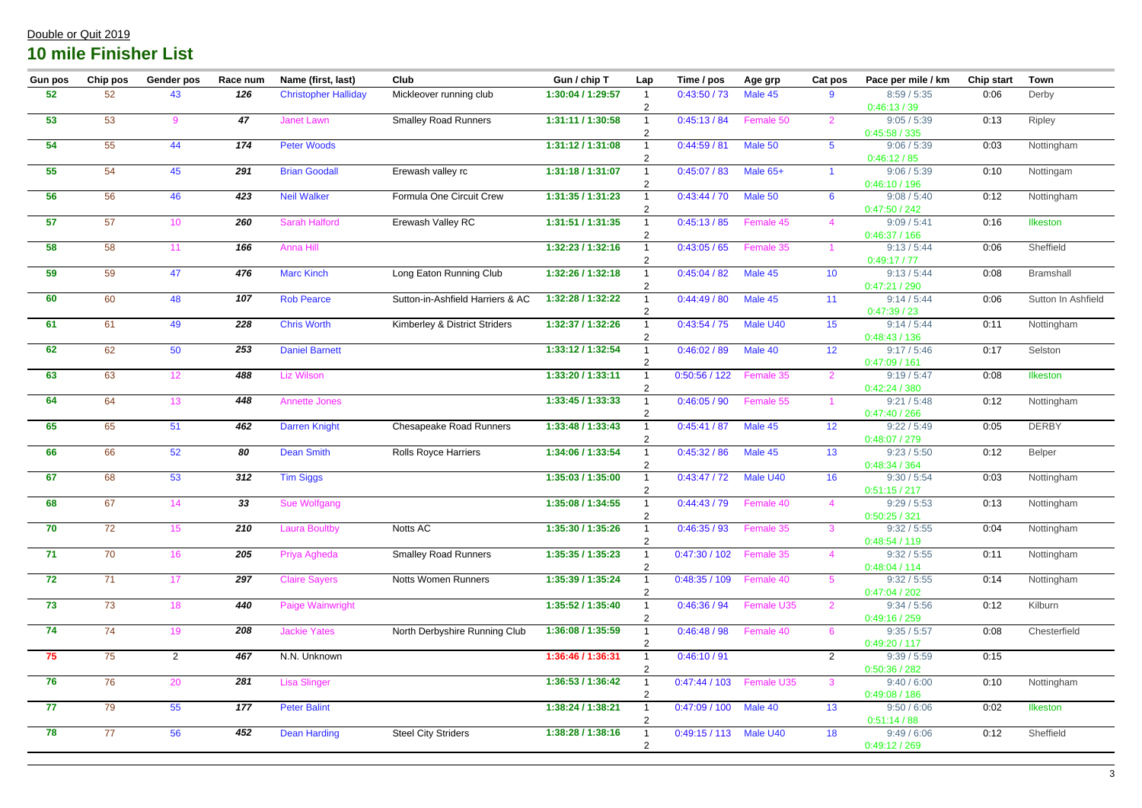| <b>Gun pos</b>  | Chip pos | <b>Gender pos</b> | Race num | Name (first, last)          | Club                             | Gun / chip T      | Lap | Time / pos                 | Age grp                     | Cat pos              | Pace per mile / km           | <b>Chip start</b> | <b>Town</b>        |
|-----------------|----------|-------------------|----------|-----------------------------|----------------------------------|-------------------|-----|----------------------------|-----------------------------|----------------------|------------------------------|-------------------|--------------------|
| 52              | 52       | 43                | 126      | <b>Christopher Halliday</b> | Mickleover running club          | 1:30:04 / 1:29:57 | 2   | 0:43:50/73                 | Male 45                     | 9                    | 8:59/5:35<br>0:46:13/39      | 0:06              | Derby              |
| 53              | 53       | 9                 | 47       | <b>Janet Lawn</b>           | <b>Smalley Road Runners</b>      | 1:31:11 / 1:30:58 |     | 0:45:13/84                 | Female 50                   | 2                    | 9:05 / 5:39<br>0:45:58/335   | 0:13              | Ripley             |
| 54              | 55       | 44                | 174      | <b>Peter Woods</b>          |                                  | 1:31:12 / 1:31:08 |     | 0:44:59/81                 | Male 50                     | $5^{\circ}$          | 9:06 / 5:39<br>0:46:12/85    | 0:03              | Nottingham         |
| 55              | 54       | 45                | 291      | <b>Brian Goodall</b>        | Erewash valley rc                | 1:31:18 / 1:31:07 |     | 0:45:07/83                 | Male 65+                    | $\blacktriangleleft$ | 9:06 / 5:39<br>0:46:10 / 196 | 0:10              | Nottingam          |
| 56              | 56       | 46                | 423      | <b>Neil Walker</b>          | Formula One Circuit Crew         | 1:31:35 / 1:31:23 |     | 0:43:44 / 70               | Male 50                     | $6^{\circ}$          | 9:08 / 5:40<br>0:47:50 / 242 | 0:12              | Nottingham         |
| 57              | 57       | 10 <sup>°</sup>   | 260      | <b>Sarah Halford</b>        | Erewash Valley RC                | 1:31:51 / 1:31:35 |     | 0:45:13/85                 | Female 45                   | $\overline{4}$       | 9:09 / 5:41<br>0:46:37/166   | 0:16              | <b>Ilkeston</b>    |
| 58              | 58       | 11                | 166      | Anna Hill                   |                                  | 1:32:23 / 1:32:16 |     | 0:43:05/65                 | Female 35                   |                      | 9:13/5:44<br>0:49:17/77      | 0:06              | Sheffield          |
| 59              | 59       | 47                | 476      | <b>Marc Kinch</b>           | Long Eaton Running Club          | 1:32:26 / 1:32:18 |     | 0:45:04/82                 | Male 45                     | 10 <sup>°</sup>      | 9:13/5:44<br>0:47:21/290     | 0:08              | <b>Bramshall</b>   |
| 60              | 60       | 48                | 107      | <b>Rob Pearce</b>           | Sutton-in-Ashfield Harriers & AC | 1:32:28 / 1:32:22 |     | 0:44:49/80                 | Male 45                     | 11                   | 9:14/5:44<br>0:47:39/23      | 0:06              | Sutton In Ashfield |
| 61              | 61       | 49                | 228      | <b>Chris Worth</b>          | Kimberley & District Striders    | 1:32:37 / 1:32:26 |     | 0:43:54/75                 | Male U40                    | 15                   | 9:14/5:44<br>0:48:43/136     | 0:11              | Nottingham         |
| 62              | 62       | 50                | 253      | <b>Daniel Barnett</b>       |                                  | 1:33:12 / 1:32:54 |     | 0:46:02 / 89               | Male 40                     | 12                   | 9:17/5:46<br>0:47:09/161     | 0:17              | Selston            |
| 63              | 63       | 12 <sub>2</sub>   | 488      | Liz Wilson                  |                                  | 1:33:20 / 1:33:11 | 2   | 0:50:56 / 122              | Female 35                   | 2                    | 9:19/5:47<br>0:42:24/380     | 0:08              | Ilkeston           |
| 64              | 64       | 13                | 448      | <b>Annette Jones</b>        |                                  | 1:33:45 / 1:33:33 | 2   | 0:46:05/90                 | Female 55                   |                      | 9:21 / 5:48<br>0:47:40/266   | 0:12              | Nottingham         |
| 65              | 65       | 51                | 462      | <b>Darren Knight</b>        | <b>Chesapeake Road Runners</b>   | 1:33:48 / 1:33:43 |     | 0:45:41/87                 | Male 45                     | 12                   | 9:22 / 5:49<br>0:48:07 / 279 | 0:05              | <b>DERBY</b>       |
| 66              | 66       | 52                | 80       | <b>Dean Smith</b>           | <b>Rolls Royce Harriers</b>      | 1:34:06 / 1:33:54 |     | 0:45:32 / 86               | Male 45                     | 13                   | 9:23 / 5:50<br>0:48:34 / 364 | 0:12              | Belper             |
| 67              | 68       | 53                | 312      | <b>Tim Siggs</b>            |                                  | 1:35:03 / 1:35:00 |     | 0:43:47/72                 | Male U40                    | 16                   | 9:30 / 5:54<br>0:51:15/217   | 0:03              | Nottingham         |
| 68              | 67       | 14                | 33       | Sue Wolfgang                |                                  | 1:35:08 / 1:34:55 |     | $0:44:43 / 79$ Female 40   |                             |                      | 9:29/5:53<br>0:50:25 / 321   | 0:13              | Nottingham         |
| 70              | 72       | 15                | 210      | <b>Laura Boultby</b>        | Notts AC                         | 1:35:30 / 1:35:26 |     | 0:46:35/93                 | Female 35                   | $\mathbf{3}$         | 9:32 / 5:55<br>0:48:54 / 119 | 0:04              | Nottingham         |
| 71              | 70       | 16                | 205      | Priya Agheda                | <b>Smalley Road Runners</b>      | 1:35:35 / 1:35:23 |     | 0:47:30 / 102    Female 35 |                             | $\overline{4}$       | 9:32 / 5:55<br>0:48:04 / 114 | 0:11              | Nottingham         |
| $\overline{72}$ | 71       | 17                | 297      | <b>Claire Sayers</b>        | Notts Women Runners              | 1:35:39 / 1:35:24 |     | 0:48:35 / 109    Female 40 |                             | $5^{\circ}$          | 9:32 / 5:55<br>0:47:04 / 202 | 0:14              | Nottingham         |
| 73              | 73       | 18                | 440      | Paige Wainwright            |                                  | 1:35:52 / 1:35:40 |     | 0:46:36 / 94               | Female U35                  | $\overline{2}$       | 9:34 / 5:56<br>0:49:16 / 259 | 0:12              | Kilburn            |
| 74              | 74       | 19                | 208      | <b>Jackie Yates</b>         | North Derbyshire Running Club    | 1:36:08 / 1:35:59 |     | 0:46:48/98                 | Female 40                   | 6                    | 9:35 / 5:57<br>0:49:20 / 117 | 0:08              | Chesterfield       |
| 75              | 75       | $\overline{2}$    | 467      | N.N. Unknown                |                                  | 1:36:46 / 1:36:31 | 2   | 0:46:10/91                 |                             | $\overline{2}$       | 9:39 / 5:59                  | 0:15              |                    |
| 76              | 76       | 20                | 281      | <b>Lisa Slinger</b>         |                                  | 1:36:53 / 1:36:42 |     |                            | 0:47:44 / 103    Female U35 | $\mathbf{3}$         | 0:50:36 / 282<br>9:40/6:00   | 0:10              | Nottingham         |
| 77              | 79       | 55                | 177      | <b>Peter Balint</b>         |                                  | 1:38:24 / 1:38:21 |     | 0:47:09/100                | Male 40                     | 13                   | 0:49:08/186<br>9:50 / 6:06   | 0:02              | <b>Ilkeston</b>    |
| 78              | 77       | 56                | 452      | <b>Dean Harding</b>         | <b>Steel City Striders</b>       | 1:38:28 / 1:38:16 |     | 0:49:15 / 113 Male U40     |                             | 18                   | 0:51:14/88<br>9:49/6:06      | 0:12              | Sheffield          |
|                 |          |                   |          |                             |                                  |                   |     |                            |                             |                      | 0:49:12/269                  |                   |                    |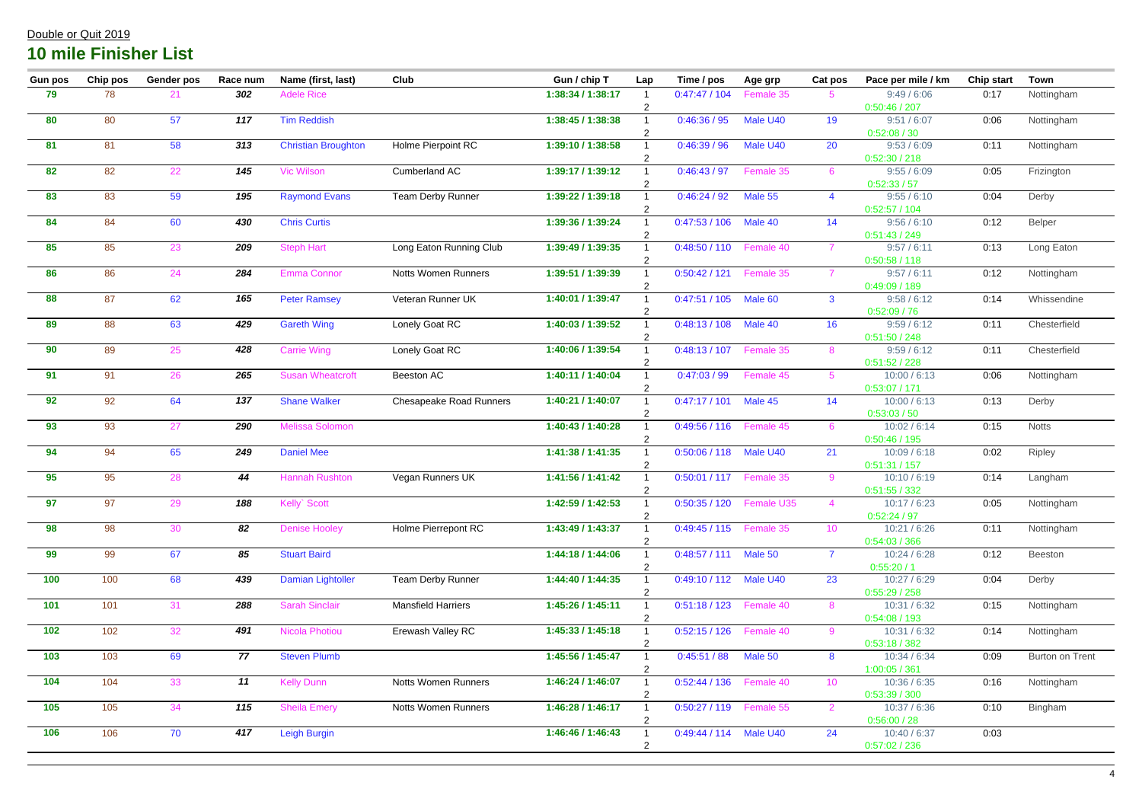| <b>Gun pos</b> | Chip pos | <b>Gender pos</b> | Race num | Name (first, last)         | Club                           | Gun / chip T      | Lap            | Time / pos                 | Age grp                     | Cat pos         | Pace per mile / km            | <b>Chip start</b> | <b>Town</b>     |
|----------------|----------|-------------------|----------|----------------------------|--------------------------------|-------------------|----------------|----------------------------|-----------------------------|-----------------|-------------------------------|-------------------|-----------------|
| 79             | 78       | 21                | 302      | <b>Adele Rice</b>          |                                | 1:38:34 / 1:38:17 |                | 0:47:47/104                | Female 35                   | $5^{\circ}$     | 9:49/6:06                     | 0:17              | Nottingham      |
|                |          |                   |          |                            |                                |                   |                |                            |                             |                 | 0:50:46 / 207                 |                   |                 |
| 80             | 80       | 57                | 117      | <b>Tim Reddish</b>         |                                | 1:38:45 / 1:38:38 | $\overline{2}$ | 0:46:36 / 95               | Male U40                    | 19              | 9:51 / 6:07<br>0:52:08 / 30   | 0:06              | Nottingham      |
| 81             | 81       | 58                | 313      | <b>Christian Broughton</b> | Holme Pierpoint RC             | 1:39:10 / 1:38:58 |                | 0:46:39/96                 | Male U40                    | 20              | 9:53/6:09                     | 0:11              | Nottingham      |
|                |          |                   |          |                            |                                |                   |                |                            |                             |                 | 0:52:30 / 218                 |                   |                 |
| 82             | 82       | 22                | 145      | <b>Vic Wilson</b>          | Cumberland AC                  | 1:39:17 / 1:39:12 |                | 0:46:43/97                 | Female 35                   | 6               | 9:55 / 6:09                   | 0:05              | Frizington      |
|                |          |                   |          |                            |                                |                   | -2             |                            |                             |                 | 0:52:33 / 57                  |                   |                 |
| 83             | 83       | 59                | 195      | <b>Raymond Evans</b>       | <b>Team Derby Runner</b>       | 1:39:22 / 1:39:18 |                | 0:46:24 / 92               | Male 55                     | $\overline{4}$  | 9:55 / 6:10                   | 0:04              | Derby           |
|                |          |                   |          |                            |                                |                   |                |                            |                             |                 | 0:52:57/104                   |                   |                 |
| 84             | 84       | 60                | 430      | <b>Chris Curtis</b>        |                                | 1:39:36 / 1:39:24 |                | 0:47:53/106                | Male 40                     | 14              | 9:56 / 6:10                   | 0:12              | Belper          |
|                |          |                   |          |                            |                                |                   | $\overline{2}$ |                            |                             |                 | 0:51:43 / 249                 |                   |                 |
| 85             | 85       | 23                | 209      | <b>Steph Hart</b>          | Long Eaton Running Club        | 1:39:49 / 1:39:35 |                | 0:48:50 / 110              | Female 40                   | $\overline{7}$  | 9:57 / 6:11                   | 0:13              | Long Eaton      |
| 86             |          |                   | 284      |                            |                                | 1:39:51 / 1:39:39 | $\overline{2}$ |                            |                             |                 | 0:50:58/118                   |                   |                 |
|                | 86       | 24                |          | <b>Emma Connor</b>         | Notts Women Runners            |                   |                | 0:50:42 / 121              | Female 35                   |                 | 9:57 / 6:11<br>0:49:09/189    | 0:12              | Nottingham      |
| 88             | 87       | 62                | 165      | <b>Peter Ramsey</b>        | Veteran Runner UK              | 1:40:01 / 1:39:47 |                | 0:47:51/105                | Male 60                     | $\mathbf{3}$    | 9:58 / 6:12                   | 0:14              | Whissendine     |
|                |          |                   |          |                            |                                |                   |                |                            |                             |                 | 0:52:09/76                    |                   |                 |
| 89             | 88       | 63                | 429      | <b>Gareth Wing</b>         | Lonely Goat RC                 | 1:40:03 / 1:39:52 |                | 0:48:13/108                | Male 40                     | 16              | 9:59/6:12                     | 0:11              | Chesterfield    |
|                |          |                   |          |                            |                                |                   |                |                            |                             |                 | 0:51:50 / 248                 |                   |                 |
| 90             | 89       | 25                | 428      | <b>Carrie Wing</b>         | Lonely Goat RC                 | 1:40:06 / 1:39:54 |                | 0:48:13/107                | Female 35                   | 8               | 9:59/6:12                     | 0:11              | Chesterfield    |
|                |          |                   |          |                            |                                |                   | $\overline{2}$ |                            |                             |                 | 0:51:52 / 228                 |                   |                 |
| 91             | 91       | 26                | 265      | <b>Susan Wheatcroft</b>    | Beeston AC                     | 1:40:11 / 1:40:04 |                | 0:47:03/99                 | Female 45                   | $5^{\circ}$     | 10:00 / 6:13                  | 0:06              | Nottingham      |
|                |          |                   |          |                            |                                |                   |                |                            |                             |                 | 0:53:07/171                   |                   |                 |
| 92             | 92       | 64                | 137      | <b>Shane Walker</b>        | <b>Chesapeake Road Runners</b> | 1:40:21 / 1:40:07 |                | 0:47:17/101                | Male 45                     | 14              | 10:00 / 6:13                  | 0:13              | Derby           |
|                |          |                   |          |                            |                                |                   |                |                            |                             |                 | 0:53:03 / 50                  |                   |                 |
| 93             | 93       | 27                | 290      | <b>Melissa Solomon</b>     |                                | 1:40:43 / 1:40:28 |                | 0:49:56 / 116              | Female 45                   | 6               | 10:02 / 6:14                  | 0:15              | <b>Notts</b>    |
|                |          |                   |          |                            |                                |                   |                |                            |                             |                 | 0:50:46 / 195                 |                   |                 |
| 94             | 94       | 65                | 249      | <b>Daniel Mee</b>          |                                | 1:41:38 / 1:41:35 |                | 0:50:06 / 118              | Male U40                    | 21              | 10:09 / 6:18                  | 0:02              | Ripley          |
| 95             | 95       | 28                | 44       | <b>Hannah Rushton</b>      | Vegan Runners UK               | 1:41:56 / 1:41:42 |                | 0:50:01 / 117              | Female 35                   | 9               | 0:51:31 / 157<br>10:10 / 6:19 | 0:14              | Langham         |
|                |          |                   |          |                            |                                |                   |                |                            |                             |                 | 0:51:55 / 332                 |                   |                 |
| 97             | 97       | 29                | 188      | Kelly Scott                |                                | 1:42:59 / 1:42:53 |                |                            | 0:50:35 / 120    Female U35 |                 | 10:17/6:23                    | 0:05              | Nottingham      |
|                |          |                   |          |                            |                                |                   |                |                            |                             |                 | 0:52:24 / 97                  |                   |                 |
| 98             | 98       | 30                | 82       | <b>Denise Hooley</b>       | Holme Pierrepont RC            | 1:43:49 / 1:43:37 |                | 0:49:45 / 115    Female 35 |                             | 10 <sup>°</sup> | 10:21 / 6:26                  | 0:11              | Nottingham      |
|                |          |                   |          |                            |                                |                   |                |                            |                             |                 | 0:54:03 / 366                 |                   |                 |
| 99             | 99       | 67                | 85       | <b>Stuart Baird</b>        |                                | 1:44:18 / 1:44:06 |                | 0:48:57 / 111 Male 50      |                             | $\overline{7}$  | 10:24 / 6:28                  | 0:12              | Beeston         |
|                |          |                   |          |                            |                                |                   |                |                            |                             |                 | 0:55:20/1                     |                   |                 |
| 100            | 100      | 68                | 439      | Damian Lightoller          | <b>Team Derby Runner</b>       | 1:44:40 / 1:44:35 |                | 0:49:10 / 112 Male U40     |                             | 23              | 10:27/6:29                    | 0:04              | Derby           |
|                |          |                   |          |                            |                                |                   |                |                            |                             |                 | 0:55:29/258                   |                   |                 |
| 101            | 101      | 31                | 288      | <b>Sarah Sinclair</b>      | <b>Mansfield Harriers</b>      | 1:45:26 / 1:45:11 |                | 0:51:18 / 123    Female 40 |                             | 8               | 10:31 / 6:32                  | 0:15              | Nottingham      |
|                |          |                   |          |                            |                                |                   |                |                            |                             |                 | 0:54:08 / 193                 |                   |                 |
| 102            | 102      | 32                | 491      | <b>Nicola Photiou</b>      | Erewash Valley RC              | 1:45:33/1:45:18   |                | 0:52:15 / 126    Female 40 |                             | 9               | 10:31 / 6:32                  | 0:14              | Nottingham      |
| 103            | 103      | 69                | 77       | <b>Steven Plumb</b>        |                                | 1:45:56 / 1:45:47 |                | 0:45:51/88                 | Male 50                     | 8               | 0:53:18/382<br>10:34 / 6:34   |                   |                 |
|                |          |                   |          |                            |                                |                   |                |                            |                             |                 | 1:00:05 / 361                 | 0:09              | Burton on Trent |
| $104$          | 104      | 33                | 11       | <b>Kelly Dunn</b>          | Notts Women Runners            | 1:46:24 / 1:46:07 |                | 0:52:44 / 136    Female 40 |                             | 10 <sup>°</sup> | 10:36 / 6:35                  | 0:16              | Nottingham      |
|                |          |                   |          |                            |                                |                   |                |                            |                             |                 | 0:53:39 / 300                 |                   |                 |
| $\boxed{105}$  | 105      | 34                | 115      | <b>Sheila Emery</b>        | <b>Notts Women Runners</b>     | 1:46:28 / 1:46:17 |                | 0:50:27 / 119    Female 55 |                             | $\overline{2}$  | 10:37 / 6:36                  | 0:10              | Bingham         |
|                |          |                   |          |                            |                                |                   |                |                            |                             |                 | 0:56:00 / 28                  |                   |                 |
| 106            | 106      | 70                | 417      | Leigh Burgin               |                                | 1:46:46 / 1:46:43 |                | 0:49:44 / 114 Male U40     |                             | 24              | 10:40 / 6:37                  | 0:03              |                 |
|                |          |                   |          |                            |                                |                   |                |                            |                             |                 | 0:57:02 / 236                 |                   |                 |
|                |          |                   |          |                            |                                |                   |                |                            |                             |                 |                               |                   |                 |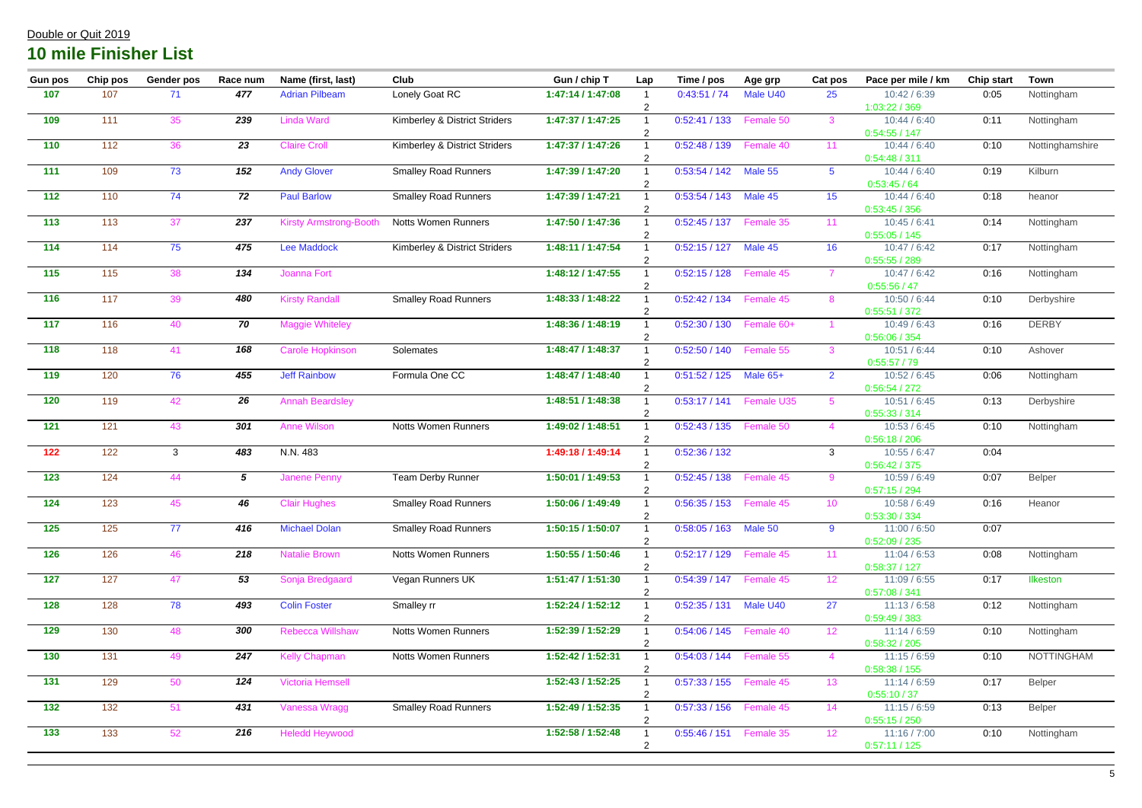| <b>Gun pos</b> | Chip pos | <b>Gender pos</b> | Race num     | Name (first, last)            | Club                          | Gun / chip T      | Lap | Time / pos                 | Age grp    | Cat pos         | Pace per mile / km            | <b>Chip start</b> | <b>Town</b>       |
|----------------|----------|-------------------|--------------|-------------------------------|-------------------------------|-------------------|-----|----------------------------|------------|-----------------|-------------------------------|-------------------|-------------------|
| 107            | 107      | 71                | 477          | <b>Adrian Pilbeam</b>         | Lonely Goat RC                | 1:47:14 / 1:47:08 |     | 0:43:51/74                 | Male U40   | 25              | 10:42 / 6:39<br>1:03:22 / 369 | 0:05              | Nottingham        |
| 109            | 111      | 35                | 239          | <b>Linda Ward</b>             | Kimberley & District Striders | 1:47:37 / 1:47:25 |     | 0:52:41/133                | Female 50  | $\mathbf{3}$    | 10:44 / 6:40<br>0:54:55/147   | 0:11              | Nottingham        |
| 110            | 112      | 36                | 23           | <b>Claire Croll</b>           | Kimberley & District Striders | 1:47:37 / 1:47:26 |     | 0:52:48/139                | Female 40  | 11              | 10:44 / 6:40<br>0:54:48/311   | 0:10              | Nottinghamshire   |
| 111            | 109      | 73                | 152          | <b>Andy Glover</b>            | <b>Smalley Road Runners</b>   | 1:47:39 / 1:47:20 | 2   | 0:53:54 / 142 Male 55      |            | $5^{\circ}$     | 10:44 / 6:40<br>0:53:45/64    | 0:19              | Kilburn           |
| 112            | 110      | 74                | 72           | <b>Paul Barlow</b>            | <b>Smalley Road Runners</b>   | 1:47:39 / 1:47:21 |     | 0:53:54/143                | Male 45    | 15              | 10:44/6:40<br>0:53:45/356     | 0:18              | heanor            |
| 113            | 113      | 37                | 237          | <b>Kirsty Armstrong-Booth</b> | <b>Notts Women Runners</b>    | 1:47:50 / 1:47:36 |     | 0:52:45/137                | Female 35  | 11              | 10:45/6:41<br>0:55:05/145     | 0:14              | Nottingham        |
| 114            | 114      | 75                | 475          | <b>Lee Maddock</b>            | Kimberley & District Striders | 1:48:11 / 1:47:54 |     | 0:52:15/127                | Male 45    | 16              | 10:47/6:42<br>0:55:55 / 289   | 0:17              | Nottingham        |
| 115            | 115      | 38                | 134          | Joanna Fort                   |                               | 1:48:12 / 1:47:55 |     | 0:52:15/128                | Female 45  |                 | 10:47/6:42<br>0:55:56/47      | 0:16              | Nottingham        |
| 116            | 117      | 39                | 480          | <b>Kirsty Randall</b>         | <b>Smalley Road Runners</b>   | 1:48:33/1:48:22   |     | 0:52:42/134                | Female 45  | 8               | 10:50 / 6:44<br>0:55:51/372   | 0:10              | Derbyshire        |
| 117            | 116      | 40                | 70           | <b>Maggie Whiteley</b>        |                               | 1:48:36 / 1:48:19 |     | 0:52:30 / 130              | Female 60+ |                 | 10:49/6:43<br>0:56:06 / 354   | 0:16              | <b>DERBY</b>      |
| 118            | 118      | 41                | 168          | <b>Carole Hopkinson</b>       | Solemates                     | 1:48:47 / 1:48:37 |     | 0:52:50/140                | Female 55  | $\mathbf{3}$    | 10:51 / 6:44<br>0:55:57/79    | 0:10              | Ashover           |
| 119            | 120      | 76                | 455          | <b>Jeff Rainbow</b>           | Formula One CC                | 1:48:47 / 1:48:40 |     | 0:51:52 / 125              | Male $65+$ | $\overline{2}$  | 10:52 / 6:45<br>0:56:54 / 272 | 0:06              | Nottingham        |
| 120            | 119      | 42                | 26           | <b>Annah Beardsley</b>        |                               | 1:48:51 / 1:48:38 |     | 0:53:17/141                | Female U35 | -5              | 10:51 / 6:45<br>0:55:33 / 314 | 0:13              | Derbyshire        |
| 121            | 121      | 43                | 301          | <b>Anne Wilson</b>            | <b>Notts Women Runners</b>    | 1:49:02 / 1:48:51 |     | 0:52:43/135                | Female 50  | $\overline{4}$  | 10:53 / 6:45<br>0:56:18/206   | 0:10              | Nottingham        |
| 122            | 122      | $\mathbf{3}$      | 483          | N.N. 483                      |                               | 1:49:18 / 1:49:14 |     | 0:52:36/132                |            | $\mathbf{3}$    | 10:55 / 6:47<br>0:56:42 / 375 | 0:04              |                   |
| $123$          | 124      | 44                | $\mathbf{5}$ | <b>Janene Penny</b>           | <b>Team Derby Runner</b>      | 1:50:01 / 1:49:53 |     | 0:52:45/138                | Female 45  | 9               | 10:59 / 6:49<br>0:57:15/294   | 0:07              | Belper            |
| $124$          | 123      | 45                | 46           | <b>Clair Hughes</b>           | <b>Smalley Road Runners</b>   | 1:50:06 / 1:49:49 |     | 0:56:35 / 153    Female 45 |            | 10              | 10:58 / 6:49<br>0:53:30 / 334 | 0:16              | Heanor            |
| $125$          | 125      | 77                | 416          | <b>Michael Dolan</b>          | <b>Smalley Road Runners</b>   | 1:50:15 / 1:50:07 |     | 0:58:05/163                | Male 50    | $9^{\circ}$     | 11:00 / 6:50<br>0:52:09 / 235 | 0:07              |                   |
| <b>126</b>     | 126      | 46                | 218          | <b>Natalie Brown</b>          | <b>Notts Women Runners</b>    | 1:50:55 / 1:50:46 |     | 0:52:17 / 129    Female 45 |            | 11              | 11:04 / 6:53<br>0:58:37/127   | 0:08              | Nottingham        |
| 127            | 127      | 47                | 53           | Sonja Bredgaard               | Vegan Runners UK              | 1:51:47 / 1:51:30 |     | 0:54:39 / 147    Female 45 |            | 12 <sup>2</sup> | 11:09/6:55<br>0:57:08 / 341   | 0:17              | Ilkeston          |
| <b>128</b>     | 128      | 78                | 493          | <b>Colin Foster</b>           | Smalley rr                    | 1:52:24 / 1:52:12 |     | 0:52:35/131                | Male U40   | 27              | 11:13/6:58<br>0:59:49/383     | 0:12              | Nottingham        |
| 129            | 130      | 48                | 300          | <b>Rebecca Willshaw</b>       | <b>Notts Women Runners</b>    | 1:52:39 / 1:52:29 |     | 0:54:06 / 145    Female 40 |            | 12 <sup>°</sup> | 11:14/6:59<br>0:58:32 / 205   | 0:10              | Nottingham        |
| $\boxed{130}$  | 131      | 49                | 247          | <b>Kelly Chapman</b>          | <b>Notts Women Runners</b>    | 1:52:42 / 1:52:31 |     | 0:54:03/144                | Female 55  | $\overline{4}$  | 11:15/6:59<br>0:58:38 / 155   | 0:10              | <b>NOTTINGHAM</b> |
| $131$          | 129      | 50                | 124          | <b>Victoria Hemsell</b>       |                               | 1:52:43 / 1:52:25 |     | 0:57:33 / 155    Female 45 |            | 13 <sup>°</sup> | 11:14/6:59<br>0:55:10/37      | 0:17              | Belper            |
| $132$          | 132      | 51                | 431          | Vanessa Wragg                 | <b>Smalley Road Runners</b>   | 1:52:49 / 1:52:35 |     | 0:57:33 / 156              | Female 45  | 14              | 11:15/6:59<br>0:55:15/250     | 0:13              | Belper            |
| $\boxed{133}$  | 133      | 52                | 216          | <b>Heledd Heywood</b>         |                               | 1:52:58 / 1:52:48 |     | 0:55:46 / 151   Female 35  |            | 12              | 11:16 / 7:00                  | 0:10              | Nottingham        |
|                |          |                   |              |                               |                               |                   |     |                            |            |                 | 0:57:11/125                   |                   |                   |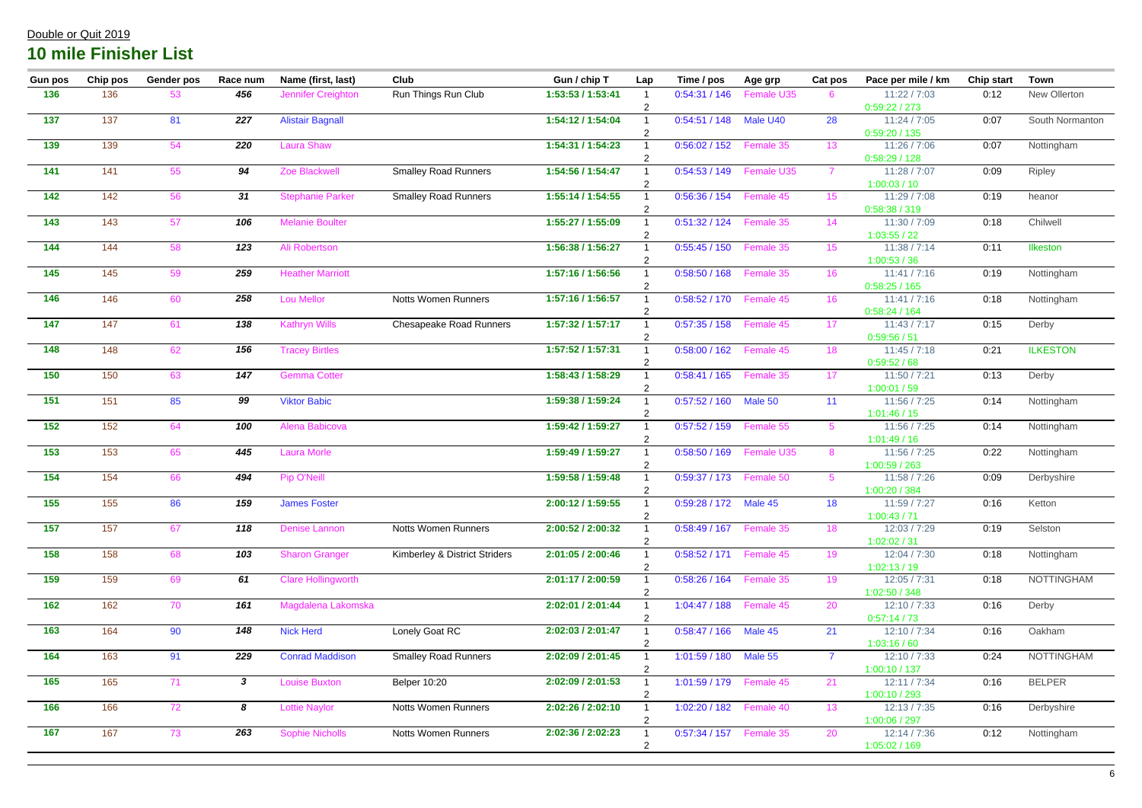| <b>Gun pos</b>            | Chip pos | <b>Gender pos</b> | Race num     | Name (first, last)        | <b>Club</b>                   | Gun / chip T      | Lap            | Time / pos                 | Age grp                     | Cat pos         | Pace per mile / km            | <b>Chip start</b> | <b>Town</b>       |
|---------------------------|----------|-------------------|--------------|---------------------------|-------------------------------|-------------------|----------------|----------------------------|-----------------------------|-----------------|-------------------------------|-------------------|-------------------|
| 136                       | 136      | 53                | 456          | Jennifer Creighton        | Run Things Run Club           | 1:53:53 / 1:53:41 |                | 0:54:31/146                | Female U35                  | 6               | 11:22 / 7:03                  | 0:12              | New Ollerton      |
|                           |          |                   |              |                           |                               |                   | $\overline{2}$ |                            |                             |                 | 0:59:22 / 273                 |                   |                   |
| 137                       | 137      | 81                | 227          | <b>Alistair Bagnall</b>   |                               | 1:54:12 / 1:54:04 |                | 0:54:51/148                | Male U40                    | 28              | 11:24 / 7:05<br>0:59:20 / 135 | 0:07              | South Normanton   |
| 139                       | 139      | 54                | 220          | <b>Laura Shaw</b>         |                               | 1:54:31 / 1:54:23 |                | 0:56:02 / 152              | Female 35                   | 13              | 11:26 / 7:06<br>0:58:29/128   | 0:07              | Nottingham        |
| 141                       | 141      | 55                | 94           | Zoe Blackwell             | <b>Smalley Road Runners</b>   | 1:54:56 / 1:54:47 |                |                            | 0:54:53 / 149    Female U35 | $\overline{7}$  | 11:28 / 7:07                  | 0:09              | Ripley            |
|                           |          |                   |              |                           |                               |                   |                |                            |                             |                 | 1:00:03/10                    |                   |                   |
| 142                       | 142      | 56                | 31           | <b>Stephanie Parker</b>   | <b>Smalley Road Runners</b>   | 1:55:14 / 1:54:55 | 2              | 0:56:36 / 154    Female 45 |                             | 15              | 11:29 / 7:08<br>0:58:38 / 319 | 0:19              | heanor            |
| 143                       | 143      | 57                | 106          | <b>Melanie Boulter</b>    |                               | 1:55:27 / 1:55:09 | 2              | 0:51:32 / 124    Female 35 |                             | 14              | 11:30 / 7:09<br>1:03:55 / 22  | 0:18              | Chilwell          |
| 144                       | 144      | 58                | 123          | Ali Robertson             |                               | 1:56:38 / 1:56:27 |                | 0:55:45 / 150    Female 35 |                             | 15              | 11:38 / 7:14                  | 0:11              | Ilkeston          |
|                           |          |                   |              |                           |                               |                   |                |                            |                             |                 | 1:00:53 / 36                  |                   |                   |
| 145                       | 145      | 59                | 259          | <b>Heather Marriott</b>   |                               | 1:57:16 / 1:56:56 |                | 0:58:50 / 168    Female 35 |                             | 16              | 11:41 / 7:16<br>0:58:25/165   | 0:19              | Nottingham        |
| $\overline{\mathbf{146}}$ | 146      | 60                | 258          | <b>Lou Mellor</b>         | <b>Notts Women Runners</b>    | 1:57:16 / 1:56:57 |                | 0:58:52 / 170    Female 45 |                             | 16              | 11:41 / 7:16                  | 0:18              | Nottingham        |
|                           |          |                   |              |                           |                               |                   |                |                            |                             |                 | 0:58:24 / 164                 |                   |                   |
| 147                       | 147      | 61                | 138          | <b>Kathryn Wills</b>      | Chesapeake Road Runners       | 1:57:32 / 1:57:17 |                | 0:57:35/158                | Female 45                   | 17              | 11:43 / 7:17                  | 0:15              | Derby             |
|                           |          |                   |              |                           |                               |                   |                |                            |                             |                 | 0:59:56 / 51                  |                   |                   |
| 148                       | 148      | 62                | 156          | <b>Tracey Birtles</b>     |                               | 1:57:52 / 1:57:31 |                | 0:58:00 / 162              | Female 45                   | 18              | 11:45 / 7:18                  | 0:21              | <b>ILKESTON</b>   |
| $\boxed{150}$             | 150      | 63                | 147          |                           |                               | 1:58:43 / 1:58:29 |                | 0:58:41/165                | Female 35                   |                 | 0:59:52 / 68<br>11:50 / 7:21  |                   |                   |
|                           |          |                   |              | <b>Gemma Cotter</b>       |                               |                   |                |                            |                             | 17              | 1:00:01 / 59                  | 0:13              | Derby             |
| 151                       | 151      | 85                | 99           | <b>Viktor Babic</b>       |                               | 1:59:38 / 1:59:24 |                | 0:57:52 / 160              | Male 50                     | 11              | 11:56 / 7:25                  | 0:14              | Nottingham        |
|                           |          |                   |              |                           |                               |                   | 2              |                            |                             |                 | 1:01:46/15                    |                   |                   |
| $\overline{152}$          | 152      | 64                | 100          | Alena Babicova            |                               | 1:59:42 / 1:59:27 |                | 0:57:52 / 159              | Female 55                   | $5^{\circ}$     | 11:56 / 7:25                  | 0:14              | Nottingham        |
|                           |          |                   |              |                           |                               |                   |                |                            |                             |                 | 1:01:49/16                    |                   |                   |
| 153                       | 153      | 65                | 445          | <b>Laura Morle</b>        |                               | 1:59:49 / 1:59:27 |                | 0:58:50 / 169              | Female U35                  | 8               | 11:56 / 7:25                  | 0:22              | Nottingham        |
|                           |          |                   |              |                           |                               | 1:59:58 / 1:59:48 |                |                            |                             |                 | 1:00:59/263<br>11:58 / 7:26   |                   |                   |
| 154                       | 154      | 66                | 494          | Pip O'Neill               |                               |                   |                | 0:59:37 / 173    Female 50 |                             | $5^{\circ}$     | 1:00:20 / 384                 | 0:09              | Derbyshire        |
| $\overline{\mathbf{155}}$ | 155      | 86                | 159          | <b>James Foster</b>       |                               | 2:00:12 / 1:59:55 |                | 0:59:28 / 172 Male 45      |                             | 18              | 11:59 / 7:27                  | 0:16              | Ketton            |
|                           |          |                   |              |                           |                               |                   |                |                            |                             |                 | 1:00:43 / 71                  |                   |                   |
| $\overline{\mathbf{157}}$ | 157      | 67                | 118          | <b>Denise Lannon</b>      | <b>Notts Women Runners</b>    | 2:00:52 / 2:00:32 |                | 0:58:49/167                | Female 35                   | 18              | 12:03 / 7:29                  | 0:19              | Selston           |
|                           |          |                   |              |                           |                               |                   |                |                            |                             |                 | 1:02:02 / 31                  |                   |                   |
| 158                       | 158      | 68                | 103          | <b>Sharon Granger</b>     | Kimberley & District Striders | 2:01:05 / 2:00:46 |                | 0:58:52 / 171    Female 45 |                             | 19              | 12:04 / 7:30                  | 0:18              | Nottingham        |
|                           |          |                   |              |                           |                               |                   |                |                            |                             |                 | 1:02:13/19                    |                   |                   |
| 159                       | 159      | 69                | 61           | <b>Clare Hollingworth</b> |                               | 2:01:17 / 2:00:59 |                | 0:58:26 / 164    Female 35 |                             | 19              | 12:05 / 7:31                  | 0:18              | <b>NOTTINGHAM</b> |
|                           |          |                   |              |                           |                               |                   |                |                            |                             |                 | 1:02:50 / 348                 |                   |                   |
| $162$                     | 162      | 70                | 161          | Magdalena Lakomska        |                               | 2:02:01 / 2:01:44 |                | 1:04:47 / 188              | Female 45                   | 20              | 12:10 / 7:33                  | 0:16              | Derby             |
| 163                       | 164      |                   | 148          | <b>Nick Herd</b>          |                               | 2:02:03 / 2:01:47 |                | 0:58:47 / 166 Male 45      |                             |                 | 0:57:14/73<br>12:10 / 7:34    |                   |                   |
|                           |          | 90                |              |                           | Lonely Goat RC                |                   |                |                            |                             | 21              | 1:03:16/60                    | 0:16              | Oakham            |
| 164                       | 163      | 91                | 229          | <b>Conrad Maddison</b>    | <b>Smalley Road Runners</b>   | 2:02:09 / 2:01:45 |                | 1:01:59 / 180 Male 55      |                             | $\overline{7}$  | 12:10 / 7:33                  | 0:24              | <b>NOTTINGHAM</b> |
|                           |          |                   |              |                           |                               |                   |                |                            |                             |                 | 1:00:10/137                   |                   |                   |
| 165                       | 165      | 71                | $\mathbf{3}$ | <b>Louise Buxton</b>      | <b>Belper 10:20</b>           | 2:02:09 / 2:01:53 |                | 1:01:59 / 179    Female 45 |                             | 21              | 12:11 / 7:34                  | 0:16              | <b>BELPER</b>     |
|                           |          |                   |              |                           |                               |                   |                |                            |                             |                 | 1:00:10 / 293                 |                   |                   |
| <b>166</b>                | 166      | 72                | 8            | <b>Lottie Naylor</b>      | <b>Notts Women Runners</b>    | 2:02:26 / 2:02:10 |                | 1:02:20 / 182              | Female 40                   | 13 <sup>°</sup> | 12:13 / 7:35                  | 0:16              | Derbyshire        |
|                           |          |                   |              |                           |                               |                   |                |                            |                             |                 | 1:00:06 / 297                 |                   |                   |
| 167                       | 167      | 73                | 263          | <b>Sophie Nicholls</b>    | <b>Notts Women Runners</b>    | 2:02:36 / 2:02:23 |                | 0:57:34 / 157    Female 35 |                             | 20              | 12:14 / 7:36                  | 0:12              | Nottingham        |
|                           |          |                   |              |                           |                               |                   |                |                            |                             |                 | 1:05:02 / 169                 |                   |                   |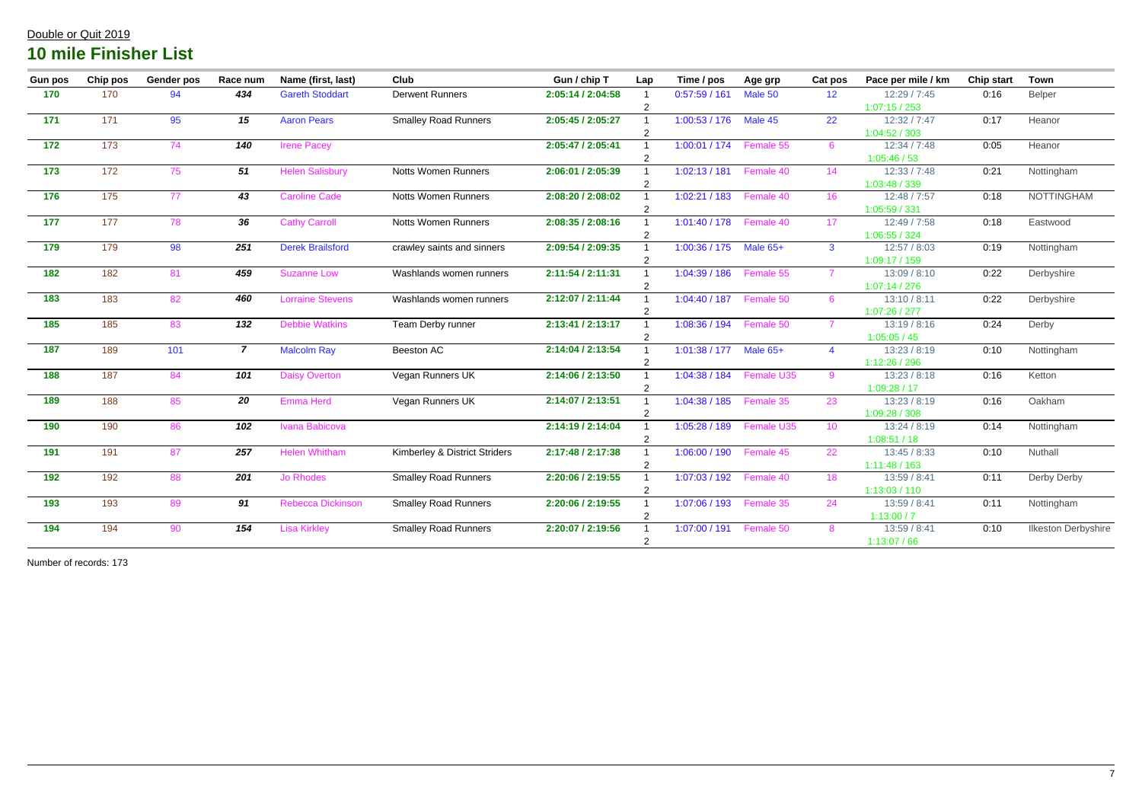| <b>Gun pos</b>            | <b>Chip pos</b> | <b>Gender pos</b> | Race num       | Name (first, last)       | <b>Club</b>                   | Gun / chip T      | Lap                     | Time / pos    | Age grp    | Cat pos         | Pace per mile / km | <b>Chip start</b> | <b>Town</b>                |
|---------------------------|-----------------|-------------------|----------------|--------------------------|-------------------------------|-------------------|-------------------------|---------------|------------|-----------------|--------------------|-------------------|----------------------------|
| 170                       | 170             | 94                | 434            | <b>Gareth Stoddart</b>   | <b>Derwent Runners</b>        | 2:05:14 / 2:04:58 | $\overline{\mathbf{1}}$ | 0:57:59/161   | Male 50    | 12 <sup>2</sup> | 12:29 / 7:45       | 0:16              | Belper                     |
|                           |                 |                   |                |                          |                               |                   | $\overline{2}$          |               |            |                 | 1:07:15/253        |                   |                            |
| 171                       | 171             | 95                | 15             | <b>Aaron Pears</b>       | <b>Smalley Road Runners</b>   | 2:05:45 / 2:05:27 |                         | 1:00:53 / 176 | Male 45    | 22              | 12:32 / 7:47       | 0:17              | Heanor                     |
|                           |                 |                   |                |                          |                               |                   | $\overline{2}$          |               |            |                 | 1:04:52 / 303      |                   |                            |
| 172                       | 173             | 74                | 140            | <b>Irene Pacey</b>       |                               | 2:05:47 / 2:05:41 | $\overline{1}$          | 1:00:01 / 174 | Female 55  | 6               | 12:34 / 7:48       | 0:05              | Heanor                     |
|                           |                 |                   |                |                          |                               |                   | $\overline{2}$          |               |            |                 | 1:05:46/53         |                   |                            |
| 173                       | 172             | 75                | 51             | <b>Helen Salisbury</b>   | <b>Notts Women Runners</b>    | 2:06:01 / 2:05:39 |                         | 1:02:13/181   | Female 40  | 14              | 12:33 / 7:48       | 0:21              | Nottingham                 |
|                           |                 |                   |                |                          |                               |                   | $\overline{2}$          |               |            |                 | 1:03:48 / 339      |                   |                            |
| 176                       | 175             | 77                | 43             | <b>Caroline Cade</b>     | <b>Notts Women Runners</b>    | 2:08:20 / 2:08:02 |                         | 1:02:21/183   | Female 40  | 16              | 12:48 / 7:57       | 0:18              | <b>NOTTINGHAM</b>          |
|                           |                 |                   |                |                          |                               |                   | $\overline{2}$          |               |            |                 | 1:05:59 / 331      |                   |                            |
| 177                       | 177             | 78                | 36             | <b>Cathy Carroll</b>     | <b>Notts Women Runners</b>    | 2:08:35 / 2:08:16 |                         | 1:01:40 / 178 | Female 40  | 17              | 12:49 / 7:58       | 0:18              | Eastwood                   |
|                           |                 |                   |                |                          |                               |                   | $\overline{2}$          |               |            |                 | 1:06:55 / 324      |                   |                            |
| 179                       | 179             | 98                | 251            | <b>Derek Brailsford</b>  | crawley saints and sinners    | 2:09:54 / 2:09:35 |                         | 1:00:36 / 175 | Male 65+   | $\mathbf{3}$    | 12:57 / 8:03       | 0:19              | Nottingham                 |
|                           |                 |                   |                |                          |                               |                   | $\overline{2}$          |               |            |                 | 1:09:17/159        |                   |                            |
| $\overline{182}$          | 182             | 81                | 459            | <b>Suzanne Low</b>       | Washlands women runners       | 2:11:54 / 2:11:31 |                         | 1:04:39/186   | Female 55  | $\overline{7}$  | 13:09 / 8:10       | 0:22              | Derbyshire                 |
|                           |                 |                   |                |                          |                               |                   | $\overline{2}$          |               |            |                 | 1:07:14/276        |                   |                            |
| $\overline{\mathbf{183}}$ | 183             | 82                | 460            | <b>Lorraine Stevens</b>  | Washlands women runners       | 2:12:07 / 2:11:44 |                         | 1:04:40/187   | Female 50  | 6               | 13:10 / 8:11       | 0:22              | Derbyshire                 |
|                           |                 |                   |                |                          |                               |                   | $\overline{2}$          |               |            |                 | 1:07:26 / 277      |                   |                            |
| $\overline{185}$          | 185             | 83                | 132            | <b>Debbie Watkins</b>    | Team Derby runner             | 2:13:41 / 2:13:17 |                         | 1:08:36 / 194 | Female 50  | $\overline{7}$  | 13:19/8:16         | 0:24              | Derby                      |
|                           |                 |                   |                |                          |                               |                   | $\overline{2}$          |               |            |                 | 1:05:05/45         |                   |                            |
| $\overline{187}$          | 189             | 101               | $\overline{7}$ | <b>Malcolm Ray</b>       | Beeston AC                    | 2:14:04 / 2:13:54 |                         | 1:01:38/177   | Male 65+   | $\overline{4}$  | 13:23 / 8:19       | 0:10              | Nottingham                 |
|                           |                 |                   |                |                          |                               |                   | $\overline{2}$          |               |            |                 | 1:12:26 / 296      |                   |                            |
| $\overline{\mathbf{188}}$ | 187             | 84                | 101            | <b>Daisy Overton</b>     | Vegan Runners UK              | 2:14:06 / 2:13:50 |                         | 1:04:38 / 184 | Female U35 | 9               | 13:23 / 8:18       | 0:16              | Ketton                     |
|                           |                 |                   |                |                          |                               |                   | $\overline{2}$          |               |            |                 | 1:09:28/17         |                   |                            |
| 189                       | 188             | 85                | 20             | Emma Herd                | Vegan Runners UK              | 2:14:07 / 2:13:51 |                         | 1:04:38 / 185 | Female 35  | 23              | 13:23 / 8:19       | 0:16              | Oakham                     |
|                           |                 |                   |                |                          |                               |                   | $\overline{2}$          |               |            |                 | 1:09:28 / 308      |                   |                            |
| 190                       | 190             | 86                | 102            | Ivana Babicova           |                               | 2:14:19 / 2:14:04 |                         | 1:05:28/189   | Female U35 | 10 <sup>°</sup> | 13:24 / 8:19       | 0:14              | Nottingham                 |
|                           |                 |                   |                |                          |                               |                   | $\overline{2}$          |               |            |                 | 1:08:51 / 18       |                   |                            |
| 191                       | 191             | 87                | 257            | <b>Helen Whitham</b>     | Kimberley & District Striders | 2:17:48 / 2:17:38 |                         | 1:06:00 / 190 | Female 45  | 22              | 13:45/8:33         | 0:10              | Nuthall                    |
|                           |                 |                   |                |                          |                               |                   | $\overline{2}$          |               |            |                 | 1:11:48/163        |                   |                            |
| $\overline{192}$          | 192             | 88                | 201            | <b>Jo Rhodes</b>         | <b>Smalley Road Runners</b>   | 2:20:06 / 2:19:55 |                         | 1:07:03/192   | Female 40  | 18              | 13:59 / 8:41       | 0:11              | Derby Derby                |
|                           |                 |                   |                |                          |                               |                   | $\overline{2}$          |               |            |                 | 1:13:03/110        |                   |                            |
| 193                       | 193             | 89                | 91             | <b>Rebecca Dickinson</b> | <b>Smalley Road Runners</b>   | 2:20:06 / 2:19:55 |                         | 1:07:06 / 193 | Female 35  | 24              | 13:59 / 8:41       | 0:11              | Nottingham                 |
| 194                       |                 |                   | 154            |                          |                               |                   | $\overline{2}$          |               |            |                 | 1:13:00/7          |                   |                            |
|                           | 194             | 90                |                | <b>Lisa Kirkley</b>      | <b>Smalley Road Runners</b>   | 2:20:07 / 2:19:56 |                         | 1:07:00 / 191 | Female 50  | 8               | 13:59 / 8:41       | 0:10              | <b>Ilkeston Derbyshire</b> |
|                           |                 |                   |                |                          |                               |                   | $\overline{2}$          |               |            |                 | 1:13:07/66         |                   |                            |

Number of records: 173

### Double or Quit 2019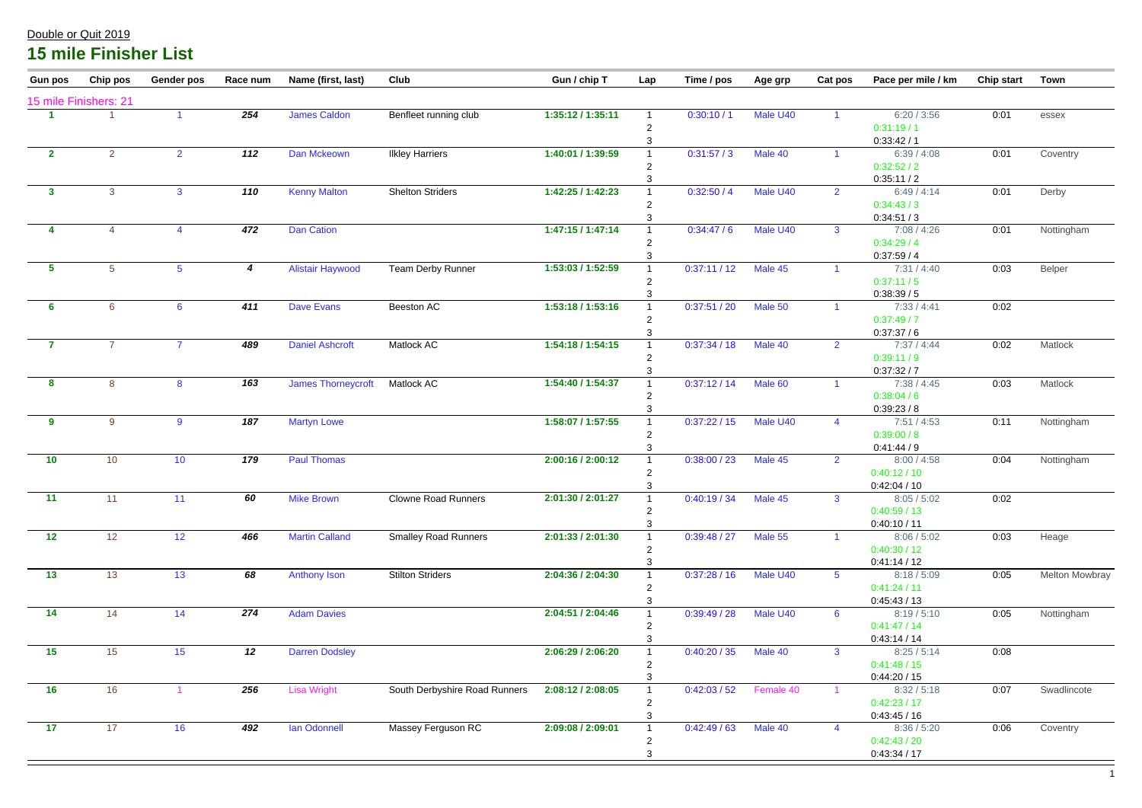| 15 mile Finishers: 21<br><b>James Caldon</b><br>Male U40<br>6:20/3:56<br>254<br>Benfleet running club<br>1:35:12 / 1:35:11<br>0:30:10/1<br>0:01<br>essex<br>0:31:19/1<br>0:33:42/1<br>112<br>1:40:01 / 1:39:59<br>0:31:57/3<br>Male 40<br>$\mathbf{2}$<br>2 <sup>1</sup><br>Dan Mckeown<br>6:39/4:08<br>0:01<br>$\overline{2}$<br><b>Ilkley Harriers</b><br>Coventry<br>0:32:52/2<br>0:35:11/2<br>Male U40<br>110<br><b>Kenny Malton</b><br><b>Shelton Striders</b><br>1:42:25 / 1:42:23<br>0:32:50/4<br>6:49/4:14<br>0:01<br>3 <sup>1</sup><br>$\mathbf{3}$<br>Derby<br>$\mathbf{3}$<br>$\overline{2}$<br>0:34:43/3<br>0:34:51/3<br>1:47:15 / 1:47:14<br>472<br><b>Dan Cation</b><br>0:34:47/6<br>Male U40<br>Nottingham<br>7:08 / 4:26<br>0:01<br>$\mathbf{3}$<br>$\overline{4}$<br>4<br>0:34:29/4<br>0:37:59/4<br>0:37:11/12<br>Male 45<br>Team Derby Runner<br>1:53:03 / 1:52:59<br>$5\phantom{.0}$<br>5 <sup>5</sup><br>$5\phantom{.0}$<br><b>Alistair Haywood</b><br>7:31/4:40<br>0:03<br>Belper<br>$\overline{\mathbf{4}}$<br>0:37:11/5<br>0:38:39/5<br>1:53:18 / 1:53:16<br>411<br><b>Dave Evans</b><br>Beeston AC<br>0:37:51 / 20<br>Male 50<br>0:02<br>$6\phantom{1}$<br>7:33 / 4:41<br>6 <sup>1</sup><br>$6\phantom{1}6$<br>0:37:49/7<br>0:37:37/6<br><b>Daniel Ashcroft</b><br>Matlock AC<br>1:54:18 / 1:54:15<br>0:37:34 / 18<br>Male 40<br>7:37/4:44<br>0:02<br>$\overline{7}$<br>$\overline{7}$<br>$\overline{7}$<br>489<br>Matlock<br>$\overline{2}$<br>0:39:11/9<br>0:37:32/7<br>163<br>1:54:40 / 1:54:37<br>Matlock AC<br>0:37:12/14<br>Male 60<br>8<br><b>James Thorneycroft</b><br>7:38 / 4:45<br>0:03<br>Matlock<br>8<br>8<br>0:38:04/6<br>0:39:23/8<br>1:58:07 / 1:57:55<br>187<br>0:37:22/15<br>Male U40<br>9<br><b>Martyn Lowe</b><br>7:51/4:53<br>Nottingham<br>9<br>9<br>0:11<br>$\overline{4}$<br>0:39:00/8<br>0:41:44/9<br>0:38:00 / 23<br>10<br>179<br><b>Paul Thomas</b><br>Male 45<br>10<br>10 <sup>°</sup><br>2:00:16 / 2:00:12<br>8:00 / 4:58<br>0:04<br>Nottingham<br>$\overline{2}$<br>0:40:12 / 10<br>0:42:04/10<br>60<br><b>Mike Brown</b><br>2:01:30 / 2:01:27<br>0:40:19 / 34 Male 45<br>0:02<br>11<br><b>Clowne Road Runners</b><br>8:05 / 5:02<br>11<br>11<br>3 <sup>7</sup><br>0:40:59/13<br>0:40:10 / 11<br>12<br>12<br><b>Martin Calland</b><br><b>Smalley Road Runners</b><br>2:01:33 / 2:01:30<br>0:39:48 / 27<br>Male 55<br>0:03<br>12 <sup>°</sup><br>466<br>8:06 / 5:02<br>Heage<br>0:40:30 / 12<br>0:41:14/12<br>13<br>2:04:36 / 2:04:30<br>13<br><b>Stilton Striders</b><br>0:37:28/16<br>Male U40<br><b>Melton Mowbray</b><br>13<br>68<br><b>Anthony Ison</b><br>8:18 / 5:09<br>0:05<br>$5^{\circ}$<br>0:41:24/11<br>0:45:43/13<br>2:04:51 / 2:04:46<br>0:39:49 / 28<br>Male U40<br>14<br>274<br><b>Adam Davies</b><br>Nottingham<br>14<br>14<br>8:19/5:10<br>0:05<br>6<br>0:41:47/14<br>0:43:14/14<br>15<br>2:06:29 / 2:06:20<br>15<br>12<br><b>Darren Dodsley</b><br>0:40:20 / 35<br>Male 40<br>0:08<br>15<br>3 <sup>1</sup><br>8:25/5:14<br>0:41:48/15<br>0:44:20/15<br>0:42:03/52<br>16<br><b>Lisa Wright</b><br>South Derbyshire Road Runners<br>2:08:12 / 2:08:05<br>Swadlincote<br>16<br>256<br>Female 40<br>0:07<br>8:32 / 5:18<br>0:42:23/17<br>0:43:45/16<br>2:09:08 / 2:09:01<br>17<br>0:42:49/63<br>Male 40<br>17<br>16<br>492<br><b>Ian Odonnell</b><br>Massey Ferguson RC<br>8:36 / 5:20<br>0:06<br>Coventry<br>$\overline{4}$<br>0:42:43/20 | <b>Gun pos</b> | Chip pos | Gender pos | Race num | Name (first, last) | <b>Club</b> | Gun / chip T | Lap | Time / pos | Age grp | <b>Cat pos</b> | Pace per mile / km | <b>Chip start</b> | <b>Town</b> |
|----------------------------------------------------------------------------------------------------------------------------------------------------------------------------------------------------------------------------------------------------------------------------------------------------------------------------------------------------------------------------------------------------------------------------------------------------------------------------------------------------------------------------------------------------------------------------------------------------------------------------------------------------------------------------------------------------------------------------------------------------------------------------------------------------------------------------------------------------------------------------------------------------------------------------------------------------------------------------------------------------------------------------------------------------------------------------------------------------------------------------------------------------------------------------------------------------------------------------------------------------------------------------------------------------------------------------------------------------------------------------------------------------------------------------------------------------------------------------------------------------------------------------------------------------------------------------------------------------------------------------------------------------------------------------------------------------------------------------------------------------------------------------------------------------------------------------------------------------------------------------------------------------------------------------------------------------------------------------------------------------------------------------------------------------------------------------------------------------------------------------------------------------------------------------------------------------------------------------------------------------------------------------------------------------------------------------------------------------------------------------------------------------------------------------------------------------------------------------------------------------------------------------------------------------------------------------------------------------------------------------------------------------------------------------------------------------------------------------------------------------------------------------------------------------------------------------------------------------------------------------------------------------------------------------------------------------------------------------------------------------------------------------------------------------------------------------------------------------------------------------------------------------------------------------------------------------------------------------------------------------------------------------------------------------------------------------------------------------------------------------------------------------------------|----------------|----------|------------|----------|--------------------|-------------|--------------|-----|------------|---------|----------------|--------------------|-------------------|-------------|
|                                                                                                                                                                                                                                                                                                                                                                                                                                                                                                                                                                                                                                                                                                                                                                                                                                                                                                                                                                                                                                                                                                                                                                                                                                                                                                                                                                                                                                                                                                                                                                                                                                                                                                                                                                                                                                                                                                                                                                                                                                                                                                                                                                                                                                                                                                                                                                                                                                                                                                                                                                                                                                                                                                                                                                                                                                                                                                                                                                                                                                                                                                                                                                                                                                                                                                                                                                                                                |                |          |            |          |                    |             |              |     |            |         |                |                    |                   |             |
|                                                                                                                                                                                                                                                                                                                                                                                                                                                                                                                                                                                                                                                                                                                                                                                                                                                                                                                                                                                                                                                                                                                                                                                                                                                                                                                                                                                                                                                                                                                                                                                                                                                                                                                                                                                                                                                                                                                                                                                                                                                                                                                                                                                                                                                                                                                                                                                                                                                                                                                                                                                                                                                                                                                                                                                                                                                                                                                                                                                                                                                                                                                                                                                                                                                                                                                                                                                                                |                |          |            |          |                    |             |              |     |            |         |                |                    |                   |             |
|                                                                                                                                                                                                                                                                                                                                                                                                                                                                                                                                                                                                                                                                                                                                                                                                                                                                                                                                                                                                                                                                                                                                                                                                                                                                                                                                                                                                                                                                                                                                                                                                                                                                                                                                                                                                                                                                                                                                                                                                                                                                                                                                                                                                                                                                                                                                                                                                                                                                                                                                                                                                                                                                                                                                                                                                                                                                                                                                                                                                                                                                                                                                                                                                                                                                                                                                                                                                                |                |          |            |          |                    |             |              |     |            |         |                |                    |                   |             |
|                                                                                                                                                                                                                                                                                                                                                                                                                                                                                                                                                                                                                                                                                                                                                                                                                                                                                                                                                                                                                                                                                                                                                                                                                                                                                                                                                                                                                                                                                                                                                                                                                                                                                                                                                                                                                                                                                                                                                                                                                                                                                                                                                                                                                                                                                                                                                                                                                                                                                                                                                                                                                                                                                                                                                                                                                                                                                                                                                                                                                                                                                                                                                                                                                                                                                                                                                                                                                |                |          |            |          |                    |             |              |     |            |         |                |                    |                   |             |
|                                                                                                                                                                                                                                                                                                                                                                                                                                                                                                                                                                                                                                                                                                                                                                                                                                                                                                                                                                                                                                                                                                                                                                                                                                                                                                                                                                                                                                                                                                                                                                                                                                                                                                                                                                                                                                                                                                                                                                                                                                                                                                                                                                                                                                                                                                                                                                                                                                                                                                                                                                                                                                                                                                                                                                                                                                                                                                                                                                                                                                                                                                                                                                                                                                                                                                                                                                                                                |                |          |            |          |                    |             |              |     |            |         |                |                    |                   |             |
|                                                                                                                                                                                                                                                                                                                                                                                                                                                                                                                                                                                                                                                                                                                                                                                                                                                                                                                                                                                                                                                                                                                                                                                                                                                                                                                                                                                                                                                                                                                                                                                                                                                                                                                                                                                                                                                                                                                                                                                                                                                                                                                                                                                                                                                                                                                                                                                                                                                                                                                                                                                                                                                                                                                                                                                                                                                                                                                                                                                                                                                                                                                                                                                                                                                                                                                                                                                                                |                |          |            |          |                    |             |              |     |            |         |                |                    |                   |             |
|                                                                                                                                                                                                                                                                                                                                                                                                                                                                                                                                                                                                                                                                                                                                                                                                                                                                                                                                                                                                                                                                                                                                                                                                                                                                                                                                                                                                                                                                                                                                                                                                                                                                                                                                                                                                                                                                                                                                                                                                                                                                                                                                                                                                                                                                                                                                                                                                                                                                                                                                                                                                                                                                                                                                                                                                                                                                                                                                                                                                                                                                                                                                                                                                                                                                                                                                                                                                                |                |          |            |          |                    |             |              |     |            |         |                |                    |                   |             |
|                                                                                                                                                                                                                                                                                                                                                                                                                                                                                                                                                                                                                                                                                                                                                                                                                                                                                                                                                                                                                                                                                                                                                                                                                                                                                                                                                                                                                                                                                                                                                                                                                                                                                                                                                                                                                                                                                                                                                                                                                                                                                                                                                                                                                                                                                                                                                                                                                                                                                                                                                                                                                                                                                                                                                                                                                                                                                                                                                                                                                                                                                                                                                                                                                                                                                                                                                                                                                |                |          |            |          |                    |             |              |     |            |         |                |                    |                   |             |
|                                                                                                                                                                                                                                                                                                                                                                                                                                                                                                                                                                                                                                                                                                                                                                                                                                                                                                                                                                                                                                                                                                                                                                                                                                                                                                                                                                                                                                                                                                                                                                                                                                                                                                                                                                                                                                                                                                                                                                                                                                                                                                                                                                                                                                                                                                                                                                                                                                                                                                                                                                                                                                                                                                                                                                                                                                                                                                                                                                                                                                                                                                                                                                                                                                                                                                                                                                                                                |                |          |            |          |                    |             |              |     |            |         |                |                    |                   |             |
|                                                                                                                                                                                                                                                                                                                                                                                                                                                                                                                                                                                                                                                                                                                                                                                                                                                                                                                                                                                                                                                                                                                                                                                                                                                                                                                                                                                                                                                                                                                                                                                                                                                                                                                                                                                                                                                                                                                                                                                                                                                                                                                                                                                                                                                                                                                                                                                                                                                                                                                                                                                                                                                                                                                                                                                                                                                                                                                                                                                                                                                                                                                                                                                                                                                                                                                                                                                                                |                |          |            |          |                    |             |              |     |            |         |                |                    |                   |             |
|                                                                                                                                                                                                                                                                                                                                                                                                                                                                                                                                                                                                                                                                                                                                                                                                                                                                                                                                                                                                                                                                                                                                                                                                                                                                                                                                                                                                                                                                                                                                                                                                                                                                                                                                                                                                                                                                                                                                                                                                                                                                                                                                                                                                                                                                                                                                                                                                                                                                                                                                                                                                                                                                                                                                                                                                                                                                                                                                                                                                                                                                                                                                                                                                                                                                                                                                                                                                                |                |          |            |          |                    |             |              |     |            |         |                |                    |                   |             |
|                                                                                                                                                                                                                                                                                                                                                                                                                                                                                                                                                                                                                                                                                                                                                                                                                                                                                                                                                                                                                                                                                                                                                                                                                                                                                                                                                                                                                                                                                                                                                                                                                                                                                                                                                                                                                                                                                                                                                                                                                                                                                                                                                                                                                                                                                                                                                                                                                                                                                                                                                                                                                                                                                                                                                                                                                                                                                                                                                                                                                                                                                                                                                                                                                                                                                                                                                                                                                |                |          |            |          |                    |             |              |     |            |         |                |                    |                   |             |
|                                                                                                                                                                                                                                                                                                                                                                                                                                                                                                                                                                                                                                                                                                                                                                                                                                                                                                                                                                                                                                                                                                                                                                                                                                                                                                                                                                                                                                                                                                                                                                                                                                                                                                                                                                                                                                                                                                                                                                                                                                                                                                                                                                                                                                                                                                                                                                                                                                                                                                                                                                                                                                                                                                                                                                                                                                                                                                                                                                                                                                                                                                                                                                                                                                                                                                                                                                                                                |                |          |            |          |                    |             |              |     |            |         |                |                    |                   |             |
|                                                                                                                                                                                                                                                                                                                                                                                                                                                                                                                                                                                                                                                                                                                                                                                                                                                                                                                                                                                                                                                                                                                                                                                                                                                                                                                                                                                                                                                                                                                                                                                                                                                                                                                                                                                                                                                                                                                                                                                                                                                                                                                                                                                                                                                                                                                                                                                                                                                                                                                                                                                                                                                                                                                                                                                                                                                                                                                                                                                                                                                                                                                                                                                                                                                                                                                                                                                                                |                |          |            |          |                    |             |              |     |            |         |                |                    |                   |             |
|                                                                                                                                                                                                                                                                                                                                                                                                                                                                                                                                                                                                                                                                                                                                                                                                                                                                                                                                                                                                                                                                                                                                                                                                                                                                                                                                                                                                                                                                                                                                                                                                                                                                                                                                                                                                                                                                                                                                                                                                                                                                                                                                                                                                                                                                                                                                                                                                                                                                                                                                                                                                                                                                                                                                                                                                                                                                                                                                                                                                                                                                                                                                                                                                                                                                                                                                                                                                                |                |          |            |          |                    |             |              |     |            |         |                |                    |                   |             |
|                                                                                                                                                                                                                                                                                                                                                                                                                                                                                                                                                                                                                                                                                                                                                                                                                                                                                                                                                                                                                                                                                                                                                                                                                                                                                                                                                                                                                                                                                                                                                                                                                                                                                                                                                                                                                                                                                                                                                                                                                                                                                                                                                                                                                                                                                                                                                                                                                                                                                                                                                                                                                                                                                                                                                                                                                                                                                                                                                                                                                                                                                                                                                                                                                                                                                                                                                                                                                |                |          |            |          |                    |             |              |     |            |         |                |                    |                   |             |
|                                                                                                                                                                                                                                                                                                                                                                                                                                                                                                                                                                                                                                                                                                                                                                                                                                                                                                                                                                                                                                                                                                                                                                                                                                                                                                                                                                                                                                                                                                                                                                                                                                                                                                                                                                                                                                                                                                                                                                                                                                                                                                                                                                                                                                                                                                                                                                                                                                                                                                                                                                                                                                                                                                                                                                                                                                                                                                                                                                                                                                                                                                                                                                                                                                                                                                                                                                                                                |                |          |            |          |                    |             |              |     |            |         |                |                    |                   |             |
|                                                                                                                                                                                                                                                                                                                                                                                                                                                                                                                                                                                                                                                                                                                                                                                                                                                                                                                                                                                                                                                                                                                                                                                                                                                                                                                                                                                                                                                                                                                                                                                                                                                                                                                                                                                                                                                                                                                                                                                                                                                                                                                                                                                                                                                                                                                                                                                                                                                                                                                                                                                                                                                                                                                                                                                                                                                                                                                                                                                                                                                                                                                                                                                                                                                                                                                                                                                                                |                |          |            |          |                    |             |              |     |            |         |                |                    |                   |             |
|                                                                                                                                                                                                                                                                                                                                                                                                                                                                                                                                                                                                                                                                                                                                                                                                                                                                                                                                                                                                                                                                                                                                                                                                                                                                                                                                                                                                                                                                                                                                                                                                                                                                                                                                                                                                                                                                                                                                                                                                                                                                                                                                                                                                                                                                                                                                                                                                                                                                                                                                                                                                                                                                                                                                                                                                                                                                                                                                                                                                                                                                                                                                                                                                                                                                                                                                                                                                                |                |          |            |          |                    |             |              |     |            |         |                |                    |                   |             |
|                                                                                                                                                                                                                                                                                                                                                                                                                                                                                                                                                                                                                                                                                                                                                                                                                                                                                                                                                                                                                                                                                                                                                                                                                                                                                                                                                                                                                                                                                                                                                                                                                                                                                                                                                                                                                                                                                                                                                                                                                                                                                                                                                                                                                                                                                                                                                                                                                                                                                                                                                                                                                                                                                                                                                                                                                                                                                                                                                                                                                                                                                                                                                                                                                                                                                                                                                                                                                |                |          |            |          |                    |             |              |     |            |         |                |                    |                   |             |
|                                                                                                                                                                                                                                                                                                                                                                                                                                                                                                                                                                                                                                                                                                                                                                                                                                                                                                                                                                                                                                                                                                                                                                                                                                                                                                                                                                                                                                                                                                                                                                                                                                                                                                                                                                                                                                                                                                                                                                                                                                                                                                                                                                                                                                                                                                                                                                                                                                                                                                                                                                                                                                                                                                                                                                                                                                                                                                                                                                                                                                                                                                                                                                                                                                                                                                                                                                                                                |                |          |            |          |                    |             |              |     |            |         |                |                    |                   |             |
|                                                                                                                                                                                                                                                                                                                                                                                                                                                                                                                                                                                                                                                                                                                                                                                                                                                                                                                                                                                                                                                                                                                                                                                                                                                                                                                                                                                                                                                                                                                                                                                                                                                                                                                                                                                                                                                                                                                                                                                                                                                                                                                                                                                                                                                                                                                                                                                                                                                                                                                                                                                                                                                                                                                                                                                                                                                                                                                                                                                                                                                                                                                                                                                                                                                                                                                                                                                                                |                |          |            |          |                    |             |              |     |            |         |                |                    |                   |             |
|                                                                                                                                                                                                                                                                                                                                                                                                                                                                                                                                                                                                                                                                                                                                                                                                                                                                                                                                                                                                                                                                                                                                                                                                                                                                                                                                                                                                                                                                                                                                                                                                                                                                                                                                                                                                                                                                                                                                                                                                                                                                                                                                                                                                                                                                                                                                                                                                                                                                                                                                                                                                                                                                                                                                                                                                                                                                                                                                                                                                                                                                                                                                                                                                                                                                                                                                                                                                                |                |          |            |          |                    |             |              |     |            |         |                |                    |                   |             |
|                                                                                                                                                                                                                                                                                                                                                                                                                                                                                                                                                                                                                                                                                                                                                                                                                                                                                                                                                                                                                                                                                                                                                                                                                                                                                                                                                                                                                                                                                                                                                                                                                                                                                                                                                                                                                                                                                                                                                                                                                                                                                                                                                                                                                                                                                                                                                                                                                                                                                                                                                                                                                                                                                                                                                                                                                                                                                                                                                                                                                                                                                                                                                                                                                                                                                                                                                                                                                |                |          |            |          |                    |             |              |     |            |         |                |                    |                   |             |
|                                                                                                                                                                                                                                                                                                                                                                                                                                                                                                                                                                                                                                                                                                                                                                                                                                                                                                                                                                                                                                                                                                                                                                                                                                                                                                                                                                                                                                                                                                                                                                                                                                                                                                                                                                                                                                                                                                                                                                                                                                                                                                                                                                                                                                                                                                                                                                                                                                                                                                                                                                                                                                                                                                                                                                                                                                                                                                                                                                                                                                                                                                                                                                                                                                                                                                                                                                                                                |                |          |            |          |                    |             |              |     |            |         |                |                    |                   |             |
|                                                                                                                                                                                                                                                                                                                                                                                                                                                                                                                                                                                                                                                                                                                                                                                                                                                                                                                                                                                                                                                                                                                                                                                                                                                                                                                                                                                                                                                                                                                                                                                                                                                                                                                                                                                                                                                                                                                                                                                                                                                                                                                                                                                                                                                                                                                                                                                                                                                                                                                                                                                                                                                                                                                                                                                                                                                                                                                                                                                                                                                                                                                                                                                                                                                                                                                                                                                                                |                |          |            |          |                    |             |              |     |            |         |                |                    |                   |             |
|                                                                                                                                                                                                                                                                                                                                                                                                                                                                                                                                                                                                                                                                                                                                                                                                                                                                                                                                                                                                                                                                                                                                                                                                                                                                                                                                                                                                                                                                                                                                                                                                                                                                                                                                                                                                                                                                                                                                                                                                                                                                                                                                                                                                                                                                                                                                                                                                                                                                                                                                                                                                                                                                                                                                                                                                                                                                                                                                                                                                                                                                                                                                                                                                                                                                                                                                                                                                                |                |          |            |          |                    |             |              |     |            |         |                |                    |                   |             |
|                                                                                                                                                                                                                                                                                                                                                                                                                                                                                                                                                                                                                                                                                                                                                                                                                                                                                                                                                                                                                                                                                                                                                                                                                                                                                                                                                                                                                                                                                                                                                                                                                                                                                                                                                                                                                                                                                                                                                                                                                                                                                                                                                                                                                                                                                                                                                                                                                                                                                                                                                                                                                                                                                                                                                                                                                                                                                                                                                                                                                                                                                                                                                                                                                                                                                                                                                                                                                |                |          |            |          |                    |             |              |     |            |         |                |                    |                   |             |
|                                                                                                                                                                                                                                                                                                                                                                                                                                                                                                                                                                                                                                                                                                                                                                                                                                                                                                                                                                                                                                                                                                                                                                                                                                                                                                                                                                                                                                                                                                                                                                                                                                                                                                                                                                                                                                                                                                                                                                                                                                                                                                                                                                                                                                                                                                                                                                                                                                                                                                                                                                                                                                                                                                                                                                                                                                                                                                                                                                                                                                                                                                                                                                                                                                                                                                                                                                                                                |                |          |            |          |                    |             |              |     |            |         |                |                    |                   |             |
|                                                                                                                                                                                                                                                                                                                                                                                                                                                                                                                                                                                                                                                                                                                                                                                                                                                                                                                                                                                                                                                                                                                                                                                                                                                                                                                                                                                                                                                                                                                                                                                                                                                                                                                                                                                                                                                                                                                                                                                                                                                                                                                                                                                                                                                                                                                                                                                                                                                                                                                                                                                                                                                                                                                                                                                                                                                                                                                                                                                                                                                                                                                                                                                                                                                                                                                                                                                                                |                |          |            |          |                    |             |              |     |            |         |                |                    |                   |             |
|                                                                                                                                                                                                                                                                                                                                                                                                                                                                                                                                                                                                                                                                                                                                                                                                                                                                                                                                                                                                                                                                                                                                                                                                                                                                                                                                                                                                                                                                                                                                                                                                                                                                                                                                                                                                                                                                                                                                                                                                                                                                                                                                                                                                                                                                                                                                                                                                                                                                                                                                                                                                                                                                                                                                                                                                                                                                                                                                                                                                                                                                                                                                                                                                                                                                                                                                                                                                                |                |          |            |          |                    |             |              |     |            |         |                |                    |                   |             |
|                                                                                                                                                                                                                                                                                                                                                                                                                                                                                                                                                                                                                                                                                                                                                                                                                                                                                                                                                                                                                                                                                                                                                                                                                                                                                                                                                                                                                                                                                                                                                                                                                                                                                                                                                                                                                                                                                                                                                                                                                                                                                                                                                                                                                                                                                                                                                                                                                                                                                                                                                                                                                                                                                                                                                                                                                                                                                                                                                                                                                                                                                                                                                                                                                                                                                                                                                                                                                |                |          |            |          |                    |             |              |     |            |         |                |                    |                   |             |
|                                                                                                                                                                                                                                                                                                                                                                                                                                                                                                                                                                                                                                                                                                                                                                                                                                                                                                                                                                                                                                                                                                                                                                                                                                                                                                                                                                                                                                                                                                                                                                                                                                                                                                                                                                                                                                                                                                                                                                                                                                                                                                                                                                                                                                                                                                                                                                                                                                                                                                                                                                                                                                                                                                                                                                                                                                                                                                                                                                                                                                                                                                                                                                                                                                                                                                                                                                                                                |                |          |            |          |                    |             |              |     |            |         |                |                    |                   |             |
|                                                                                                                                                                                                                                                                                                                                                                                                                                                                                                                                                                                                                                                                                                                                                                                                                                                                                                                                                                                                                                                                                                                                                                                                                                                                                                                                                                                                                                                                                                                                                                                                                                                                                                                                                                                                                                                                                                                                                                                                                                                                                                                                                                                                                                                                                                                                                                                                                                                                                                                                                                                                                                                                                                                                                                                                                                                                                                                                                                                                                                                                                                                                                                                                                                                                                                                                                                                                                |                |          |            |          |                    |             |              |     |            |         |                |                    |                   |             |
|                                                                                                                                                                                                                                                                                                                                                                                                                                                                                                                                                                                                                                                                                                                                                                                                                                                                                                                                                                                                                                                                                                                                                                                                                                                                                                                                                                                                                                                                                                                                                                                                                                                                                                                                                                                                                                                                                                                                                                                                                                                                                                                                                                                                                                                                                                                                                                                                                                                                                                                                                                                                                                                                                                                                                                                                                                                                                                                                                                                                                                                                                                                                                                                                                                                                                                                                                                                                                |                |          |            |          |                    |             |              |     |            |         |                |                    |                   |             |
|                                                                                                                                                                                                                                                                                                                                                                                                                                                                                                                                                                                                                                                                                                                                                                                                                                                                                                                                                                                                                                                                                                                                                                                                                                                                                                                                                                                                                                                                                                                                                                                                                                                                                                                                                                                                                                                                                                                                                                                                                                                                                                                                                                                                                                                                                                                                                                                                                                                                                                                                                                                                                                                                                                                                                                                                                                                                                                                                                                                                                                                                                                                                                                                                                                                                                                                                                                                                                |                |          |            |          |                    |             |              |     |            |         |                |                    |                   |             |
|                                                                                                                                                                                                                                                                                                                                                                                                                                                                                                                                                                                                                                                                                                                                                                                                                                                                                                                                                                                                                                                                                                                                                                                                                                                                                                                                                                                                                                                                                                                                                                                                                                                                                                                                                                                                                                                                                                                                                                                                                                                                                                                                                                                                                                                                                                                                                                                                                                                                                                                                                                                                                                                                                                                                                                                                                                                                                                                                                                                                                                                                                                                                                                                                                                                                                                                                                                                                                |                |          |            |          |                    |             |              |     |            |         |                |                    |                   |             |
|                                                                                                                                                                                                                                                                                                                                                                                                                                                                                                                                                                                                                                                                                                                                                                                                                                                                                                                                                                                                                                                                                                                                                                                                                                                                                                                                                                                                                                                                                                                                                                                                                                                                                                                                                                                                                                                                                                                                                                                                                                                                                                                                                                                                                                                                                                                                                                                                                                                                                                                                                                                                                                                                                                                                                                                                                                                                                                                                                                                                                                                                                                                                                                                                                                                                                                                                                                                                                |                |          |            |          |                    |             |              |     |            |         |                |                    |                   |             |
|                                                                                                                                                                                                                                                                                                                                                                                                                                                                                                                                                                                                                                                                                                                                                                                                                                                                                                                                                                                                                                                                                                                                                                                                                                                                                                                                                                                                                                                                                                                                                                                                                                                                                                                                                                                                                                                                                                                                                                                                                                                                                                                                                                                                                                                                                                                                                                                                                                                                                                                                                                                                                                                                                                                                                                                                                                                                                                                                                                                                                                                                                                                                                                                                                                                                                                                                                                                                                |                |          |            |          |                    |             |              |     |            |         |                |                    |                   |             |
|                                                                                                                                                                                                                                                                                                                                                                                                                                                                                                                                                                                                                                                                                                                                                                                                                                                                                                                                                                                                                                                                                                                                                                                                                                                                                                                                                                                                                                                                                                                                                                                                                                                                                                                                                                                                                                                                                                                                                                                                                                                                                                                                                                                                                                                                                                                                                                                                                                                                                                                                                                                                                                                                                                                                                                                                                                                                                                                                                                                                                                                                                                                                                                                                                                                                                                                                                                                                                |                |          |            |          |                    |             |              |     |            |         |                |                    |                   |             |
|                                                                                                                                                                                                                                                                                                                                                                                                                                                                                                                                                                                                                                                                                                                                                                                                                                                                                                                                                                                                                                                                                                                                                                                                                                                                                                                                                                                                                                                                                                                                                                                                                                                                                                                                                                                                                                                                                                                                                                                                                                                                                                                                                                                                                                                                                                                                                                                                                                                                                                                                                                                                                                                                                                                                                                                                                                                                                                                                                                                                                                                                                                                                                                                                                                                                                                                                                                                                                |                |          |            |          |                    |             |              |     |            |         |                |                    |                   |             |
|                                                                                                                                                                                                                                                                                                                                                                                                                                                                                                                                                                                                                                                                                                                                                                                                                                                                                                                                                                                                                                                                                                                                                                                                                                                                                                                                                                                                                                                                                                                                                                                                                                                                                                                                                                                                                                                                                                                                                                                                                                                                                                                                                                                                                                                                                                                                                                                                                                                                                                                                                                                                                                                                                                                                                                                                                                                                                                                                                                                                                                                                                                                                                                                                                                                                                                                                                                                                                |                |          |            |          |                    |             |              |     |            |         |                |                    |                   |             |
|                                                                                                                                                                                                                                                                                                                                                                                                                                                                                                                                                                                                                                                                                                                                                                                                                                                                                                                                                                                                                                                                                                                                                                                                                                                                                                                                                                                                                                                                                                                                                                                                                                                                                                                                                                                                                                                                                                                                                                                                                                                                                                                                                                                                                                                                                                                                                                                                                                                                                                                                                                                                                                                                                                                                                                                                                                                                                                                                                                                                                                                                                                                                                                                                                                                                                                                                                                                                                |                |          |            |          |                    |             |              |     |            |         |                |                    |                   |             |
|                                                                                                                                                                                                                                                                                                                                                                                                                                                                                                                                                                                                                                                                                                                                                                                                                                                                                                                                                                                                                                                                                                                                                                                                                                                                                                                                                                                                                                                                                                                                                                                                                                                                                                                                                                                                                                                                                                                                                                                                                                                                                                                                                                                                                                                                                                                                                                                                                                                                                                                                                                                                                                                                                                                                                                                                                                                                                                                                                                                                                                                                                                                                                                                                                                                                                                                                                                                                                |                |          |            |          |                    |             |              |     |            |         |                |                    |                   |             |
|                                                                                                                                                                                                                                                                                                                                                                                                                                                                                                                                                                                                                                                                                                                                                                                                                                                                                                                                                                                                                                                                                                                                                                                                                                                                                                                                                                                                                                                                                                                                                                                                                                                                                                                                                                                                                                                                                                                                                                                                                                                                                                                                                                                                                                                                                                                                                                                                                                                                                                                                                                                                                                                                                                                                                                                                                                                                                                                                                                                                                                                                                                                                                                                                                                                                                                                                                                                                                |                |          |            |          |                    |             |              |     |            |         |                |                    |                   |             |
|                                                                                                                                                                                                                                                                                                                                                                                                                                                                                                                                                                                                                                                                                                                                                                                                                                                                                                                                                                                                                                                                                                                                                                                                                                                                                                                                                                                                                                                                                                                                                                                                                                                                                                                                                                                                                                                                                                                                                                                                                                                                                                                                                                                                                                                                                                                                                                                                                                                                                                                                                                                                                                                                                                                                                                                                                                                                                                                                                                                                                                                                                                                                                                                                                                                                                                                                                                                                                |                |          |            |          |                    |             |              |     |            |         |                |                    |                   |             |
|                                                                                                                                                                                                                                                                                                                                                                                                                                                                                                                                                                                                                                                                                                                                                                                                                                                                                                                                                                                                                                                                                                                                                                                                                                                                                                                                                                                                                                                                                                                                                                                                                                                                                                                                                                                                                                                                                                                                                                                                                                                                                                                                                                                                                                                                                                                                                                                                                                                                                                                                                                                                                                                                                                                                                                                                                                                                                                                                                                                                                                                                                                                                                                                                                                                                                                                                                                                                                |                |          |            |          |                    |             |              |     |            |         |                |                    |                   |             |
|                                                                                                                                                                                                                                                                                                                                                                                                                                                                                                                                                                                                                                                                                                                                                                                                                                                                                                                                                                                                                                                                                                                                                                                                                                                                                                                                                                                                                                                                                                                                                                                                                                                                                                                                                                                                                                                                                                                                                                                                                                                                                                                                                                                                                                                                                                                                                                                                                                                                                                                                                                                                                                                                                                                                                                                                                                                                                                                                                                                                                                                                                                                                                                                                                                                                                                                                                                                                                |                |          |            |          |                    |             |              |     |            |         |                |                    |                   |             |
|                                                                                                                                                                                                                                                                                                                                                                                                                                                                                                                                                                                                                                                                                                                                                                                                                                                                                                                                                                                                                                                                                                                                                                                                                                                                                                                                                                                                                                                                                                                                                                                                                                                                                                                                                                                                                                                                                                                                                                                                                                                                                                                                                                                                                                                                                                                                                                                                                                                                                                                                                                                                                                                                                                                                                                                                                                                                                                                                                                                                                                                                                                                                                                                                                                                                                                                                                                                                                |                |          |            |          |                    |             |              |     |            |         |                | 0:43:34/17         |                   |             |